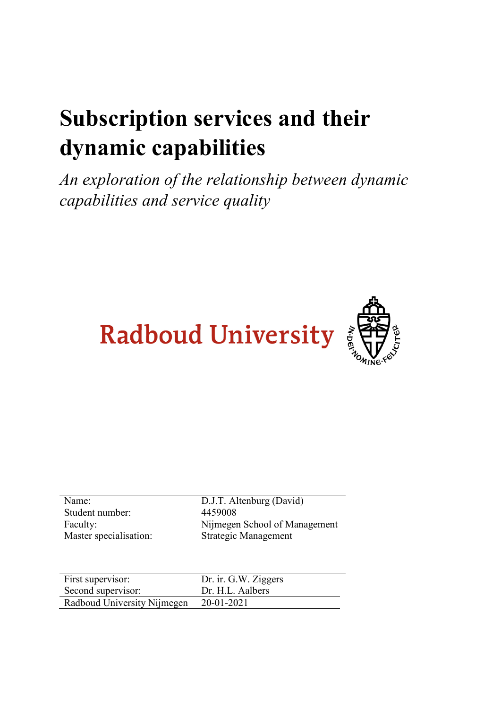# **Subscription services and their dynamic capabilities**

*An exploration of the relationship between dynamic capabilities and service quality*





| Name:                  |
|------------------------|
| Student number:        |
| Faculty:               |
| Master specialisation: |

D.J.T. Altenburg (David) 4459008 Nijmegen School of Management Strategic Management

| First supervisor:                      | Dr. ir. G.W. Ziggers |
|----------------------------------------|----------------------|
| Second supervisor:                     | Dr. H.L. Aalbers     |
| Radboud University Nijmegen 20-01-2021 |                      |
|                                        |                      |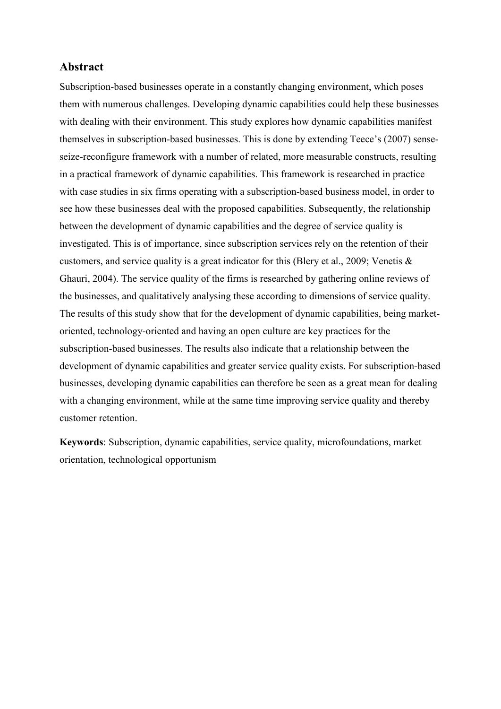## **Abstract**

Subscription-based businesses operate in a constantly changing environment, which poses them with numerous challenges. Developing dynamic capabilities could help these businesses with dealing with their environment. This study explores how dynamic capabilities manifest themselves in subscription-based businesses. This is done by extending Teece's (2007) senseseize-reconfigure framework with a number of related, more measurable constructs, resulting in a practical framework of dynamic capabilities. This framework is researched in practice with case studies in six firms operating with a subscription-based business model, in order to see how these businesses deal with the proposed capabilities. Subsequently, the relationship between the development of dynamic capabilities and the degree of service quality is investigated. This is of importance, since subscription services rely on the retention of their customers, and service quality is a great indicator for this (Blery et al., 2009; Venetis & Ghauri, 2004). The service quality of the firms is researched by gathering online reviews of the businesses, and qualitatively analysing these according to dimensions of service quality. The results of this study show that for the development of dynamic capabilities, being marketoriented, technology-oriented and having an open culture are key practices for the subscription-based businesses. The results also indicate that a relationship between the development of dynamic capabilities and greater service quality exists. For subscription-based businesses, developing dynamic capabilities can therefore be seen as a great mean for dealing with a changing environment, while at the same time improving service quality and thereby customer retention.

**Keywords**: Subscription, dynamic capabilities, service quality, microfoundations, market orientation, technological opportunism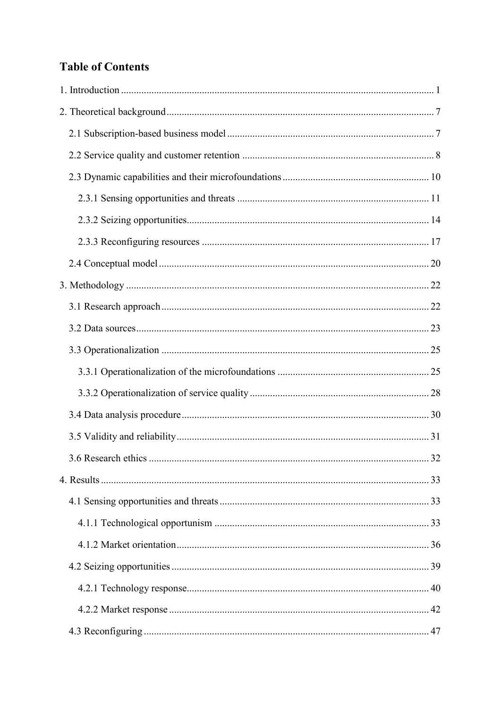# **Table of Contents**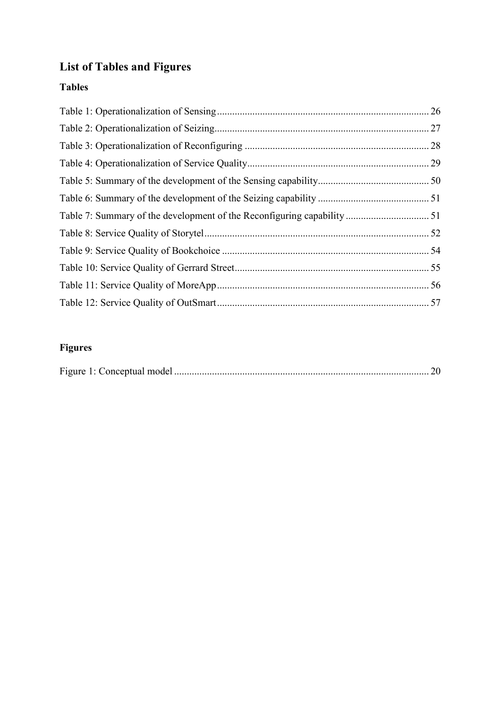# **List of Tables and Figures**

## **Tables**

# **Figures**

|--|--|--|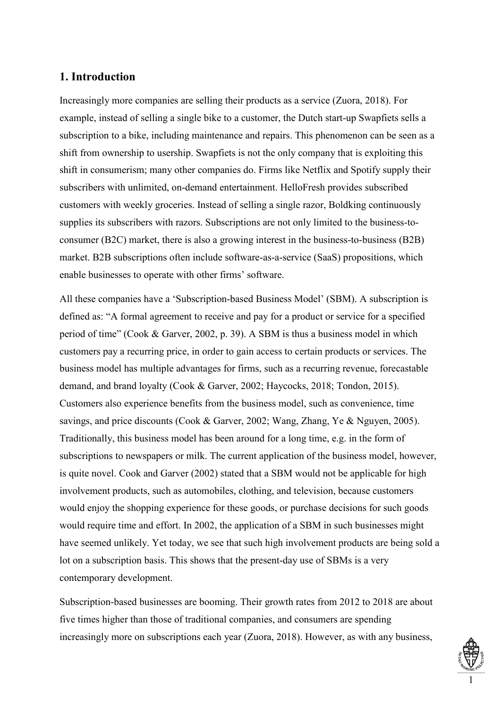## <span id="page-5-0"></span>**1. Introduction**

Increasingly more companies are selling their products as a service (Zuora, 2018). For example, instead of selling a single bike to a customer, the Dutch start-up Swapfiets sells a subscription to a bike, including maintenance and repairs. This phenomenon can be seen as a shift from ownership to usership. Swapfiets is not the only company that is exploiting this shift in consumerism; many other companies do. Firms like Netflix and Spotify supply their subscribers with unlimited, on-demand entertainment. HelloFresh provides subscribed customers with weekly groceries. Instead of selling a single razor, Boldking continuously supplies its subscribers with razors. Subscriptions are not only limited to the business-toconsumer (B2C) market, there is also a growing interest in the business-to-business (B2B) market. B2B subscriptions often include software-as-a-service (SaaS) propositions, which enable businesses to operate with other firms' software.

All these companies have a 'Subscription-based Business Model' (SBM). A subscription is defined as: "A formal agreement to receive and pay for a product or service for a specified period of time" (Cook & Garver, 2002, p. 39). A SBM is thus a business model in which customers pay a recurring price, in order to gain access to certain products or services. The business model has multiple advantages for firms, such as a recurring revenue, forecastable demand, and brand loyalty (Cook & Garver, 2002; Haycocks, 2018; Tondon, 2015). Customers also experience benefits from the business model, such as convenience, time savings, and price discounts (Cook & Garver, 2002; Wang, Zhang, Ye & Nguyen, 2005). Traditionally, this business model has been around for a long time, e.g. in the form of subscriptions to newspapers or milk. The current application of the business model, however, is quite novel. Cook and Garver (2002) stated that a SBM would not be applicable for high involvement products, such as automobiles, clothing, and television, because customers would enjoy the shopping experience for these goods, or purchase decisions for such goods would require time and effort. In 2002, the application of a SBM in such businesses might have seemed unlikely. Yet today, we see that such high involvement products are being sold a lot on a subscription basis. This shows that the present-day use of SBMs is a very contemporary development.

Subscription-based businesses are booming. Their growth rates from 2012 to 2018 are about five times higher than those of traditional companies, and consumers are spending increasingly more on subscriptions each year (Zuora, 2018). However, as with any business,

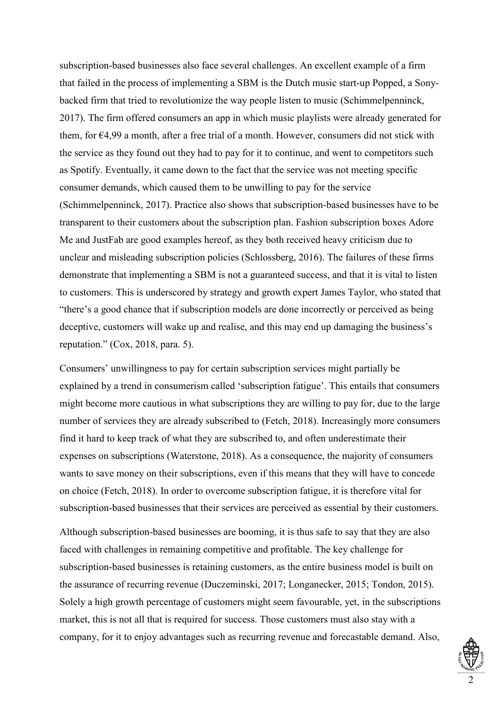subscription-based businesses also face several challenges. An excellent example of a firm that failed in the process of implementing a SBM is the Dutch music start-up Popped, a Sonybacked firm that tried to revolutionize the way people listen to music (Schimmelpenninck, 2017). The firm offered consumers an app in which music playlists were already generated for them, for €4,99 a month, after a free trial of a month. However, consumers did not stick with the service as they found out they had to pay for it to continue, and went to competitors such as Spotify. Eventually, it came down to the fact that the service was not meeting specific consumer demands, which caused them to be unwilling to pay for the service (Schimmelpenninck, 2017). Practice also shows that subscription-based businesses have to be transparent to their customers about the subscription plan. Fashion subscription boxes Adore Me and JustFab are good examples hereof, as they both received heavy criticism due to unclear and misleading subscription policies (Schlossberg, 2016). The failures of these firms demonstrate that implementing a SBM is not a guaranteed success, and that it is vital to listen to customers. This is underscored by strategy and growth expert James Taylor, who stated that "there's a good chance that if subscription models are done incorrectly or perceived as being deceptive, customers will wake up and realise, and this may end up damaging the business's reputation." (Cox, 2018, para. 5).

Consumers' unwillingness to pay for certain subscription services might partially be explained by a trend in consumerism called 'subscription fatigue'. This entails that consumers might become more cautious in what subscriptions they are willing to pay for, due to the large number of services they are already subscribed to (Fetch, 2018). Increasingly more consumers find it hard to keep track of what they are subscribed to, and often underestimate their expenses on subscriptions (Waterstone, 2018). As a consequence, the majority of consumers wants to save money on their subscriptions, even if this means that they will have to concede on choice (Fetch, 2018). In order to overcome subscription fatigue, it is therefore vital for subscription-based businesses that their services are perceived as essential by their customers.

Although subscription-based businesses are booming, it is thus safe to say that they are also faced with challenges in remaining competitive and profitable. The key challenge for subscription-based businesses is retaining customers, as the entire business model is built on the assurance of recurring revenue (Duczeminski, 2017; Longanecker, 2015; Tondon, 2015). Solely a high growth percentage of customers might seem favourable, yet, in the subscriptions market, this is not all that is required for success. Those customers must also stay with a company, for it to enjoy advantages such as recurring revenue and forecastable demand. Also,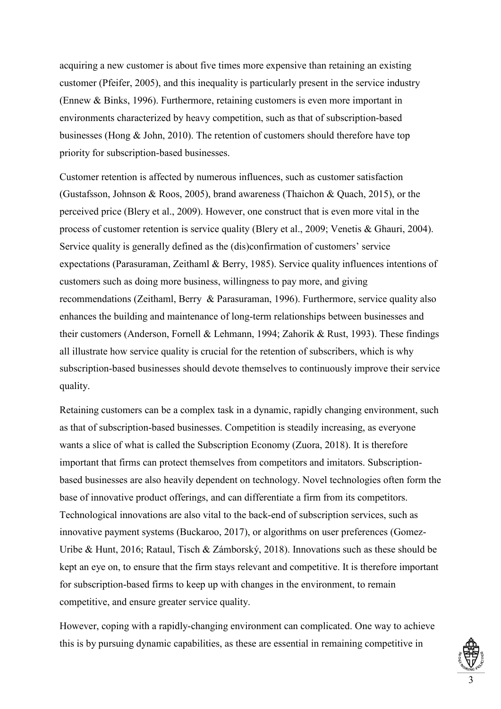acquiring a new customer is about five times more expensive than retaining an existing customer (Pfeifer, 2005), and this inequality is particularly present in the service industry (Ennew & Binks, 1996). Furthermore, retaining customers is even more important in environments characterized by heavy competition, such as that of subscription-based businesses (Hong & John, 2010). The retention of customers should therefore have top priority for subscription-based businesses.

Customer retention is affected by numerous influences, such as customer satisfaction (Gustafsson, Johnson & Roos, 2005), brand awareness (Thaichon & Quach, 2015), or the perceived price (Blery et al., 2009). However, one construct that is even more vital in the process of customer retention is service quality (Blery et al., 2009; Venetis & Ghauri, 2004). Service quality is generally defined as the (dis)confirmation of customers' service expectations (Parasuraman, Zeithaml & Berry, 1985). Service quality influences intentions of customers such as doing more business, willingness to pay more, and giving recommendations (Zeithaml, Berry & Parasuraman, 1996). Furthermore, service quality also enhances the building and maintenance of long-term relationships between businesses and their customers (Anderson, Fornell & Lehmann, 1994; Zahorik & Rust, 1993). These findings all illustrate how service quality is crucial for the retention of subscribers, which is why subscription-based businesses should devote themselves to continuously improve their service quality.

Retaining customers can be a complex task in a dynamic, rapidly changing environment, such as that of subscription-based businesses. Competition is steadily increasing, as everyone wants a slice of what is called the Subscription Economy (Zuora, 2018). It is therefore important that firms can protect themselves from competitors and imitators. Subscriptionbased businesses are also heavily dependent on technology. Novel technologies often form the base of innovative product offerings, and can differentiate a firm from its competitors. Technological innovations are also vital to the back-end of subscription services, such as innovative payment systems (Buckaroo, 2017), or algorithms on user preferences (Gomez-Uribe & Hunt, 2016; Rataul, Tisch & Zámborský, 2018). Innovations such as these should be kept an eye on, to ensure that the firm stays relevant and competitive. It is therefore important for subscription-based firms to keep up with changes in the environment, to remain competitive, and ensure greater service quality.

However, coping with a rapidly-changing environment can complicated. One way to achieve this is by pursuing dynamic capabilities, as these are essential in remaining competitive in

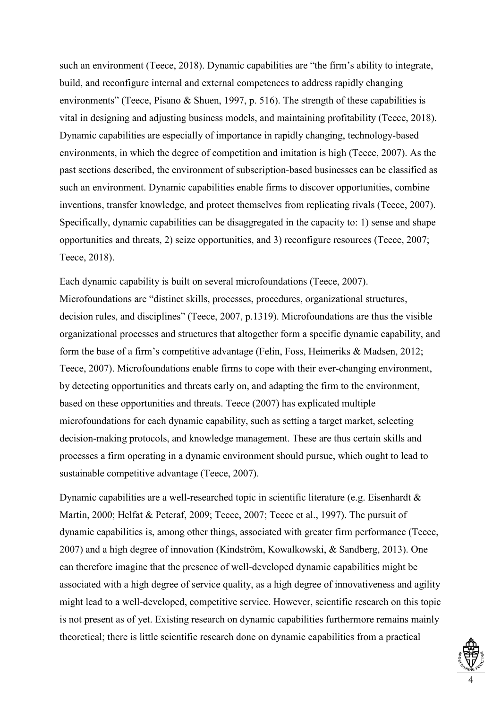such an environment (Teece, 2018). Dynamic capabilities are "the firm's ability to integrate, build, and reconfigure internal and external competences to address rapidly changing environments" (Teece, Pisano & Shuen, 1997, p. 516). The strength of these capabilities is vital in designing and adjusting business models, and maintaining profitability (Teece, 2018). Dynamic capabilities are especially of importance in rapidly changing, technology-based environments, in which the degree of competition and imitation is high (Teece, 2007). As the past sections described, the environment of subscription-based businesses can be classified as such an environment. Dynamic capabilities enable firms to discover opportunities, combine inventions, transfer knowledge, and protect themselves from replicating rivals (Teece, 2007). Specifically, dynamic capabilities can be disaggregated in the capacity to: 1) sense and shape opportunities and threats, 2) seize opportunities, and 3) reconfigure resources (Teece, 2007; Teece, 2018).

Each dynamic capability is built on several microfoundations (Teece, 2007). Microfoundations are "distinct skills, processes, procedures, organizational structures, decision rules, and disciplines" (Teece, 2007, p.1319). Microfoundations are thus the visible organizational processes and structures that altogether form a specific dynamic capability, and form the base of a firm's competitive advantage (Felin, Foss, Heimeriks & Madsen, 2012; Teece, 2007). Microfoundations enable firms to cope with their ever-changing environment, by detecting opportunities and threats early on, and adapting the firm to the environment, based on these opportunities and threats. Teece (2007) has explicated multiple microfoundations for each dynamic capability, such as setting a target market, selecting decision-making protocols, and knowledge management. These are thus certain skills and processes a firm operating in a dynamic environment should pursue, which ought to lead to sustainable competitive advantage (Teece, 2007).

Dynamic capabilities are a well-researched topic in scientific literature (e.g. Eisenhardt & Martin, 2000; Helfat & Peteraf, 2009; Teece, 2007; Teece et al., 1997). The pursuit of dynamic capabilities is, among other things, associated with greater firm performance (Teece, 2007) and a high degree of innovation (Kindström, Kowalkowski, & Sandberg, 2013). One can therefore imagine that the presence of well-developed dynamic capabilities might be associated with a high degree of service quality, as a high degree of innovativeness and agility might lead to a well-developed, competitive service. However, scientific research on this topic is not present as of yet. Existing research on dynamic capabilities furthermore remains mainly theoretical; there is little scientific research done on dynamic capabilities from a practical

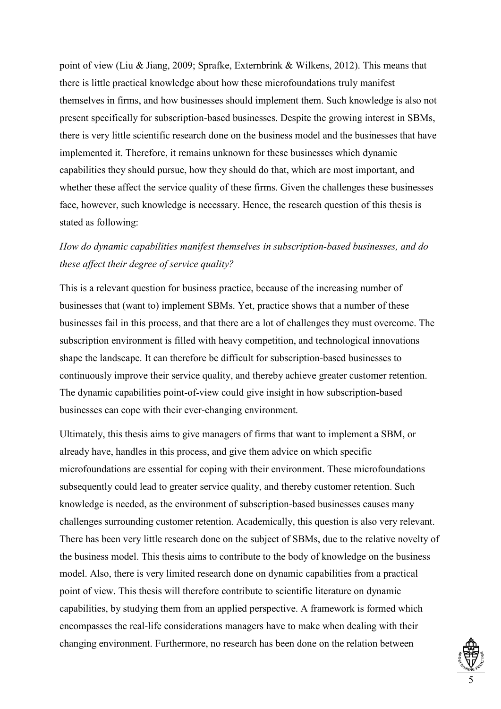point of view (Liu & Jiang, 2009; Sprafke, Externbrink & Wilkens, 2012). This means that there is little practical knowledge about how these microfoundations truly manifest themselves in firms, and how businesses should implement them. Such knowledge is also not present specifically for subscription-based businesses. Despite the growing interest in SBMs, there is very little scientific research done on the business model and the businesses that have implemented it. Therefore, it remains unknown for these businesses which dynamic capabilities they should pursue, how they should do that, which are most important, and whether these affect the service quality of these firms. Given the challenges these businesses face, however, such knowledge is necessary. Hence, the research question of this thesis is stated as following:

## *How do dynamic capabilities manifest themselves in subscription-based businesses, and do these affect their degree of service quality?*

This is a relevant question for business practice, because of the increasing number of businesses that (want to) implement SBMs. Yet, practice shows that a number of these businesses fail in this process, and that there are a lot of challenges they must overcome. The subscription environment is filled with heavy competition, and technological innovations shape the landscape. It can therefore be difficult for subscription-based businesses to continuously improve their service quality, and thereby achieve greater customer retention. The dynamic capabilities point-of-view could give insight in how subscription-based businesses can cope with their ever-changing environment.

Ultimately, this thesis aims to give managers of firms that want to implement a SBM, or already have, handles in this process, and give them advice on which specific microfoundations are essential for coping with their environment. These microfoundations subsequently could lead to greater service quality, and thereby customer retention. Such knowledge is needed, as the environment of subscription-based businesses causes many challenges surrounding customer retention. Academically, this question is also very relevant. There has been very little research done on the subject of SBMs, due to the relative novelty of the business model. This thesis aims to contribute to the body of knowledge on the business model. Also, there is very limited research done on dynamic capabilities from a practical point of view. This thesis will therefore contribute to scientific literature on dynamic capabilities, by studying them from an applied perspective. A framework is formed which encompasses the real-life considerations managers have to make when dealing with their changing environment. Furthermore, no research has been done on the relation between

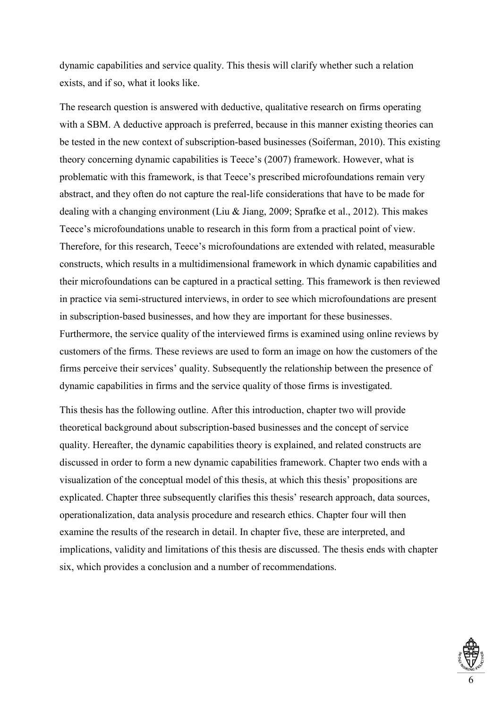dynamic capabilities and service quality. This thesis will clarify whether such a relation exists, and if so, what it looks like.

The research question is answered with deductive, qualitative research on firms operating with a SBM. A deductive approach is preferred, because in this manner existing theories can be tested in the new context of subscription-based businesses (Soiferman, 2010). This existing theory concerning dynamic capabilities is Teece's (2007) framework. However, what is problematic with this framework, is that Teece's prescribed microfoundations remain very abstract, and they often do not capture the real-life considerations that have to be made for dealing with a changing environment (Liu & Jiang, 2009; Sprafke et al., 2012). This makes Teece's microfoundations unable to research in this form from a practical point of view. Therefore, for this research, Teece's microfoundations are extended with related, measurable constructs, which results in a multidimensional framework in which dynamic capabilities and their microfoundations can be captured in a practical setting. This framework is then reviewed in practice via semi-structured interviews, in order to see which microfoundations are present in subscription-based businesses, and how they are important for these businesses. Furthermore, the service quality of the interviewed firms is examined using online reviews by customers of the firms. These reviews are used to form an image on how the customers of the firms perceive their services' quality. Subsequently the relationship between the presence of

This thesis has the following outline. After this introduction, chapter two will provide theoretical background about subscription-based businesses and the concept of service quality. Hereafter, the dynamic capabilities theory is explained, and related constructs are discussed in order to form a new dynamic capabilities framework. Chapter two ends with a visualization of the conceptual model of this thesis, at which this thesis' propositions are explicated. Chapter three subsequently clarifies this thesis' research approach, data sources, operationalization, data analysis procedure and research ethics. Chapter four will then examine the results of the research in detail. In chapter five, these are interpreted, and implications, validity and limitations of this thesis are discussed. The thesis ends with chapter six, which provides a conclusion and a number of recommendations.

dynamic capabilities in firms and the service quality of those firms is investigated.

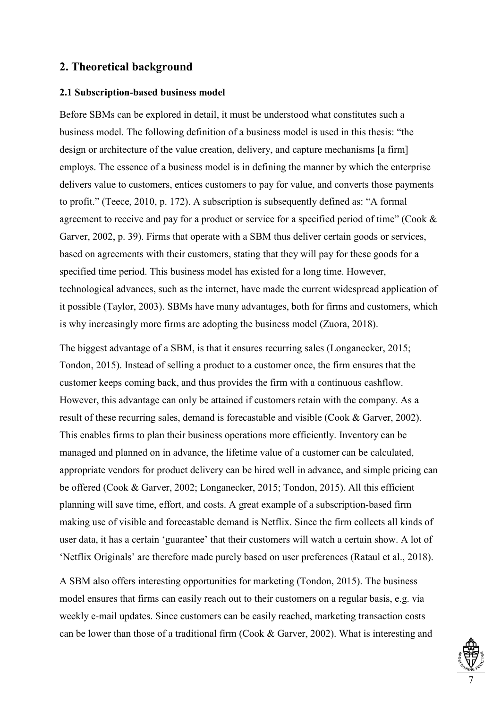## <span id="page-11-0"></span>**2. Theoretical background**

## <span id="page-11-1"></span>**2.1 Subscription-based business model**

Before SBMs can be explored in detail, it must be understood what constitutes such a business model. The following definition of a business model is used in this thesis: "the design or architecture of the value creation, delivery, and capture mechanisms [a firm] employs. The essence of a business model is in defining the manner by which the enterprise delivers value to customers, entices customers to pay for value, and converts those payments to profit." (Teece, 2010, p. 172). A subscription is subsequently defined as: "A formal agreement to receive and pay for a product or service for a specified period of time" (Cook & Garver, 2002, p. 39). Firms that operate with a SBM thus deliver certain goods or services, based on agreements with their customers, stating that they will pay for these goods for a specified time period. This business model has existed for a long time. However, technological advances, such as the internet, have made the current widespread application of it possible (Taylor, 2003). SBMs have many advantages, both for firms and customers, which is why increasingly more firms are adopting the business model (Zuora, 2018).

The biggest advantage of a SBM, is that it ensures recurring sales (Longanecker, 2015; Tondon, 2015). Instead of selling a product to a customer once, the firm ensures that the customer keeps coming back, and thus provides the firm with a continuous cashflow. However, this advantage can only be attained if customers retain with the company. As a result of these recurring sales, demand is forecastable and visible (Cook & Garver, 2002). This enables firms to plan their business operations more efficiently. Inventory can be managed and planned on in advance, the lifetime value of a customer can be calculated, appropriate vendors for product delivery can be hired well in advance, and simple pricing can be offered (Cook & Garver, 2002; Longanecker, 2015; Tondon, 2015). All this efficient planning will save time, effort, and costs. A great example of a subscription-based firm making use of visible and forecastable demand is Netflix. Since the firm collects all kinds of user data, it has a certain 'guarantee' that their customers will watch a certain show. A lot of 'Netflix Originals' are therefore made purely based on user preferences (Rataul et al., 2018).

A SBM also offers interesting opportunities for marketing (Tondon, 2015). The business model ensures that firms can easily reach out to their customers on a regular basis, e.g. via weekly e-mail updates. Since customers can be easily reached, marketing transaction costs can be lower than those of a traditional firm (Cook & Garver, 2002). What is interesting and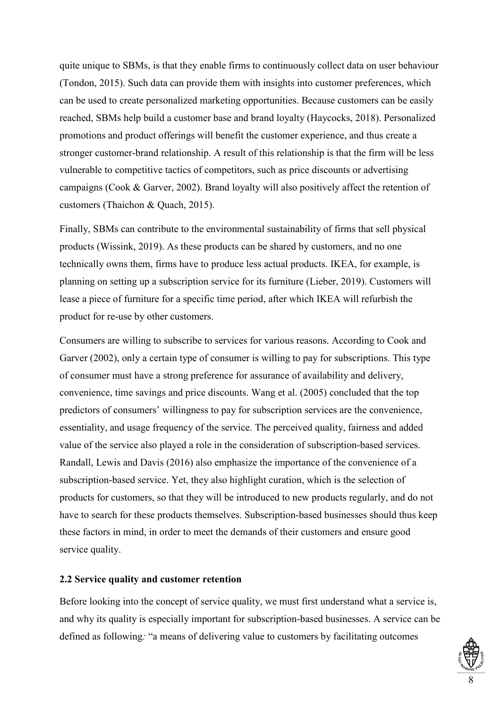quite unique to SBMs, is that they enable firms to continuously collect data on user behaviour (Tondon, 2015). Such data can provide them with insights into customer preferences, which can be used to create personalized marketing opportunities. Because customers can be easily reached, SBMs help build a customer base and brand loyalty (Haycocks, 2018). Personalized promotions and product offerings will benefit the customer experience, and thus create a stronger customer-brand relationship. A result of this relationship is that the firm will be less vulnerable to competitive tactics of competitors, such as price discounts or advertising campaigns (Cook & Garver, 2002). Brand loyalty will also positively affect the retention of customers (Thaichon & Quach, 2015).

Finally, SBMs can contribute to the environmental sustainability of firms that sell physical products (Wissink, 2019). As these products can be shared by customers, and no one technically owns them, firms have to produce less actual products. IKEA, for example, is planning on setting up a subscription service for its furniture (Lieber, 2019). Customers will lease a piece of furniture for a specific time period, after which IKEA will refurbish the product for re-use by other customers.

Consumers are willing to subscribe to services for various reasons. According to Cook and Garver (2002), only a certain type of consumer is willing to pay for subscriptions. This type of consumer must have a strong preference for assurance of availability and delivery, convenience, time savings and price discounts. Wang et al. (2005) concluded that the top predictors of consumers' willingness to pay for subscription services are the convenience, essentiality, and usage frequency of the service. The perceived quality, fairness and added value of the service also played a role in the consideration of subscription-based services. Randall, Lewis and Davis (2016) also emphasize the importance of the convenience of a subscription-based service. Yet, they also highlight curation, which is the selection of products for customers, so that they will be introduced to new products regularly, and do not have to search for these products themselves. Subscription-based businesses should thus keep these factors in mind, in order to meet the demands of their customers and ensure good service quality.

#### <span id="page-12-0"></span>**2.2 Service quality and customer retention**

Before looking into the concept of service quality, we must first understand what a service is, and why its quality is especially important for subscription-based businesses. A service can be defined as following*:* "a means of delivering value to customers by facilitating outcomes

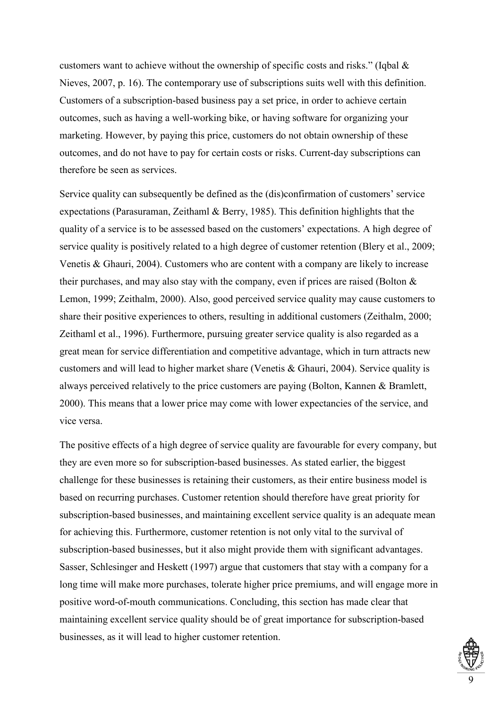customers want to achieve without the ownership of specific costs and risks." (Iqbal & Nieves, 2007, p. 16). The contemporary use of subscriptions suits well with this definition. Customers of a subscription-based business pay a set price, in order to achieve certain outcomes, such as having a well-working bike, or having software for organizing your marketing. However, by paying this price, customers do not obtain ownership of these outcomes, and do not have to pay for certain costs or risks. Current-day subscriptions can therefore be seen as services.

Service quality can subsequently be defined as the (dis)confirmation of customers' service expectations (Parasuraman, Zeithaml & Berry, 1985). This definition highlights that the quality of a service is to be assessed based on the customers' expectations. A high degree of service quality is positively related to a high degree of customer retention (Blery et al., 2009; Venetis & Ghauri, 2004). Customers who are content with a company are likely to increase their purchases, and may also stay with the company, even if prices are raised (Bolton  $\&$ Lemon, 1999; Zeithalm, 2000). Also, good perceived service quality may cause customers to share their positive experiences to others, resulting in additional customers (Zeithalm, 2000; Zeithaml et al., 1996). Furthermore, pursuing greater service quality is also regarded as a great mean for service differentiation and competitive advantage, which in turn attracts new customers and will lead to higher market share (Venetis & Ghauri, 2004). Service quality is always perceived relatively to the price customers are paying (Bolton, Kannen & Bramlett, 2000). This means that a lower price may come with lower expectancies of the service, and vice versa.

The positive effects of a high degree of service quality are favourable for every company, but they are even more so for subscription-based businesses. As stated earlier, the biggest challenge for these businesses is retaining their customers, as their entire business model is based on recurring purchases. Customer retention should therefore have great priority for subscription-based businesses, and maintaining excellent service quality is an adequate mean for achieving this. Furthermore, customer retention is not only vital to the survival of subscription-based businesses, but it also might provide them with significant advantages. Sasser, Schlesinger and Heskett (1997) argue that customers that stay with a company for a long time will make more purchases, tolerate higher price premiums, and will engage more in positive word-of-mouth communications. Concluding, this section has made clear that maintaining excellent service quality should be of great importance for subscription-based businesses, as it will lead to higher customer retention.

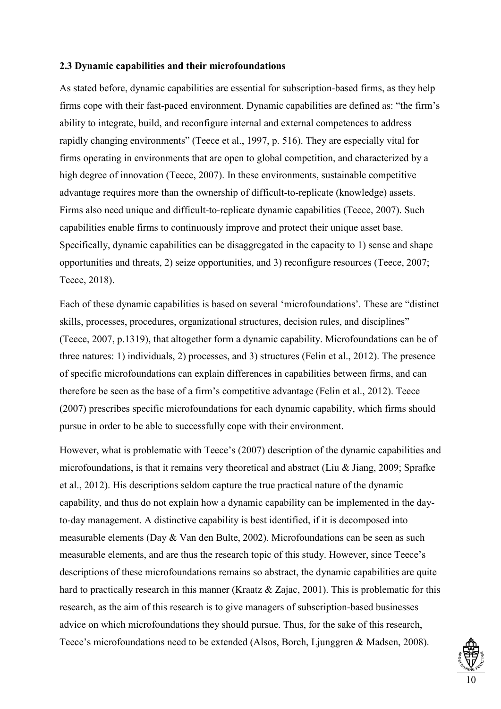#### <span id="page-14-0"></span>**2.3 Dynamic capabilities and their microfoundations**

As stated before, dynamic capabilities are essential for subscription-based firms, as they help firms cope with their fast-paced environment. Dynamic capabilities are defined as: "the firm's ability to integrate, build, and reconfigure internal and external competences to address rapidly changing environments" (Teece et al., 1997, p. 516). They are especially vital for firms operating in environments that are open to global competition, and characterized by a high degree of innovation (Teece, 2007). In these environments, sustainable competitive advantage requires more than the ownership of difficult-to-replicate (knowledge) assets. Firms also need unique and difficult-to-replicate dynamic capabilities (Teece, 2007). Such capabilities enable firms to continuously improve and protect their unique asset base. Specifically, dynamic capabilities can be disaggregated in the capacity to 1) sense and shape opportunities and threats, 2) seize opportunities, and 3) reconfigure resources (Teece, 2007; Teece, 2018).

Each of these dynamic capabilities is based on several 'microfoundations'. These are "distinct skills, processes, procedures, organizational structures, decision rules, and disciplines" (Teece, 2007, p.1319), that altogether form a dynamic capability. Microfoundations can be of three natures: 1) individuals, 2) processes, and 3) structures (Felin et al., 2012). The presence of specific microfoundations can explain differences in capabilities between firms, and can therefore be seen as the base of a firm's competitive advantage (Felin et al., 2012). Teece (2007) prescribes specific microfoundations for each dynamic capability, which firms should pursue in order to be able to successfully cope with their environment.

However, what is problematic with Teece's (2007) description of the dynamic capabilities and microfoundations, is that it remains very theoretical and abstract (Liu & Jiang, 2009; Sprafke et al., 2012). His descriptions seldom capture the true practical nature of the dynamic capability, and thus do not explain how a dynamic capability can be implemented in the dayto-day management. A distinctive capability is best identified, if it is decomposed into measurable elements (Day & Van den Bulte, 2002). Microfoundations can be seen as such measurable elements, and are thus the research topic of this study. However, since Teece's descriptions of these microfoundations remains so abstract, the dynamic capabilities are quite hard to practically research in this manner (Kraatz & Zajac, 2001). This is problematic for this research, as the aim of this research is to give managers of subscription-based businesses advice on which microfoundations they should pursue. Thus, for the sake of this research, Teece's microfoundations need to be extended (Alsos, Borch, Ljunggren & Madsen, 2008).

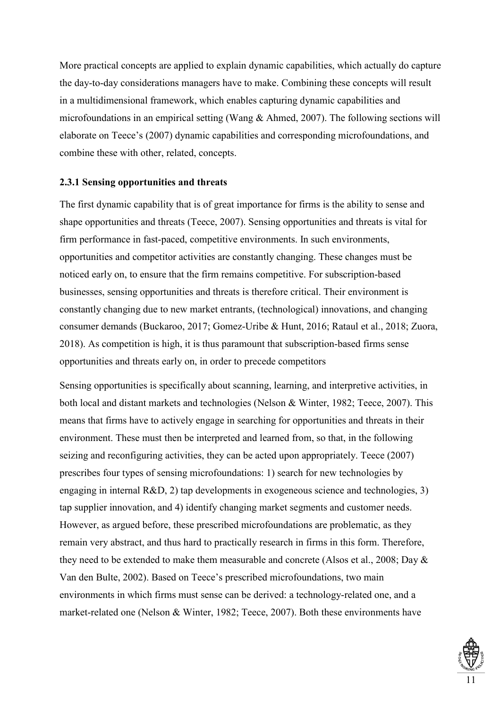More practical concepts are applied to explain dynamic capabilities, which actually do capture the day-to-day considerations managers have to make. Combining these concepts will result in a multidimensional framework, which enables capturing dynamic capabilities and microfoundations in an empirical setting (Wang & Ahmed, 2007). The following sections will elaborate on Teece's (2007) dynamic capabilities and corresponding microfoundations, and combine these with other, related, concepts.

## <span id="page-15-0"></span>**2.3.1 Sensing opportunities and threats**

The first dynamic capability that is of great importance for firms is the ability to sense and shape opportunities and threats (Teece, 2007). Sensing opportunities and threats is vital for firm performance in fast-paced, competitive environments. In such environments, opportunities and competitor activities are constantly changing. These changes must be noticed early on, to ensure that the firm remains competitive. For subscription-based businesses, sensing opportunities and threats is therefore critical. Their environment is constantly changing due to new market entrants, (technological) innovations, and changing consumer demands (Buckaroo, 2017; Gomez-Uribe & Hunt, 2016; Rataul et al., 2018; Zuora, 2018). As competition is high, it is thus paramount that subscription-based firms sense opportunities and threats early on, in order to precede competitors

Sensing opportunities is specifically about scanning, learning, and interpretive activities, in both local and distant markets and technologies (Nelson & Winter, 1982; Teece, 2007). This means that firms have to actively engage in searching for opportunities and threats in their environment. These must then be interpreted and learned from, so that, in the following seizing and reconfiguring activities, they can be acted upon appropriately. Teece (2007) prescribes four types of sensing microfoundations: 1) search for new technologies by engaging in internal R&D, 2) tap developments in exogeneous science and technologies, 3) tap supplier innovation, and 4) identify changing market segments and customer needs. However, as argued before, these prescribed microfoundations are problematic, as they remain very abstract, and thus hard to practically research in firms in this form. Therefore, they need to be extended to make them measurable and concrete (Alsos et al., 2008; Day & Van den Bulte, 2002). Based on Teece's prescribed microfoundations, two main environments in which firms must sense can be derived: a technology-related one, and a market-related one (Nelson & Winter, 1982; Teece, 2007). Both these environments have

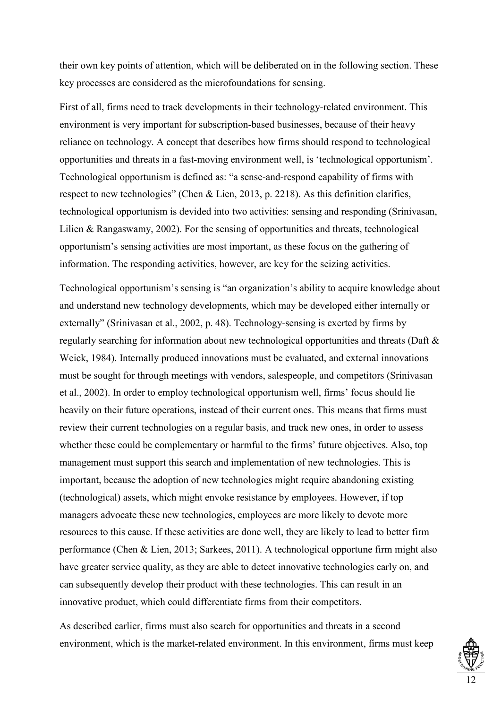their own key points of attention, which will be deliberated on in the following section. These key processes are considered as the microfoundations for sensing.

First of all, firms need to track developments in their technology-related environment. This environment is very important for subscription-based businesses, because of their heavy reliance on technology. A concept that describes how firms should respond to technological opportunities and threats in a fast-moving environment well, is 'technological opportunism'. Technological opportunism is defined as: "a sense-and-respond capability of firms with respect to new technologies" (Chen & Lien, 2013, p. 2218). As this definition clarifies, technological opportunism is devided into two activities: sensing and responding (Srinivasan, Lilien & Rangaswamy, 2002). For the sensing of opportunities and threats, technological opportunism's sensing activities are most important, as these focus on the gathering of information. The responding activities, however, are key for the seizing activities.

Technological opportunism's sensing is "an organization's ability to acquire knowledge about and understand new technology developments, which may be developed either internally or externally" (Srinivasan et al., 2002, p. 48). Technology-sensing is exerted by firms by regularly searching for information about new technological opportunities and threats (Daft & Weick, 1984). Internally produced innovations must be evaluated, and external innovations must be sought for through meetings with vendors, salespeople, and competitors (Srinivasan et al., 2002). In order to employ technological opportunism well, firms' focus should lie heavily on their future operations, instead of their current ones. This means that firms must review their current technologies on a regular basis, and track new ones, in order to assess whether these could be complementary or harmful to the firms' future objectives. Also, top management must support this search and implementation of new technologies. This is important, because the adoption of new technologies might require abandoning existing (technological) assets, which might envoke resistance by employees. However, if top managers advocate these new technologies, employees are more likely to devote more resources to this cause. If these activities are done well, they are likely to lead to better firm performance (Chen & Lien, 2013; Sarkees, 2011). A technological opportune firm might also have greater service quality, as they are able to detect innovative technologies early on, and can subsequently develop their product with these technologies. This can result in an innovative product, which could differentiate firms from their competitors.

As described earlier, firms must also search for opportunities and threats in a second environment, which is the market-related environment. In this environment, firms must keep

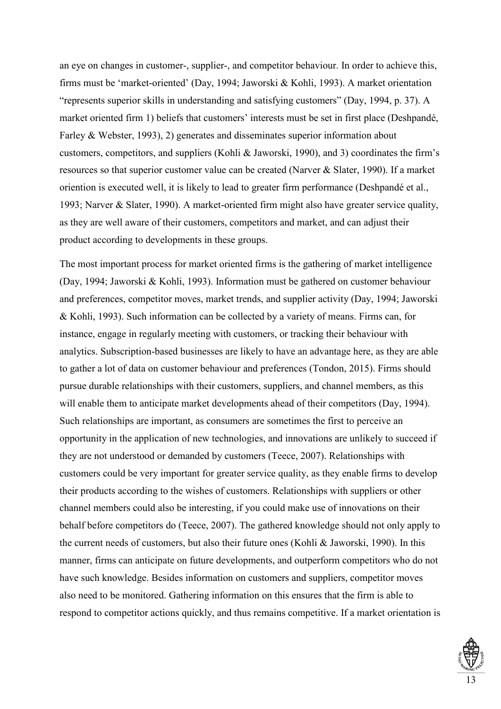an eye on changes in customer-, supplier-, and competitor behaviour. In order to achieve this, firms must be 'market-oriented' (Day, 1994; Jaworski & Kohli, 1993). A market orientation "represents superior skills in understanding and satisfying customers" (Day, 1994, p. 37). A market oriented firm 1) beliefs that customers' interests must be set in first place (Deshpandé, Farley & Webster, 1993), 2) generates and disseminates superior information about customers, competitors, and suppliers (Kohli & Jaworski, 1990), and 3) coordinates the firm's resources so that superior customer value can be created (Narver & Slater, 1990). If a market oriention is executed well, it is likely to lead to greater firm performance (Deshpandé et al., 1993; Narver & Slater, 1990). A market-oriented firm might also have greater service quality, as they are well aware of their customers, competitors and market, and can adjust their product according to developments in these groups.

The most important process for market oriented firms is the gathering of market intelligence (Day, 1994; Jaworski & Kohli, 1993). Information must be gathered on customer behaviour and preferences, competitor moves, market trends, and supplier activity (Day, 1994; Jaworski & Kohli, 1993). Such information can be collected by a variety of means. Firms can, for instance, engage in regularly meeting with customers, or tracking their behaviour with analytics. Subscription-based businesses are likely to have an advantage here, as they are able to gather a lot of data on customer behaviour and preferences (Tondon, 2015). Firms should pursue durable relationships with their customers, suppliers, and channel members, as this will enable them to anticipate market developments ahead of their competitors (Day, 1994). Such relationships are important, as consumers are sometimes the first to perceive an opportunity in the application of new technologies, and innovations are unlikely to succeed if they are not understood or demanded by customers (Teece, 2007). Relationships with customers could be very important for greater service quality, as they enable firms to develop their products according to the wishes of customers. Relationships with suppliers or other channel members could also be interesting, if you could make use of innovations on their behalf before competitors do (Teece, 2007). The gathered knowledge should not only apply to the current needs of customers, but also their future ones (Kohli & Jaworski, 1990). In this manner, firms can anticipate on future developments, and outperform competitors who do not have such knowledge. Besides information on customers and suppliers, competitor moves also need to be monitored. Gathering information on this ensures that the firm is able to respond to competitor actions quickly, and thus remains competitive. If a market orientation is

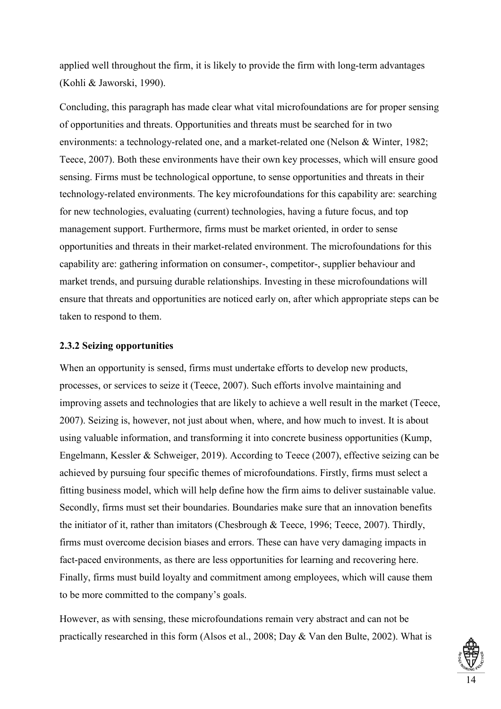applied well throughout the firm, it is likely to provide the firm with long-term advantages (Kohli & Jaworski, 1990).

Concluding, this paragraph has made clear what vital microfoundations are for proper sensing of opportunities and threats. Opportunities and threats must be searched for in two environments: a technology-related one, and a market-related one (Nelson & Winter, 1982; Teece, 2007). Both these environments have their own key processes, which will ensure good sensing. Firms must be technological opportune, to sense opportunities and threats in their technology-related environments. The key microfoundations for this capability are: searching for new technologies, evaluating (current) technologies, having a future focus, and top management support. Furthermore, firms must be market oriented, in order to sense opportunities and threats in their market-related environment. The microfoundations for this capability are: gathering information on consumer-, competitor-, supplier behaviour and market trends, and pursuing durable relationships. Investing in these microfoundations will ensure that threats and opportunities are noticed early on, after which appropriate steps can be taken to respond to them.

#### <span id="page-18-0"></span>**2.3.2 Seizing opportunities**

When an opportunity is sensed, firms must undertake efforts to develop new products, processes, or services to seize it (Teece, 2007). Such efforts involve maintaining and improving assets and technologies that are likely to achieve a well result in the market (Teece, 2007). Seizing is, however, not just about when, where, and how much to invest. It is about using valuable information, and transforming it into concrete business opportunities (Kump, Engelmann, Kessler & Schweiger, 2019). According to Teece (2007), effective seizing can be achieved by pursuing four specific themes of microfoundations. Firstly, firms must select a fitting business model, which will help define how the firm aims to deliver sustainable value. Secondly, firms must set their boundaries. Boundaries make sure that an innovation benefits the initiator of it, rather than imitators (Chesbrough & Teece, 1996; Teece, 2007). Thirdly, firms must overcome decision biases and errors. These can have very damaging impacts in fact-paced environments, as there are less opportunities for learning and recovering here. Finally, firms must build loyalty and commitment among employees, which will cause them to be more committed to the company's goals.

However, as with sensing, these microfoundations remain very abstract and can not be practically researched in this form (Alsos et al., 2008; Day & Van den Bulte, 2002). What is

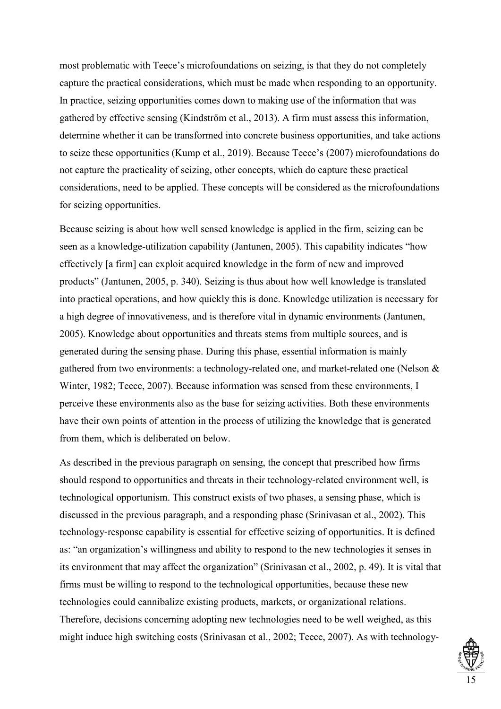most problematic with Teece's microfoundations on seizing, is that they do not completely capture the practical considerations, which must be made when responding to an opportunity. In practice, seizing opportunities comes down to making use of the information that was gathered by effective sensing (Kindström et al., 2013). A firm must assess this information, determine whether it can be transformed into concrete business opportunities, and take actions to seize these opportunities (Kump et al., 2019). Because Teece's (2007) microfoundations do not capture the practicality of seizing, other concepts, which do capture these practical considerations, need to be applied. These concepts will be considered as the microfoundations for seizing opportunities.

Because seizing is about how well sensed knowledge is applied in the firm, seizing can be seen as a knowledge-utilization capability (Jantunen, 2005). This capability indicates "how effectively [a firm] can exploit acquired knowledge in the form of new and improved products" (Jantunen, 2005, p. 340). Seizing is thus about how well knowledge is translated into practical operations, and how quickly this is done. Knowledge utilization is necessary for a high degree of innovativeness, and is therefore vital in dynamic environments (Jantunen, 2005). Knowledge about opportunities and threats stems from multiple sources, and is generated during the sensing phase. During this phase, essential information is mainly gathered from two environments: a technology-related one, and market-related one (Nelson & Winter, 1982; Teece, 2007). Because information was sensed from these environments, I perceive these environments also as the base for seizing activities. Both these environments have their own points of attention in the process of utilizing the knowledge that is generated from them, which is deliberated on below.

As described in the previous paragraph on sensing, the concept that prescribed how firms should respond to opportunities and threats in their technology-related environment well, is technological opportunism. This construct exists of two phases, a sensing phase, which is discussed in the previous paragraph, and a responding phase (Srinivasan et al., 2002). This technology-response capability is essential for effective seizing of opportunities. It is defined as: "an organization's willingness and ability to respond to the new technologies it senses in its environment that may affect the organization" (Srinivasan et al., 2002, p. 49). It is vital that firms must be willing to respond to the technological opportunities, because these new technologies could cannibalize existing products, markets, or organizational relations. Therefore, decisions concerning adopting new technologies need to be well weighed, as this might induce high switching costs (Srinivasan et al., 2002; Teece, 2007). As with technology-

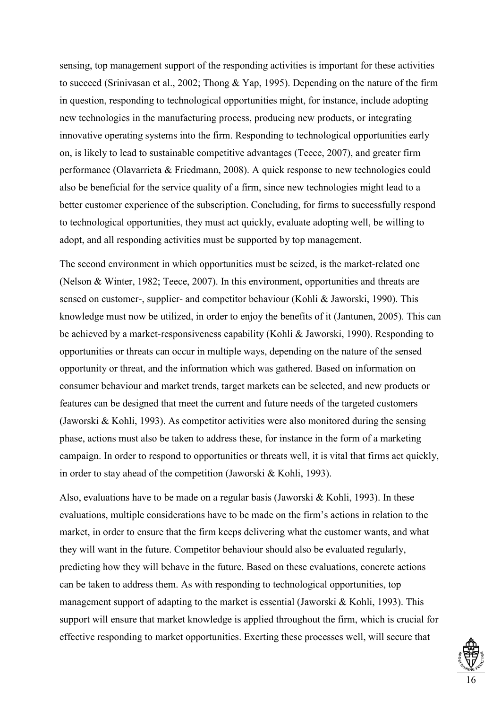sensing, top management support of the responding activities is important for these activities to succeed (Srinivasan et al., 2002; Thong & Yap, 1995). Depending on the nature of the firm in question, responding to technological opportunities might, for instance, include adopting new technologies in the manufacturing process, producing new products, or integrating innovative operating systems into the firm. Responding to technological opportunities early on, is likely to lead to sustainable competitive advantages (Teece, 2007), and greater firm performance (Olavarrieta & Friedmann, 2008). A quick response to new technologies could also be beneficial for the service quality of a firm, since new technologies might lead to a better customer experience of the subscription. Concluding, for firms to successfully respond to technological opportunities, they must act quickly, evaluate adopting well, be willing to adopt, and all responding activities must be supported by top management.

The second environment in which opportunities must be seized, is the market-related one (Nelson & Winter, 1982; Teece, 2007). In this environment, opportunities and threats are sensed on customer-, supplier- and competitor behaviour (Kohli & Jaworski, 1990). This knowledge must now be utilized, in order to enjoy the benefits of it (Jantunen, 2005). This can be achieved by a market-responsiveness capability (Kohli & Jaworski, 1990). Responding to opportunities or threats can occur in multiple ways, depending on the nature of the sensed opportunity or threat, and the information which was gathered. Based on information on consumer behaviour and market trends, target markets can be selected, and new products or features can be designed that meet the current and future needs of the targeted customers (Jaworski & Kohli, 1993). As competitor activities were also monitored during the sensing phase, actions must also be taken to address these, for instance in the form of a marketing campaign. In order to respond to opportunities or threats well, it is vital that firms act quickly, in order to stay ahead of the competition (Jaworski & Kohli, 1993).

Also, evaluations have to be made on a regular basis (Jaworski & Kohli, 1993). In these evaluations, multiple considerations have to be made on the firm's actions in relation to the market, in order to ensure that the firm keeps delivering what the customer wants, and what they will want in the future. Competitor behaviour should also be evaluated regularly, predicting how they will behave in the future. Based on these evaluations, concrete actions can be taken to address them. As with responding to technological opportunities, top management support of adapting to the market is essential (Jaworski & Kohli, 1993). This support will ensure that market knowledge is applied throughout the firm, which is crucial for effective responding to market opportunities. Exerting these processes well, will secure that

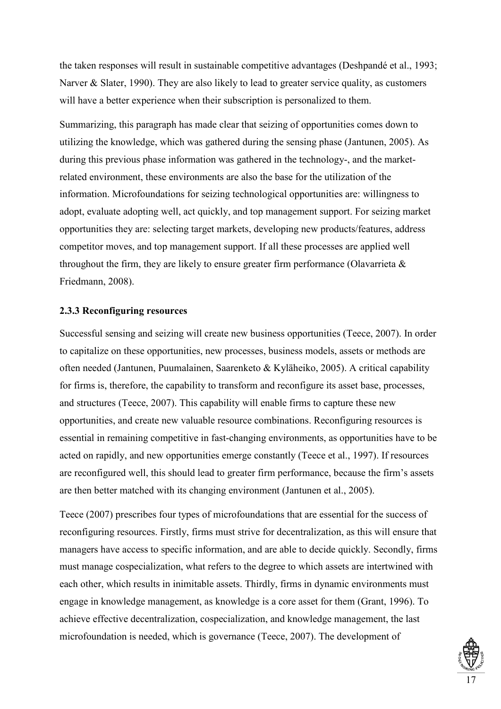the taken responses will result in sustainable competitive advantages (Deshpandé et al., 1993; Narver & Slater, 1990). They are also likely to lead to greater service quality, as customers will have a better experience when their subscription is personalized to them.

Summarizing, this paragraph has made clear that seizing of opportunities comes down to utilizing the knowledge, which was gathered during the sensing phase (Jantunen, 2005). As during this previous phase information was gathered in the technology-, and the marketrelated environment, these environments are also the base for the utilization of the information. Microfoundations for seizing technological opportunities are: willingness to adopt, evaluate adopting well, act quickly, and top management support. For seizing market opportunities they are: selecting target markets, developing new products/features, address competitor moves, and top management support. If all these processes are applied well throughout the firm, they are likely to ensure greater firm performance (Olavarrieta  $\&$ Friedmann, 2008).

## <span id="page-21-0"></span>**2.3.3 Reconfiguring resources**

Successful sensing and seizing will create new business opportunities (Teece, 2007). In order to capitalize on these opportunities, new processes, business models, assets or methods are often needed (Jantunen, Puumalainen, Saarenketo & Kyläheiko, 2005). A critical capability for firms is, therefore, the capability to transform and reconfigure its asset base, processes, and structures (Teece, 2007). This capability will enable firms to capture these new opportunities, and create new valuable resource combinations. Reconfiguring resources is essential in remaining competitive in fast-changing environments, as opportunities have to be acted on rapidly, and new opportunities emerge constantly (Teece et al., 1997). If resources are reconfigured well, this should lead to greater firm performance, because the firm's assets are then better matched with its changing environment (Jantunen et al., 2005).

Teece (2007) prescribes four types of microfoundations that are essential for the success of reconfiguring resources. Firstly, firms must strive for decentralization, as this will ensure that managers have access to specific information, and are able to decide quickly. Secondly, firms must manage cospecialization, what refers to the degree to which assets are intertwined with each other, which results in inimitable assets. Thirdly, firms in dynamic environments must engage in knowledge management, as knowledge is a core asset for them (Grant, 1996). To achieve effective decentralization, cospecialization, and knowledge management, the last microfoundation is needed, which is governance (Teece, 2007). The development of

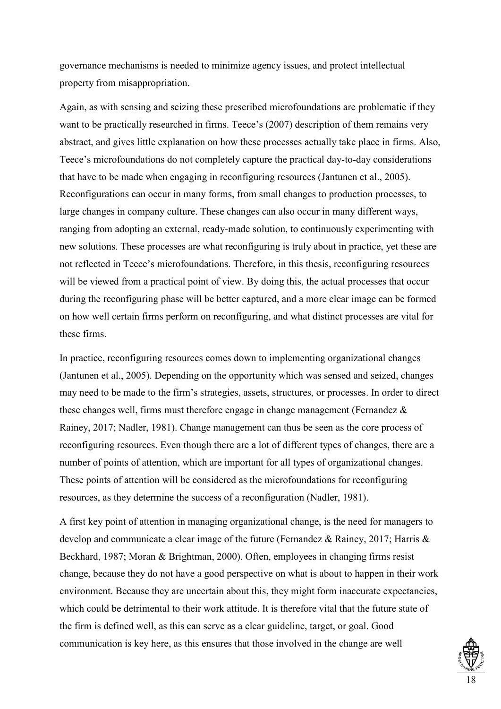governance mechanisms is needed to minimize agency issues, and protect intellectual property from misappropriation.

Again, as with sensing and seizing these prescribed microfoundations are problematic if they want to be practically researched in firms. Teece's (2007) description of them remains very abstract, and gives little explanation on how these processes actually take place in firms. Also, Teece's microfoundations do not completely capture the practical day-to-day considerations that have to be made when engaging in reconfiguring resources (Jantunen et al., 2005). Reconfigurations can occur in many forms, from small changes to production processes, to large changes in company culture. These changes can also occur in many different ways, ranging from adopting an external, ready-made solution, to continuously experimenting with new solutions. These processes are what reconfiguring is truly about in practice, yet these are not reflected in Teece's microfoundations. Therefore, in this thesis, reconfiguring resources will be viewed from a practical point of view. By doing this, the actual processes that occur during the reconfiguring phase will be better captured, and a more clear image can be formed on how well certain firms perform on reconfiguring, and what distinct processes are vital for these firms.

In practice, reconfiguring resources comes down to implementing organizational changes (Jantunen et al., 2005). Depending on the opportunity which was sensed and seized, changes may need to be made to the firm's strategies, assets, structures, or processes. In order to direct these changes well, firms must therefore engage in change management (Fernandez & Rainey, 2017; Nadler, 1981). Change management can thus be seen as the core process of reconfiguring resources. Even though there are a lot of different types of changes, there are a number of points of attention, which are important for all types of organizational changes. These points of attention will be considered as the microfoundations for reconfiguring resources, as they determine the success of a reconfiguration (Nadler, 1981).

A first key point of attention in managing organizational change, is the need for managers to develop and communicate a clear image of the future (Fernandez & Rainey, 2017; Harris & Beckhard, 1987; Moran & Brightman, 2000). Often, employees in changing firms resist change, because they do not have a good perspective on what is about to happen in their work environment. Because they are uncertain about this, they might form inaccurate expectancies, which could be detrimental to their work attitude. It is therefore vital that the future state of the firm is defined well, as this can serve as a clear guideline, target, or goal. Good communication is key here, as this ensures that those involved in the change are well

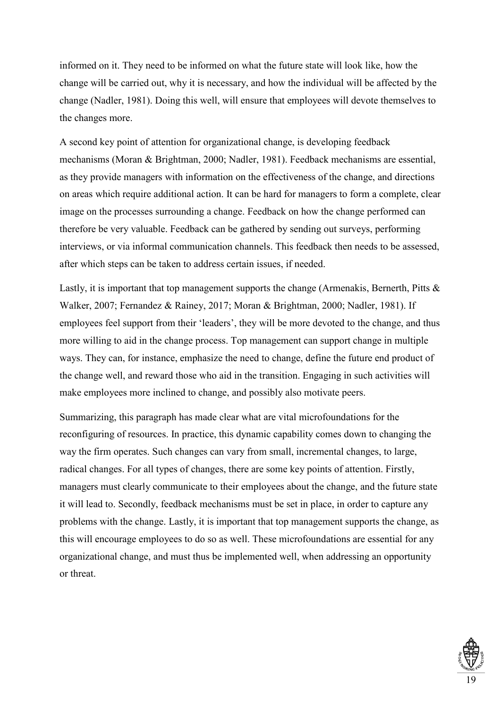informed on it. They need to be informed on what the future state will look like, how the change will be carried out, why it is necessary, and how the individual will be affected by the change (Nadler, 1981). Doing this well, will ensure that employees will devote themselves to the changes more.

A second key point of attention for organizational change, is developing feedback mechanisms (Moran & Brightman, 2000; Nadler, 1981). Feedback mechanisms are essential, as they provide managers with information on the effectiveness of the change, and directions on areas which require additional action. It can be hard for managers to form a complete, clear image on the processes surrounding a change. Feedback on how the change performed can therefore be very valuable. Feedback can be gathered by sending out surveys, performing interviews, or via informal communication channels. This feedback then needs to be assessed, after which steps can be taken to address certain issues, if needed.

Lastly, it is important that top management supports the change (Armenakis, Bernerth, Pitts & Walker, 2007; Fernandez & Rainey, 2017; Moran & Brightman, 2000; Nadler, 1981). If employees feel support from their 'leaders', they will be more devoted to the change, and thus more willing to aid in the change process. Top management can support change in multiple ways. They can, for instance, emphasize the need to change, define the future end product of the change well, and reward those who aid in the transition. Engaging in such activities will make employees more inclined to change, and possibly also motivate peers.

Summarizing, this paragraph has made clear what are vital microfoundations for the reconfiguring of resources. In practice, this dynamic capability comes down to changing the way the firm operates. Such changes can vary from small, incremental changes, to large, radical changes. For all types of changes, there are some key points of attention. Firstly, managers must clearly communicate to their employees about the change, and the future state it will lead to. Secondly, feedback mechanisms must be set in place, in order to capture any problems with the change. Lastly, it is important that top management supports the change, as this will encourage employees to do so as well. These microfoundations are essential for any organizational change, and must thus be implemented well, when addressing an opportunity or threat.

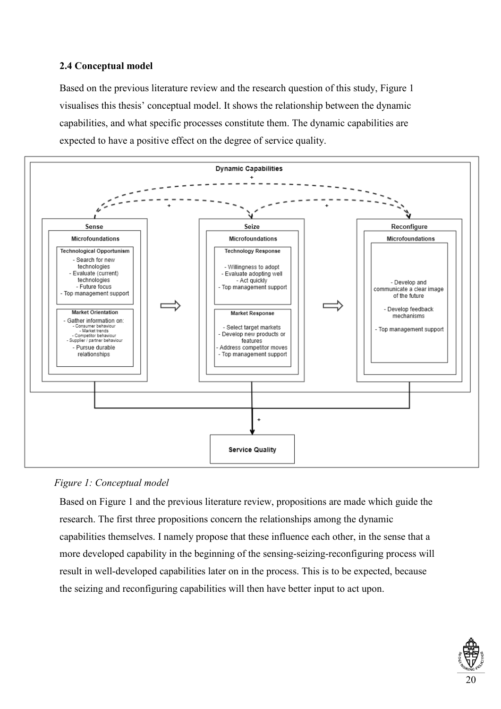## <span id="page-24-0"></span>**2.4 Conceptual model**

Based on the previous literature review and the research question of this study, Figure 1 visualises this thesis' conceptual model. It shows the relationship between the dynamic capabilities, and what specific processes constitute them. The dynamic capabilities are expected to have a positive effect on the degree of service quality.



*Figure 1: Conceptual model*

Based on Figure 1 and the previous literature review, propositions are made which guide the research. The first three propositions concern the relationships among the dynamic capabilities themselves. I namely propose that these influence each other, in the sense that a more developed capability in the beginning of the sensing-seizing-reconfiguring process will result in well-developed capabilities later on in the process. This is to be expected, because the seizing and reconfiguring capabilities will then have better input to act upon.

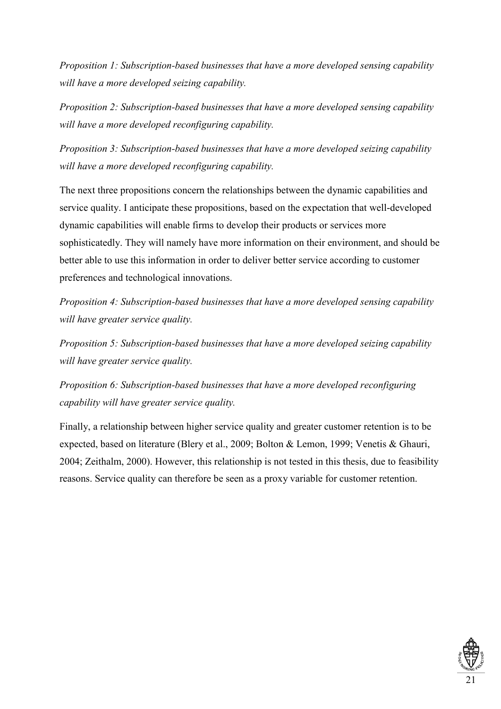*Proposition 1: Subscription-based businesses that have a more developed sensing capability will have a more developed seizing capability.*

*Proposition 2: Subscription-based businesses that have a more developed sensing capability will have a more developed reconfiguring capability.* 

*Proposition 3: Subscription-based businesses that have a more developed seizing capability will have a more developed reconfiguring capability.*

The next three propositions concern the relationships between the dynamic capabilities and service quality. I anticipate these propositions, based on the expectation that well-developed dynamic capabilities will enable firms to develop their products or services more sophisticatedly. They will namely have more information on their environment, and should be better able to use this information in order to deliver better service according to customer preferences and technological innovations.

*Proposition 4: Subscription-based businesses that have a more developed sensing capability will have greater service quality.*

*Proposition 5: Subscription-based businesses that have a more developed seizing capability will have greater service quality.*

*Proposition 6: Subscription-based businesses that have a more developed reconfiguring capability will have greater service quality.*

Finally, a relationship between higher service quality and greater customer retention is to be expected, based on literature (Blery et al., 2009; Bolton & Lemon, 1999; Venetis & Ghauri, 2004; Zeithalm, 2000). However, this relationship is not tested in this thesis, due to feasibility reasons. Service quality can therefore be seen as a proxy variable for customer retention.

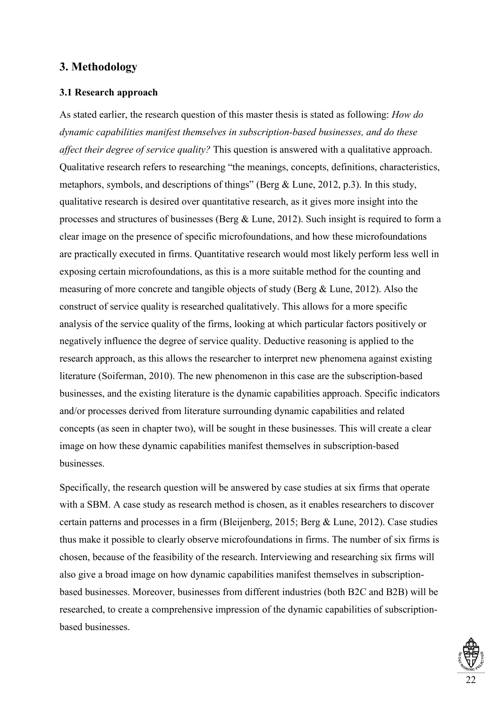## <span id="page-26-0"></span>**3. Methodology**

## <span id="page-26-1"></span>**3.1 Research approach**

As stated earlier, the research question of this master thesis is stated as following: *How do dynamic capabilities manifest themselves in subscription-based businesses, and do these affect their degree of service quality?* This question is answered with a qualitative approach. Qualitative research refers to researching "the meanings, concepts, definitions, characteristics, metaphors, symbols, and descriptions of things" (Berg & Lune, 2012, p.3). In this study, qualitative research is desired over quantitative research, as it gives more insight into the processes and structures of businesses (Berg & Lune, 2012). Such insight is required to form a clear image on the presence of specific microfoundations, and how these microfoundations are practically executed in firms. Quantitative research would most likely perform less well in exposing certain microfoundations, as this is a more suitable method for the counting and measuring of more concrete and tangible objects of study (Berg & Lune, 2012). Also the construct of service quality is researched qualitatively. This allows for a more specific analysis of the service quality of the firms, looking at which particular factors positively or negatively influence the degree of service quality. Deductive reasoning is applied to the research approach, as this allows the researcher to interpret new phenomena against existing literature (Soiferman, 2010). The new phenomenon in this case are the subscription-based businesses, and the existing literature is the dynamic capabilities approach. Specific indicators and/or processes derived from literature surrounding dynamic capabilities and related concepts (as seen in chapter two), will be sought in these businesses. This will create a clear image on how these dynamic capabilities manifest themselves in subscription-based businesses.

Specifically, the research question will be answered by case studies at six firms that operate with a SBM. A case study as research method is chosen, as it enables researchers to discover certain patterns and processes in a firm (Bleijenberg, 2015; Berg & Lune, 2012). Case studies thus make it possible to clearly observe microfoundations in firms. The number of six firms is chosen, because of the feasibility of the research. Interviewing and researching six firms will also give a broad image on how dynamic capabilities manifest themselves in subscriptionbased businesses. Moreover, businesses from different industries (both B2C and B2B) will be researched, to create a comprehensive impression of the dynamic capabilities of subscriptionbased businesses.

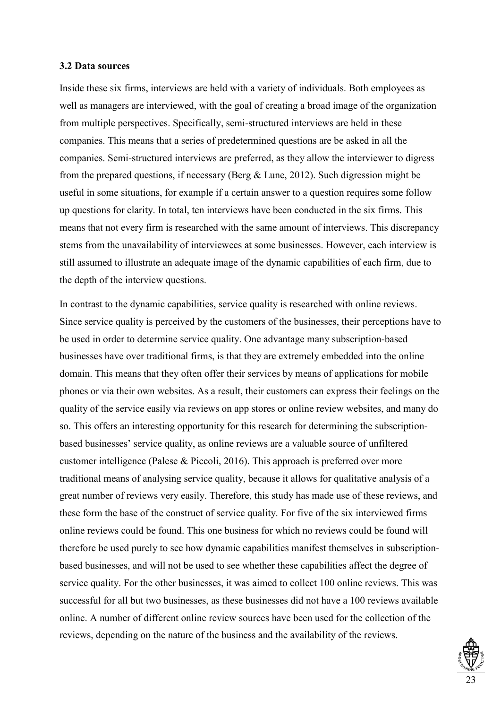#### <span id="page-27-0"></span>**3.2 Data sources**

Inside these six firms, interviews are held with a variety of individuals. Both employees as well as managers are interviewed, with the goal of creating a broad image of the organization from multiple perspectives. Specifically, semi-structured interviews are held in these companies. This means that a series of predetermined questions are be asked in all the companies. Semi-structured interviews are preferred, as they allow the interviewer to digress from the prepared questions, if necessary (Berg & Lune, 2012). Such digression might be useful in some situations, for example if a certain answer to a question requires some follow up questions for clarity. In total, ten interviews have been conducted in the six firms. This means that not every firm is researched with the same amount of interviews. This discrepancy stems from the unavailability of interviewees at some businesses. However, each interview is still assumed to illustrate an adequate image of the dynamic capabilities of each firm, due to the depth of the interview questions.

In contrast to the dynamic capabilities, service quality is researched with online reviews. Since service quality is perceived by the customers of the businesses, their perceptions have to be used in order to determine service quality. One advantage many subscription-based businesses have over traditional firms, is that they are extremely embedded into the online domain. This means that they often offer their services by means of applications for mobile phones or via their own websites. As a result, their customers can express their feelings on the quality of the service easily via reviews on app stores or online review websites, and many do so. This offers an interesting opportunity for this research for determining the subscriptionbased businesses' service quality, as online reviews are a valuable source of unfiltered customer intelligence (Palese & Piccoli, 2016). This approach is preferred over more traditional means of analysing service quality, because it allows for qualitative analysis of a great number of reviews very easily. Therefore, this study has made use of these reviews, and these form the base of the construct of service quality. For five of the six interviewed firms online reviews could be found. This one business for which no reviews could be found will therefore be used purely to see how dynamic capabilities manifest themselves in subscriptionbased businesses, and will not be used to see whether these capabilities affect the degree of service quality. For the other businesses, it was aimed to collect 100 online reviews. This was successful for all but two businesses, as these businesses did not have a 100 reviews available online. A number of different online review sources have been used for the collection of the reviews, depending on the nature of the business and the availability of the reviews.

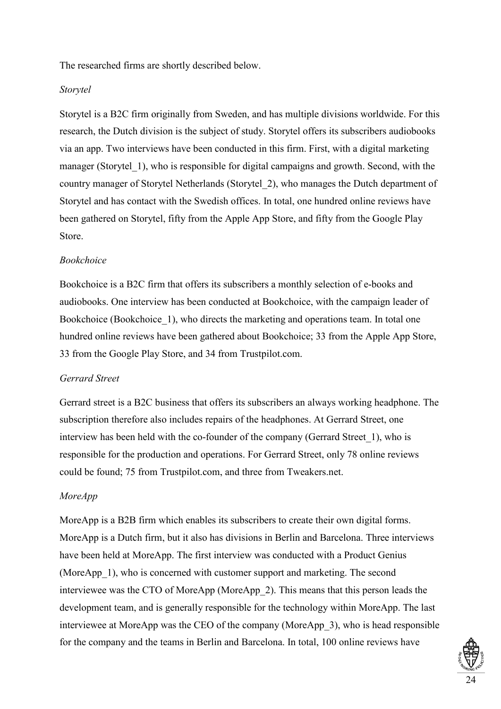The researched firms are shortly described below.

## *Storytel*

Storytel is a B2C firm originally from Sweden, and has multiple divisions worldwide. For this research, the Dutch division is the subject of study. Storytel offers its subscribers audiobooks via an app. Two interviews have been conducted in this firm. First, with a digital marketing manager (Storytel 1), who is responsible for digital campaigns and growth. Second, with the country manager of Storytel Netherlands (Storytel\_2), who manages the Dutch department of Storytel and has contact with the Swedish offices. In total, one hundred online reviews have been gathered on Storytel, fifty from the Apple App Store, and fifty from the Google Play Store.

## *Bookchoice*

Bookchoice is a B2C firm that offers its subscribers a monthly selection of e-books and audiobooks. One interview has been conducted at Bookchoice, with the campaign leader of Bookchoice (Bookchoice 1), who directs the marketing and operations team. In total one hundred online reviews have been gathered about Bookchoice; 33 from the Apple App Store, 33 from the Google Play Store, and 34 from Trustpilot.com.

## *Gerrard Street*

Gerrard street is a B2C business that offers its subscribers an always working headphone. The subscription therefore also includes repairs of the headphones. At Gerrard Street, one interview has been held with the co-founder of the company (Gerrard Street\_1), who is responsible for the production and operations. For Gerrard Street, only 78 online reviews could be found; 75 from Trustpilot.com, and three from Tweakers.net.

## *MoreApp*

MoreApp is a B2B firm which enables its subscribers to create their own digital forms. MoreApp is a Dutch firm, but it also has divisions in Berlin and Barcelona. Three interviews have been held at MoreApp. The first interview was conducted with a Product Genius (MoreApp\_1), who is concerned with customer support and marketing. The second interviewee was the CTO of MoreApp (MoreApp\_2). This means that this person leads the development team, and is generally responsible for the technology within MoreApp. The last interviewee at MoreApp was the CEO of the company (MoreApp\_3), who is head responsible for the company and the teams in Berlin and Barcelona. In total, 100 online reviews have

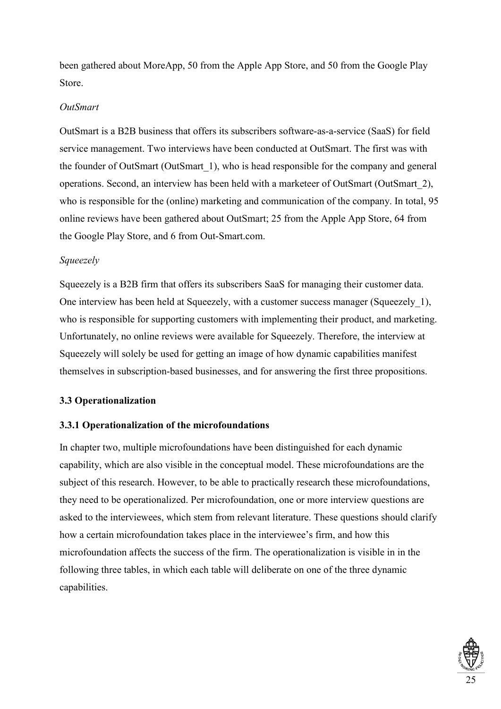been gathered about MoreApp, 50 from the Apple App Store, and 50 from the Google Play Store.

## *OutSmart*

OutSmart is a B2B business that offers its subscribers software-as-a-service (SaaS) for field service management. Two interviews have been conducted at OutSmart. The first was with the founder of OutSmart (OutSmart\_1), who is head responsible for the company and general operations. Second, an interview has been held with a marketeer of OutSmart (OutSmart\_2), who is responsible for the (online) marketing and communication of the company. In total, 95 online reviews have been gathered about OutSmart; 25 from the Apple App Store, 64 from the Google Play Store, and 6 from Out-Smart.com.

## *Squeezely*

Squeezely is a B2B firm that offers its subscribers SaaS for managing their customer data. One interview has been held at Squeezely, with a customer success manager (Squeezely\_1), who is responsible for supporting customers with implementing their product, and marketing. Unfortunately, no online reviews were available for Squeezely. Therefore, the interview at Squeezely will solely be used for getting an image of how dynamic capabilities manifest themselves in subscription-based businesses, and for answering the first three propositions.

## <span id="page-29-0"></span>**3.3 Operationalization**

## <span id="page-29-1"></span>**3.3.1 Operationalization of the microfoundations**

In chapter two, multiple microfoundations have been distinguished for each dynamic capability, which are also visible in the conceptual model. These microfoundations are the subject of this research. However, to be able to practically research these microfoundations, they need to be operationalized. Per microfoundation, one or more interview questions are asked to the interviewees, which stem from relevant literature. These questions should clarify how a certain microfoundation takes place in the interviewee's firm, and how this microfoundation affects the success of the firm. The operationalization is visible in in the following three tables, in which each table will deliberate on one of the three dynamic capabilities.

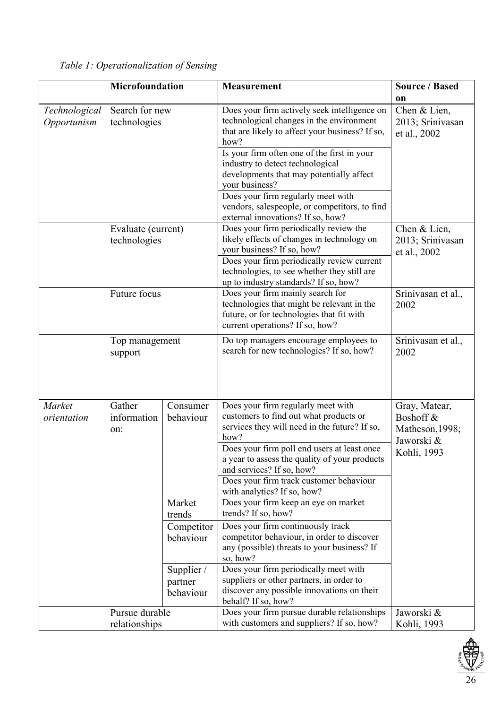<span id="page-30-0"></span>

|  | Table 1: Operationalization of Sensing |  |
|--|----------------------------------------|--|
|--|----------------------------------------|--|

|                              | Microfoundation                                                                                                   |                                                                                   | <b>Measurement</b>                                                                                                                                                                                                                                                                                                                                                                                                               | <b>Source / Based</b>                                                      |
|------------------------------|-------------------------------------------------------------------------------------------------------------------|-----------------------------------------------------------------------------------|----------------------------------------------------------------------------------------------------------------------------------------------------------------------------------------------------------------------------------------------------------------------------------------------------------------------------------------------------------------------------------------------------------------------------------|----------------------------------------------------------------------------|
| Technological<br>Opportunism | Search for new<br>technologies<br>Evaluate (current)<br>technologies<br>Future focus<br>Top management<br>support |                                                                                   | Does your firm actively seek intelligence on<br>technological changes in the environment<br>that are likely to affect your business? If so,<br>how?<br>Is your firm often one of the first in your<br>industry to detect technological<br>developments that may potentially affect<br>your business?<br>Does your firm regularly meet with<br>vendors, salespeople, or competitors, to find<br>external innovations? If so, how? | <sub>on</sub><br>Chen & Lien,<br>2013; Srinivasan<br>et al., 2002          |
|                              |                                                                                                                   |                                                                                   | Does your firm periodically review the<br>likely effects of changes in technology on<br>your business? If so, how?<br>Does your firm periodically review current<br>technologies, to see whether they still are<br>up to industry standards? If so, how?                                                                                                                                                                         | Chen & Lien,<br>2013; Srinivasan<br>et al., 2002                           |
|                              |                                                                                                                   |                                                                                   | Does your firm mainly search for<br>technologies that might be relevant in the<br>future, or for technologies that fit with<br>current operations? If so, how?                                                                                                                                                                                                                                                                   | Srinivasan et al.,<br>2002                                                 |
|                              |                                                                                                                   |                                                                                   | Do top managers encourage employees to<br>search for new technologies? If so, how?                                                                                                                                                                                                                                                                                                                                               | Srinivasan et al.,<br>2002                                                 |
| Market<br>orientation        | Gather<br>information<br>on:                                                                                      | Consumer<br>behaviour                                                             | Does your firm regularly meet with<br>customers to find out what products or<br>services they will need in the future? If so,<br>how?<br>Does your firm poll end users at least once<br>a year to assess the quality of your products<br>and services? If so, how?<br>Does your firm track customer behaviour<br>with analytics? If so, how?                                                                                     | Gray, Matear,<br>Boshoff &<br>Matheson, 1998;<br>Jaworski &<br>Kohli, 1993 |
|                              |                                                                                                                   | Market<br>trends<br>Competitor<br>behaviour<br>Supplier /<br>partner<br>behaviour | Does your firm keep an eye on market<br>trends? If so, how?<br>Does your firm continuously track<br>competitor behaviour, in order to discover<br>any (possible) threats to your business? If<br>so, how?<br>Does your firm periodically meet with<br>suppliers or other partners, in order to<br>discover any possible innovations on their<br>behalf? If so, how?                                                              |                                                                            |
|                              | Pursue durable<br>relationships                                                                                   |                                                                                   | Does your firm pursue durable relationships<br>with customers and suppliers? If so, how?                                                                                                                                                                                                                                                                                                                                         | Jaworski &<br>Kohli, 1993                                                  |

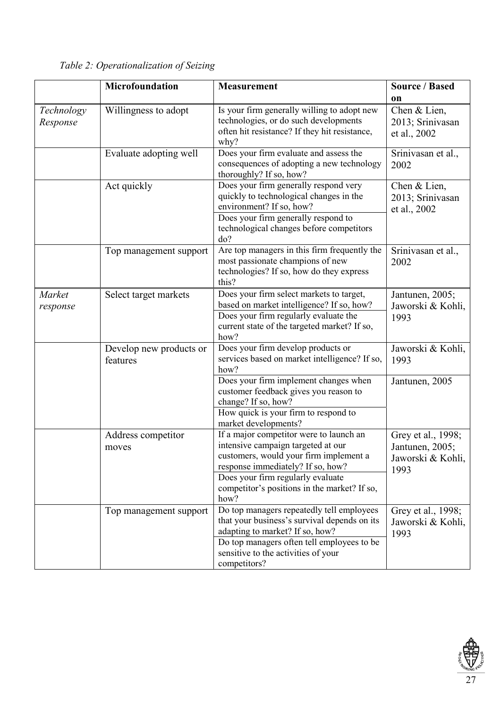|                        | <b>Microfoundation</b>              | <b>Measurement</b>                                                                                                                                                                                                                                        | <b>Source / Based</b>                                              |
|------------------------|-------------------------------------|-----------------------------------------------------------------------------------------------------------------------------------------------------------------------------------------------------------------------------------------------------------|--------------------------------------------------------------------|
|                        |                                     |                                                                                                                                                                                                                                                           | on                                                                 |
| Technology<br>Response | Willingness to adopt                | Is your firm generally willing to adopt new<br>technologies, or do such developments<br>often hit resistance? If they hit resistance,<br>why?                                                                                                             | Chen & Lien,<br>2013; Srinivasan<br>et al., 2002                   |
|                        | Evaluate adopting well              | Does your firm evaluate and assess the<br>consequences of adopting a new technology<br>thoroughly? If so, how?                                                                                                                                            | Srinivasan et al.,<br>2002                                         |
|                        | Act quickly                         | Does your firm generally respond very<br>quickly to technological changes in the<br>environment? If so, how?<br>Does your firm generally respond to<br>technological changes before competitors<br>do?                                                    | Chen & Lien,<br>2013; Srinivasan<br>et al., 2002                   |
|                        | Top management support              | Are top managers in this firm frequently the<br>most passionate champions of new<br>technologies? If so, how do they express<br>this?                                                                                                                     | Srinivasan et al.,<br>2002                                         |
| Market<br>response     | Select target markets               | Does your firm select markets to target,<br>based on market intelligence? If so, how?<br>Does your firm regularly evaluate the<br>current state of the targeted market? If so,<br>how?                                                                    | Jantunen, 2005;<br>Jaworski & Kohli,<br>1993                       |
|                        | Develop new products or<br>features | Does your firm develop products or<br>services based on market intelligence? If so,<br>how?                                                                                                                                                               | Jaworski & Kohli,<br>1993                                          |
|                        |                                     | Does your firm implement changes when<br>customer feedback gives you reason to<br>change? If so, how?<br>How quick is your firm to respond to<br>market developments?                                                                                     | Jantunen, 2005                                                     |
|                        | Address competitor<br>moves         | If a major competitor were to launch an<br>intensive campaign targeted at our<br>customers, would your firm implement a<br>response immediately? If so, how?<br>Does your firm regularly evaluate<br>competitor's positions in the market? If so,<br>how? | Grey et al., 1998;<br>Jantunen, 2005;<br>Jaworski & Kohli,<br>1993 |
|                        | Top management support              | Do top managers repeatedly tell employees<br>that your business's survival depends on its<br>adapting to market? If so, how?<br>Do top managers often tell employees to be<br>sensitive to the activities of your<br>competitors?                         | Grey et al., 1998;<br>Jaworski & Kohli,<br>1993                    |

<span id="page-31-0"></span>*Table 2: Operationalization of Seizing*

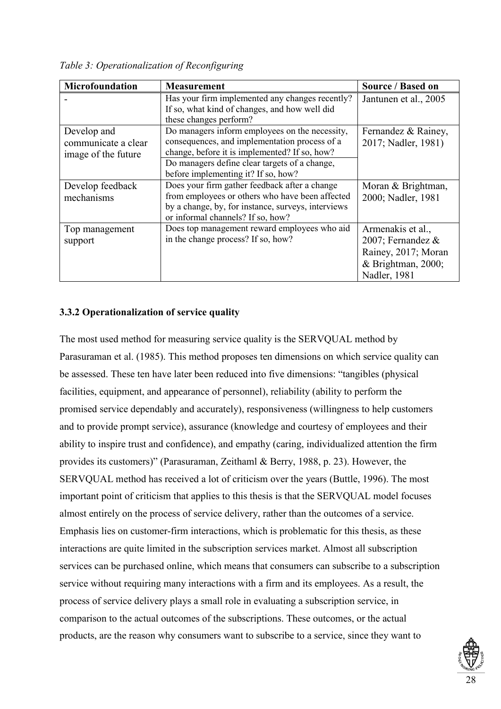<span id="page-32-1"></span>*Table 3: Operationalization of Reconfiguring* 

| Microfoundation                                           | <b>Measurement</b>                                                                                                                                                                                                                                                 | Source / Based on                                                                                      |
|-----------------------------------------------------------|--------------------------------------------------------------------------------------------------------------------------------------------------------------------------------------------------------------------------------------------------------------------|--------------------------------------------------------------------------------------------------------|
|                                                           | Has your firm implemented any changes recently?<br>If so, what kind of changes, and how well did                                                                                                                                                                   | Jantunen et al., 2005                                                                                  |
| Develop and<br>communicate a clear<br>image of the future | these changes perform?<br>Do managers inform employees on the necessity,<br>consequences, and implementation process of a<br>change, before it is implemented? If so, how?<br>Do managers define clear targets of a change,<br>before implementing it? If so, how? | Fernandez & Rainey,<br>2017; Nadler, 1981)                                                             |
| Develop feedback<br>mechanisms                            | Does your firm gather feedback after a change<br>from employees or others who have been affected<br>by a change, by, for instance, surveys, interviews<br>or informal channels? If so, how?                                                                        | Moran & Brightman,<br>2000; Nadler, 1981                                                               |
| Top management<br>support                                 | Does top management reward employees who aid<br>in the change process? If so, how?                                                                                                                                                                                 | Armenakis et al.,<br>2007; Fernandez $\&$<br>Rainey, 2017; Moran<br>& Brightman, 2000;<br>Nadler, 1981 |

## <span id="page-32-0"></span>**3.3.2 Operationalization of service quality**

The most used method for measuring service quality is the SERVQUAL method by Parasuraman et al. (1985). This method proposes ten dimensions on which service quality can be assessed. These ten have later been reduced into five dimensions: "tangibles (physical facilities, equipment, and appearance of personnel), reliability (ability to perform the promised service dependably and accurately), responsiveness (willingness to help customers and to provide prompt service), assurance (knowledge and courtesy of employees and their ability to inspire trust and confidence), and empathy (caring, individualized attention the firm provides its customers)" (Parasuraman, Zeithaml & Berry, 1988, p. 23). However, the SERVQUAL method has received a lot of criticism over the years (Buttle, 1996). The most important point of criticism that applies to this thesis is that the SERVQUAL model focuses almost entirely on the process of service delivery, rather than the outcomes of a service. Emphasis lies on customer-firm interactions, which is problematic for this thesis, as these interactions are quite limited in the subscription services market. Almost all subscription services can be purchased online, which means that consumers can subscribe to a subscription service without requiring many interactions with a firm and its employees. As a result, the process of service delivery plays a small role in evaluating a subscription service, in comparison to the actual outcomes of the subscriptions. These outcomes, or the actual products, are the reason why consumers want to subscribe to a service, since they want to

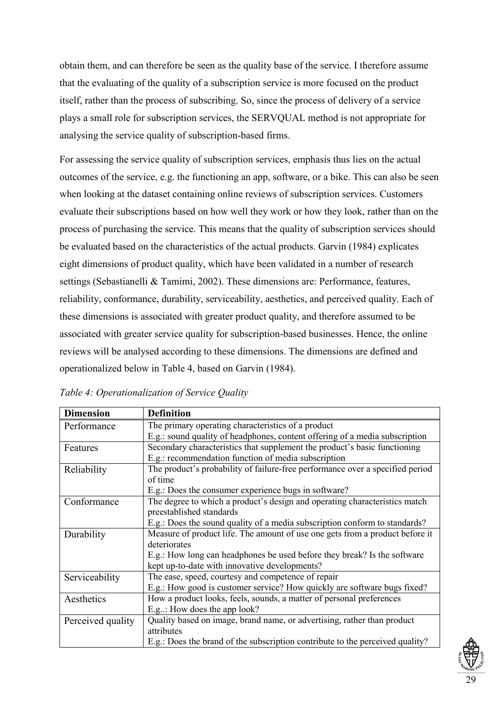obtain them, and can therefore be seen as the quality base of the service. I therefore assume that the evaluating of the quality of a subscription service is more focused on the product itself, rather than the process of subscribing. So, since the process of delivery of a service plays a small role for subscription services, the SERVQUAL method is not appropriate for analysing the service quality of subscription-based firms.

For assessing the service quality of subscription services, emphasis thus lies on the actual outcomes of the service, e.g. the functioning an app, software, or a bike. This can also be seen when looking at the dataset containing online reviews of subscription services. Customers evaluate their subscriptions based on how well they work or how they look, rather than on the process of purchasing the service. This means that the quality of subscription services should be evaluated based on the characteristics of the actual products. Garvin (1984) explicates eight dimensions of product quality, which have been validated in a number of research settings (Sebastianelli & Tamimi, 2002). These dimensions are: Performance, features, reliability, conformance, durability, serviceability, aesthetics, and perceived quality. Each of these dimensions is associated with greater product quality, and therefore assumed to be associated with greater service quality for subscription-based businesses. Hence, the online reviews will be analysed according to these dimensions. The dimensions are defined and operationalized below in Table 4, based on Garvin (1984).

<span id="page-33-0"></span>

| Table 4: Operationalization of Service Quality |  |  |
|------------------------------------------------|--|--|
|                                                |  |  |

| <b>Dimension</b>  | <b>Definition</b>                                                             |  |  |
|-------------------|-------------------------------------------------------------------------------|--|--|
| Performance       | The primary operating characteristics of a product                            |  |  |
|                   | E.g.: sound quality of headphones, content offering of a media subscription   |  |  |
| Features          | Secondary characteristics that supplement the product's basic functioning     |  |  |
|                   | E.g.: recommendation function of media subscription                           |  |  |
| Reliability       | The product's probability of failure-free performance over a specified period |  |  |
|                   | of time                                                                       |  |  |
|                   | E.g.: Does the consumer experience bugs in software?                          |  |  |
| Conformance       | The degree to which a product's design and operating characteristics match    |  |  |
|                   | preestablished standards                                                      |  |  |
|                   | E.g.: Does the sound quality of a media subscription conform to standards?    |  |  |
| Durability        | Measure of product life. The amount of use one gets from a product before it  |  |  |
|                   | deteriorates                                                                  |  |  |
|                   | E.g.: How long can headphones be used before they break? Is the software      |  |  |
|                   | kept up-to-date with innovative developments?                                 |  |  |
| Serviceability    | The ease, speed, courtesy and competence of repair                            |  |  |
|                   | E.g.: How good is customer service? How quickly are software bugs fixed?      |  |  |
| Aesthetics        | How a product looks, feels, sounds, a matter of personal preferences          |  |  |
|                   | E.g.: How does the app look?                                                  |  |  |
| Perceived quality | Quality based on image, brand name, or advertising, rather than product       |  |  |
|                   | attributes                                                                    |  |  |
|                   | E.g.: Does the brand of the subscription contribute to the perceived quality? |  |  |

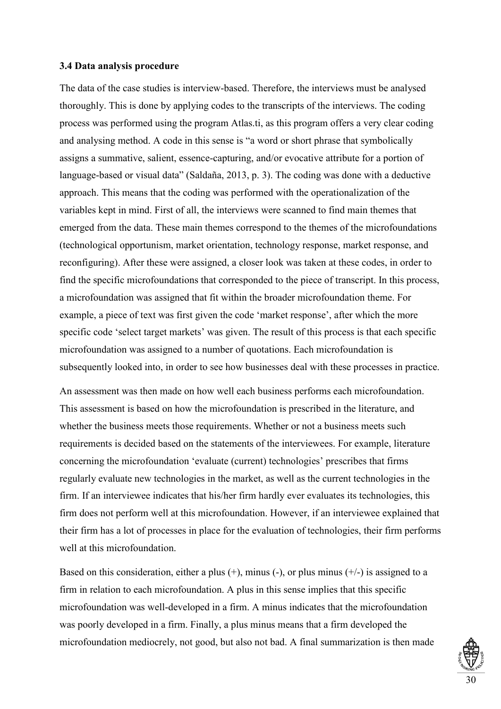#### <span id="page-34-0"></span>**3.4 Data analysis procedure**

The data of the case studies is interview-based. Therefore, the interviews must be analysed thoroughly. This is done by applying codes to the transcripts of the interviews. The coding process was performed using the program Atlas.ti, as this program offers a very clear coding and analysing method. A code in this sense is "a word or short phrase that symbolically assigns a summative, salient, essence-capturing, and/or evocative attribute for a portion of language-based or visual data" (Saldaña, 2013, p. 3). The coding was done with a deductive approach. This means that the coding was performed with the operationalization of the variables kept in mind. First of all, the interviews were scanned to find main themes that emerged from the data. These main themes correspond to the themes of the microfoundations (technological opportunism, market orientation, technology response, market response, and reconfiguring). After these were assigned, a closer look was taken at these codes, in order to find the specific microfoundations that corresponded to the piece of transcript. In this process, a microfoundation was assigned that fit within the broader microfoundation theme. For example, a piece of text was first given the code 'market response', after which the more specific code 'select target markets' was given. The result of this process is that each specific microfoundation was assigned to a number of quotations. Each microfoundation is subsequently looked into, in order to see how businesses deal with these processes in practice.

An assessment was then made on how well each business performs each microfoundation. This assessment is based on how the microfoundation is prescribed in the literature, and whether the business meets those requirements. Whether or not a business meets such requirements is decided based on the statements of the interviewees. For example, literature concerning the microfoundation 'evaluate (current) technologies' prescribes that firms regularly evaluate new technologies in the market, as well as the current technologies in the firm. If an interviewee indicates that his/her firm hardly ever evaluates its technologies, this firm does not perform well at this microfoundation. However, if an interviewee explained that their firm has a lot of processes in place for the evaluation of technologies, their firm performs well at this microfoundation.

Based on this consideration, either a plus  $(+)$ , minus  $(-)$ , or plus minus  $(+/-)$  is assigned to a firm in relation to each microfoundation. A plus in this sense implies that this specific microfoundation was well-developed in a firm. A minus indicates that the microfoundation was poorly developed in a firm. Finally, a plus minus means that a firm developed the microfoundation mediocrely, not good, but also not bad. A final summarization is then made

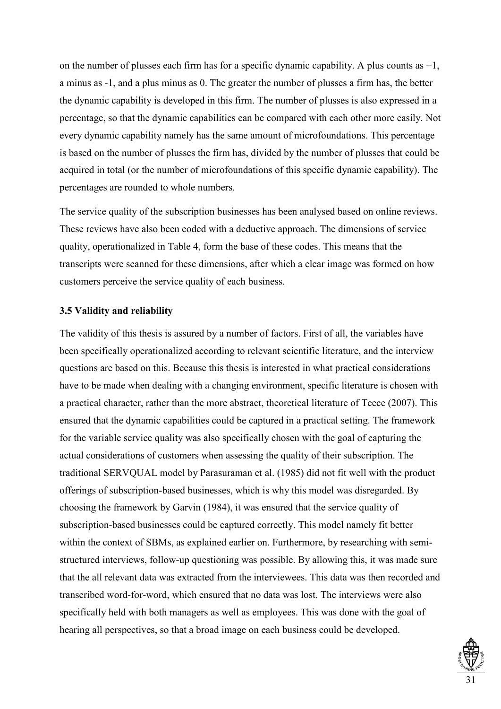on the number of plusses each firm has for a specific dynamic capability. A plus counts as  $+1$ , a minus as -1, and a plus minus as 0. The greater the number of plusses a firm has, the better the dynamic capability is developed in this firm. The number of plusses is also expressed in a percentage, so that the dynamic capabilities can be compared with each other more easily. Not every dynamic capability namely has the same amount of microfoundations. This percentage is based on the number of plusses the firm has, divided by the number of plusses that could be acquired in total (or the number of microfoundations of this specific dynamic capability). The percentages are rounded to whole numbers.

The service quality of the subscription businesses has been analysed based on online reviews. These reviews have also been coded with a deductive approach. The dimensions of service quality, operationalized in Table 4, form the base of these codes. This means that the transcripts were scanned for these dimensions, after which a clear image was formed on how customers perceive the service quality of each business.

## <span id="page-35-0"></span>**3.5 Validity and reliability**

The validity of this thesis is assured by a number of factors. First of all, the variables have been specifically operationalized according to relevant scientific literature, and the interview questions are based on this. Because this thesis is interested in what practical considerations have to be made when dealing with a changing environment, specific literature is chosen with a practical character, rather than the more abstract, theoretical literature of Teece (2007). This ensured that the dynamic capabilities could be captured in a practical setting. The framework for the variable service quality was also specifically chosen with the goal of capturing the actual considerations of customers when assessing the quality of their subscription. The traditional SERVQUAL model by Parasuraman et al. (1985) did not fit well with the product offerings of subscription-based businesses, which is why this model was disregarded. By choosing the framework by Garvin (1984), it was ensured that the service quality of subscription-based businesses could be captured correctly. This model namely fit better within the context of SBMs, as explained earlier on. Furthermore, by researching with semistructured interviews, follow-up questioning was possible. By allowing this, it was made sure that the all relevant data was extracted from the interviewees. This data was then recorded and transcribed word-for-word, which ensured that no data was lost. The interviews were also specifically held with both managers as well as employees. This was done with the goal of hearing all perspectives, so that a broad image on each business could be developed.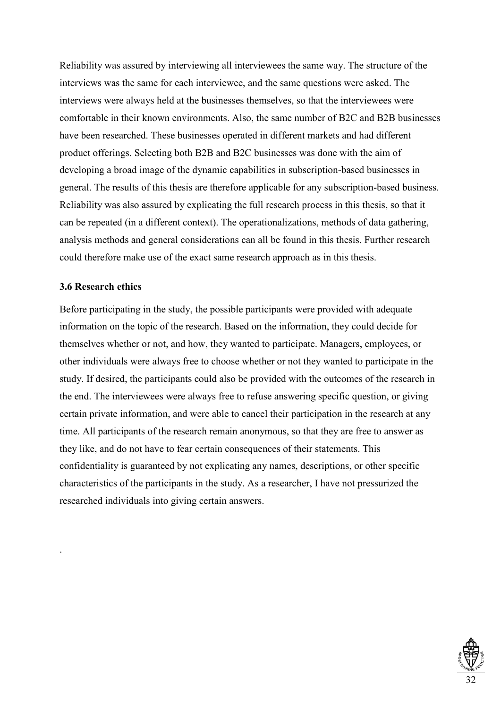Reliability was assured by interviewing all interviewees the same way. The structure of the interviews was the same for each interviewee, and the same questions were asked. The interviews were always held at the businesses themselves, so that the interviewees were comfortable in their known environments. Also, the same number of B2C and B2B businesses have been researched. These businesses operated in different markets and had different product offerings. Selecting both B2B and B2C businesses was done with the aim of developing a broad image of the dynamic capabilities in subscription-based businesses in general. The results of this thesis are therefore applicable for any subscription-based business. Reliability was also assured by explicating the full research process in this thesis, so that it can be repeated (in a different context). The operationalizations, methods of data gathering, analysis methods and general considerations can all be found in this thesis. Further research could therefore make use of the exact same research approach as in this thesis.

# **3.6 Research ethics**

.

Before participating in the study, the possible participants were provided with adequate information on the topic of the research. Based on the information, they could decide for themselves whether or not, and how, they wanted to participate. Managers, employees, or other individuals were always free to choose whether or not they wanted to participate in the study. If desired, the participants could also be provided with the outcomes of the research in the end. The interviewees were always free to refuse answering specific question, or giving certain private information, and were able to cancel their participation in the research at any time. All participants of the research remain anonymous, so that they are free to answer as they like, and do not have to fear certain consequences of their statements. This confidentiality is guaranteed by not explicating any names, descriptions, or other specific characteristics of the participants in the study. As a researcher, I have not pressurized the researched individuals into giving certain answers.

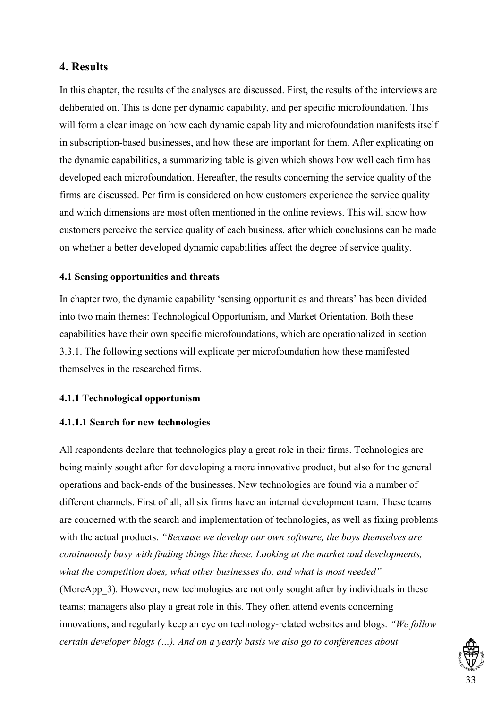# **4. Results**

In this chapter, the results of the analyses are discussed. First, the results of the interviews are deliberated on. This is done per dynamic capability, and per specific microfoundation. This will form a clear image on how each dynamic capability and microfoundation manifests itself in subscription-based businesses, and how these are important for them. After explicating on the dynamic capabilities, a summarizing table is given which shows how well each firm has developed each microfoundation. Hereafter, the results concerning the service quality of the firms are discussed. Per firm is considered on how customers experience the service quality and which dimensions are most often mentioned in the online reviews. This will show how customers perceive the service quality of each business, after which conclusions can be made on whether a better developed dynamic capabilities affect the degree of service quality.

# **4.1 Sensing opportunities and threats**

In chapter two, the dynamic capability 'sensing opportunities and threats' has been divided into two main themes: Technological Opportunism, and Market Orientation. Both these capabilities have their own specific microfoundations, which are operationalized in section 3.3.1. The following sections will explicate per microfoundation how these manifested themselves in the researched firms.

# **4.1.1 Technological opportunism**

# **4.1.1.1 Search for new technologies**

All respondents declare that technologies play a great role in their firms. Technologies are being mainly sought after for developing a more innovative product, but also for the general operations and back-ends of the businesses. New technologies are found via a number of different channels. First of all, all six firms have an internal development team. These teams are concerned with the search and implementation of technologies, as well as fixing problems with the actual products. *"Because we develop our own software, the boys themselves are continuously busy with finding things like these. Looking at the market and developments, what the competition does, what other businesses do, and what is most needed"* (MoreApp\_3)*.* However, new technologies are not only sought after by individuals in these teams; managers also play a great role in this. They often attend events concerning innovations, and regularly keep an eye on technology-related websites and blogs. *"We follow certain developer blogs (…). And on a yearly basis we also go to conferences about*

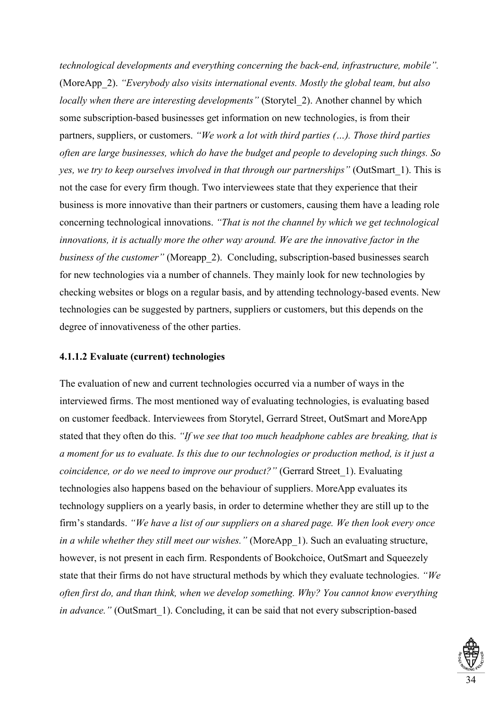*technological developments and everything concerning the back-end, infrastructure, mobile".*  (MoreApp\_2). *"Everybody also visits international events. Mostly the global team, but also locally when there are interesting developments"* (Storytel\_2). Another channel by which some subscription-based businesses get information on new technologies, is from their partners, suppliers, or customers. *"We work a lot with third parties (…). Those third parties often are large businesses, which do have the budget and people to developing such things. So yes, we try to keep ourselves involved in that through our partnerships"* (OutSmart\_1). This is not the case for every firm though. Two interviewees state that they experience that their business is more innovative than their partners or customers, causing them have a leading role concerning technological innovations. *"That is not the channel by which we get technological innovations, it is actually more the other way around. We are the innovative factor in the business of the customer"* (Moreapp 2). Concluding, subscription-based businesses search for new technologies via a number of channels. They mainly look for new technologies by checking websites or blogs on a regular basis, and by attending technology-based events. New technologies can be suggested by partners, suppliers or customers, but this depends on the degree of innovativeness of the other parties.

# **4.1.1.2 Evaluate (current) technologies**

The evaluation of new and current technologies occurred via a number of ways in the interviewed firms. The most mentioned way of evaluating technologies, is evaluating based on customer feedback. Interviewees from Storytel, Gerrard Street, OutSmart and MoreApp stated that they often do this. *"If we see that too much headphone cables are breaking, that is a moment for us to evaluate. Is this due to our technologies or production method, is it just a coincidence, or do we need to improve our product?"* (Gerrard Street 1). Evaluating technologies also happens based on the behaviour of suppliers. MoreApp evaluates its technology suppliers on a yearly basis, in order to determine whether they are still up to the firm's standards. *"We have a list of our suppliers on a shared page. We then look every once in a while whether they still meet our wishes.*" (MoreApp 1). Such an evaluating structure, however, is not present in each firm. Respondents of Bookchoice, OutSmart and Squeezely state that their firms do not have structural methods by which they evaluate technologies. *"We often first do, and than think, when we develop something. Why? You cannot know everything in advance.*" (OutSmart 1). Concluding, it can be said that not every subscription-based

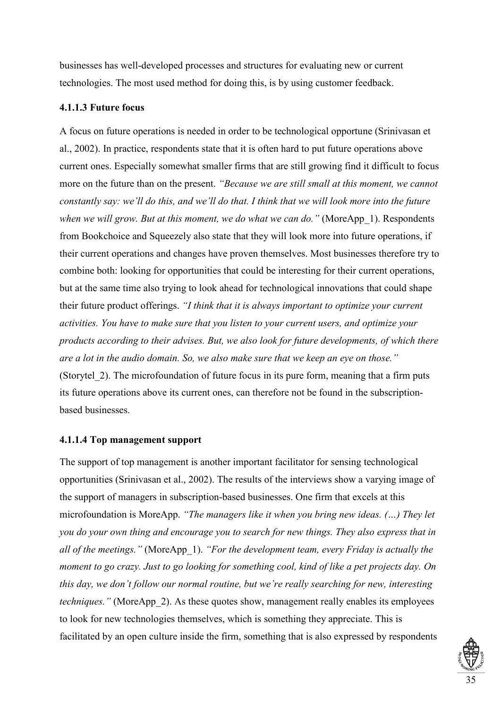businesses has well-developed processes and structures for evaluating new or current technologies. The most used method for doing this, is by using customer feedback.

# **4.1.1.3 Future focus**

A focus on future operations is needed in order to be technological opportune (Srinivasan et al., 2002). In practice, respondents state that it is often hard to put future operations above current ones. Especially somewhat smaller firms that are still growing find it difficult to focus more on the future than on the present. *"Because we are still small at this moment, we cannot constantly say: we'll do this, and we'll do that. I think that we will look more into the future when we will grow. But at this moment, we do what we can do.*" (MoreApp 1). Respondents from Bookchoice and Squeezely also state that they will look more into future operations, if their current operations and changes have proven themselves. Most businesses therefore try to combine both: looking for opportunities that could be interesting for their current operations, but at the same time also trying to look ahead for technological innovations that could shape their future product offerings. *"I think that it is always important to optimize your current activities. You have to make sure that you listen to your current users, and optimize your products according to their advises. But, we also look for future developments, of which there are a lot in the audio domain. So, we also make sure that we keep an eye on those."* (Storytel\_2). The microfoundation of future focus in its pure form, meaning that a firm puts its future operations above its current ones, can therefore not be found in the subscriptionbased businesses.

# **4.1.1.4 Top management support**

The support of top management is another important facilitator for sensing technological opportunities (Srinivasan et al., 2002). The results of the interviews show a varying image of the support of managers in subscription-based businesses. One firm that excels at this microfoundation is MoreApp. *"The managers like it when you bring new ideas. (…) They let you do your own thing and encourage you to search for new things. They also express that in all of the meetings."* (MoreApp\_1). *"For the development team, every Friday is actually the moment to go crazy. Just to go looking for something cool, kind of like a pet projects day. On this day, we don't follow our normal routine, but we're really searching for new, interesting techniques.*" (MoreApp 2). As these quotes show, management really enables its employees to look for new technologies themselves, which is something they appreciate. This is facilitated by an open culture inside the firm, something that is also expressed by respondents

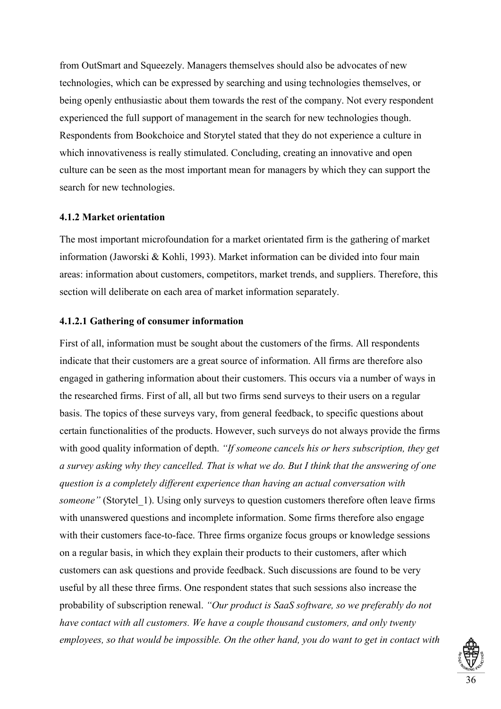from OutSmart and Squeezely. Managers themselves should also be advocates of new technologies, which can be expressed by searching and using technologies themselves, or being openly enthusiastic about them towards the rest of the company. Not every respondent experienced the full support of management in the search for new technologies though. Respondents from Bookchoice and Storytel stated that they do not experience a culture in which innovativeness is really stimulated. Concluding, creating an innovative and open culture can be seen as the most important mean for managers by which they can support the search for new technologies.

# **4.1.2 Market orientation**

The most important microfoundation for a market orientated firm is the gathering of market information (Jaworski & Kohli, 1993). Market information can be divided into four main areas: information about customers, competitors, market trends, and suppliers. Therefore, this section will deliberate on each area of market information separately.

# **4.1.2.1 Gathering of consumer information**

First of all, information must be sought about the customers of the firms. All respondents indicate that their customers are a great source of information. All firms are therefore also engaged in gathering information about their customers. This occurs via a number of ways in the researched firms. First of all, all but two firms send surveys to their users on a regular basis. The topics of these surveys vary, from general feedback, to specific questions about certain functionalities of the products. However, such surveys do not always provide the firms with good quality information of depth. *"If someone cancels his or hers subscription, they get a survey asking why they cancelled. That is what we do. But I think that the answering of one question is a completely different experience than having an actual conversation with someone"* (Storytel 1). Using only surveys to question customers therefore often leave firms with unanswered questions and incomplete information. Some firms therefore also engage with their customers face-to-face. Three firms organize focus groups or knowledge sessions on a regular basis, in which they explain their products to their customers, after which customers can ask questions and provide feedback. Such discussions are found to be very useful by all these three firms. One respondent states that such sessions also increase the probability of subscription renewal. *"Our product is SaaS software, so we preferably do not have contact with all customers. We have a couple thousand customers, and only twenty employees, so that would be impossible. On the other hand, you do want to get in contact with* 

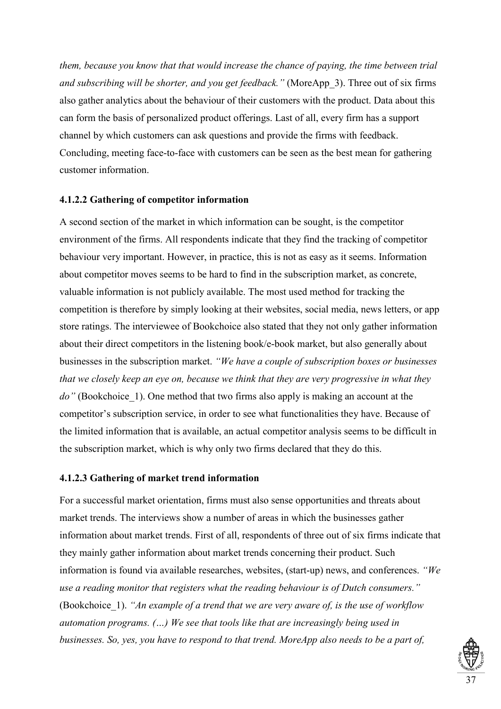*them, because you know that that would increase the chance of paying, the time between trial and subscribing will be shorter, and you get feedback."* (MoreApp\_3). Three out of six firms also gather analytics about the behaviour of their customers with the product. Data about this can form the basis of personalized product offerings. Last of all, every firm has a support channel by which customers can ask questions and provide the firms with feedback. Concluding, meeting face-to-face with customers can be seen as the best mean for gathering customer information.

# **4.1.2.2 Gathering of competitor information**

A second section of the market in which information can be sought, is the competitor environment of the firms. All respondents indicate that they find the tracking of competitor behaviour very important. However, in practice, this is not as easy as it seems. Information about competitor moves seems to be hard to find in the subscription market, as concrete, valuable information is not publicly available. The most used method for tracking the competition is therefore by simply looking at their websites, social media, news letters, or app store ratings. The interviewee of Bookchoice also stated that they not only gather information about their direct competitors in the listening book/e-book market, but also generally about businesses in the subscription market. *"We have a couple of subscription boxes or businesses that we closely keep an eye on, because we think that they are very progressive in what they*  do" (Bookchoice 1). One method that two firms also apply is making an account at the competitor's subscription service, in order to see what functionalities they have. Because of the limited information that is available, an actual competitor analysis seems to be difficult in the subscription market, which is why only two firms declared that they do this.

### **4.1.2.3 Gathering of market trend information**

For a successful market orientation, firms must also sense opportunities and threats about market trends. The interviews show a number of areas in which the businesses gather information about market trends. First of all, respondents of three out of six firms indicate that they mainly gather information about market trends concerning their product. Such information is found via available researches, websites, (start-up) news, and conferences. *"We use a reading monitor that registers what the reading behaviour is of Dutch consumers."*  (Bookchoice\_1). *"An example of a trend that we are very aware of, is the use of workflow automation programs. (…) We see that tools like that are increasingly being used in businesses. So, yes, you have to respond to that trend. MoreApp also needs to be a part of,* 

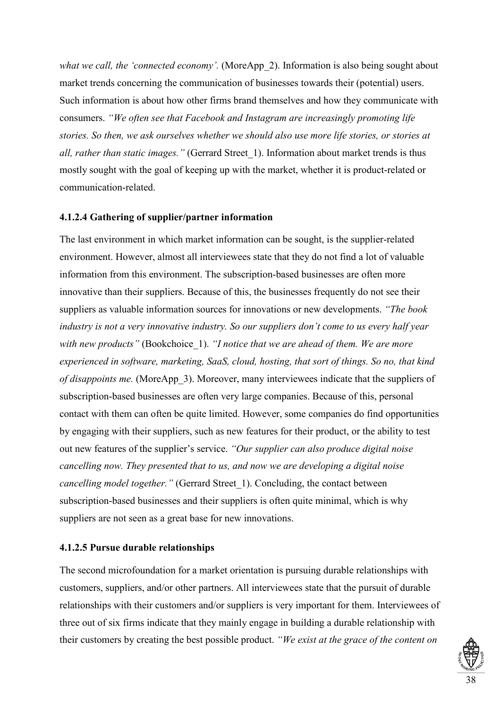*what we call, the 'connected economy'.* (MoreApp 2). Information is also being sought about market trends concerning the communication of businesses towards their (potential) users. Such information is about how other firms brand themselves and how they communicate with consumers. *"We often see that Facebook and Instagram are increasingly promoting life stories. So then, we ask ourselves whether we should also use more life stories, or stories at all, rather than static images."* (Gerrard Street\_1). Information about market trends is thus mostly sought with the goal of keeping up with the market, whether it is product-related or communication-related.

# **4.1.2.4 Gathering of supplier/partner information**

The last environment in which market information can be sought, is the supplier-related environment. However, almost all interviewees state that they do not find a lot of valuable information from this environment. The subscription-based businesses are often more innovative than their suppliers. Because of this, the businesses frequently do not see their suppliers as valuable information sources for innovations or new developments. *"The book industry is not a very innovative industry. So our suppliers don't come to us every half year with new products"* (Bookchoice\_1). *"I notice that we are ahead of them. We are more experienced in software, marketing, SaaS, cloud, hosting, that sort of things. So no, that kind of disappoints me.* (MoreApp 3). Moreover, many interviewees indicate that the suppliers of subscription-based businesses are often very large companies. Because of this, personal contact with them can often be quite limited. However, some companies do find opportunities by engaging with their suppliers, such as new features for their product, or the ability to test out new features of the supplier's service. *"Our supplier can also produce digital noise cancelling now. They presented that to us, and now we are developing a digital noise cancelling model together.*" (Gerrard Street 1). Concluding, the contact between subscription-based businesses and their suppliers is often quite minimal, which is why suppliers are not seen as a great base for new innovations.

# **4.1.2.5 Pursue durable relationships**

The second microfoundation for a market orientation is pursuing durable relationships with customers, suppliers, and/or other partners. All interviewees state that the pursuit of durable relationships with their customers and/or suppliers is very important for them. Interviewees of three out of six firms indicate that they mainly engage in building a durable relationship with their customers by creating the best possible product. *"We exist at the grace of the content on* 

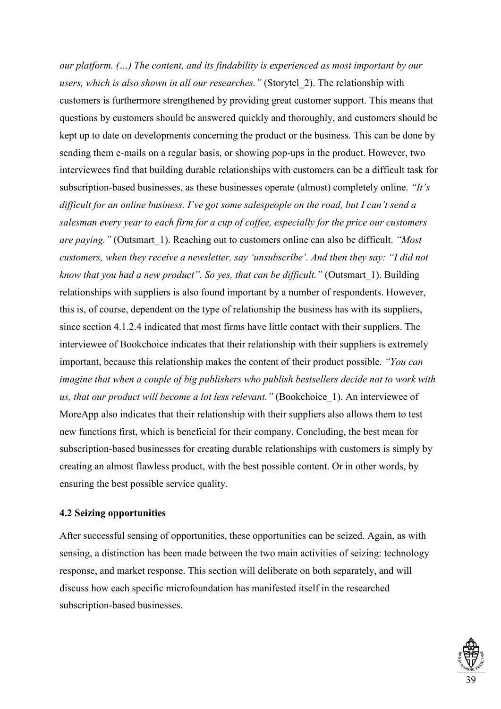*our platform. (…) The content, and its findability is experienced as most important by our users, which is also shown in all our researches."* (Storytel\_2). The relationship with customers is furthermore strengthened by providing great customer support. This means that questions by customers should be answered quickly and thoroughly, and customers should be kept up to date on developments concerning the product or the business. This can be done by sending them e-mails on a regular basis, or showing pop-ups in the product. However, two interviewees find that building durable relationships with customers can be a difficult task for subscription-based businesses, as these businesses operate (almost) completely online. *"It's difficult for an online business. I've got some salespeople on the road, but I can't send a salesman every year to each firm for a cup of coffee, especially for the price our customers are paying."* (Outsmart\_1). Reaching out to customers online can also be difficult. *"Most customers, when they receive a newsletter, say 'unsubscribe'. And then they say: "I did not know that you had a new product". So yes, that can be difficult."* (Outsmart 1). Building relationships with suppliers is also found important by a number of respondents. However, this is, of course, dependent on the type of relationship the business has with its suppliers, since section 4.1.2.4 indicated that most firms have little contact with their suppliers. The interviewee of Bookchoice indicates that their relationship with their suppliers is extremely important, because this relationship makes the content of their product possible. *"You can imagine that when a couple of big publishers who publish bestsellers decide not to work with us, that our product will become a lot less relevant."* (Bookchoice\_1). An interviewee of MoreApp also indicates that their relationship with their suppliers also allows them to test new functions first, which is beneficial for their company. Concluding, the best mean for subscription-based businesses for creating durable relationships with customers is simply by creating an almost flawless product, with the best possible content. Or in other words, by ensuring the best possible service quality.

### **4.2 Seizing opportunities**

After successful sensing of opportunities, these opportunities can be seized. Again, as with sensing, a distinction has been made between the two main activities of seizing: technology response, and market response. This section will deliberate on both separately, and will discuss how each specific microfoundation has manifested itself in the researched subscription-based businesses.

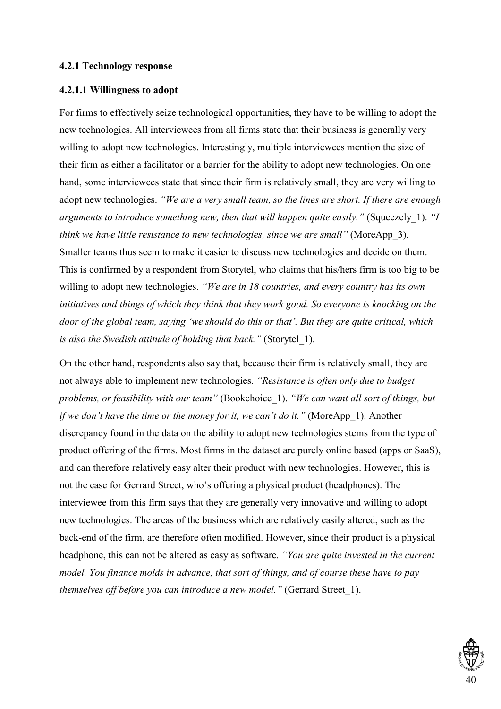### **4.2.1 Technology response**

# **4.2.1.1 Willingness to adopt**

For firms to effectively seize technological opportunities, they have to be willing to adopt the new technologies. All interviewees from all firms state that their business is generally very willing to adopt new technologies. Interestingly, multiple interviewees mention the size of their firm as either a facilitator or a barrier for the ability to adopt new technologies. On one hand, some interviewees state that since their firm is relatively small, they are very willing to adopt new technologies. *"We are a very small team, so the lines are short. If there are enough arguments to introduce something new, then that will happen quite easily."* (Squeezely\_1). *"I think we have little resistance to new technologies, since we are small"* (MoreApp\_3). Smaller teams thus seem to make it easier to discuss new technologies and decide on them. This is confirmed by a respondent from Storytel, who claims that his/hers firm is too big to be willing to adopt new technologies. *"We are in 18 countries, and every country has its own initiatives and things of which they think that they work good. So everyone is knocking on the door of the global team, saying 'we should do this or that'. But they are quite critical, which is also the Swedish attitude of holding that back."* (Storytel\_1).

On the other hand, respondents also say that, because their firm is relatively small, they are not always able to implement new technologies. *"Resistance is often only due to budget problems, or feasibility with our team"* (Bookchoice\_1). *"We can want all sort of things, but if we don't have the time or the money for it, we can't do it."* (MoreApp 1). Another discrepancy found in the data on the ability to adopt new technologies stems from the type of product offering of the firms. Most firms in the dataset are purely online based (apps or SaaS), and can therefore relatively easy alter their product with new technologies. However, this is not the case for Gerrard Street, who's offering a physical product (headphones). The interviewee from this firm says that they are generally very innovative and willing to adopt new technologies. The areas of the business which are relatively easily altered, such as the back-end of the firm, are therefore often modified. However, since their product is a physical headphone, this can not be altered as easy as software. *"You are quite invested in the current model. You finance molds in advance, that sort of things, and of course these have to pay themselves off before you can introduce a new model."* (Gerrard Street\_1).

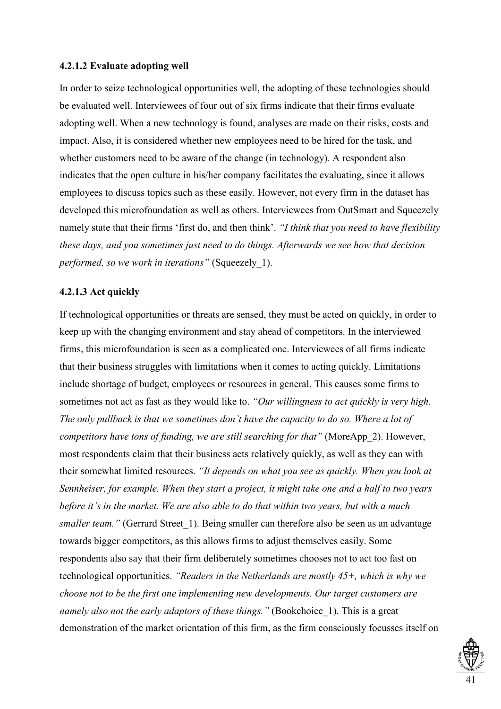### **4.2.1.2 Evaluate adopting well**

In order to seize technological opportunities well, the adopting of these technologies should be evaluated well. Interviewees of four out of six firms indicate that their firms evaluate adopting well. When a new technology is found, analyses are made on their risks, costs and impact. Also, it is considered whether new employees need to be hired for the task, and whether customers need to be aware of the change (in technology). A respondent also indicates that the open culture in his/her company facilitates the evaluating, since it allows employees to discuss topics such as these easily. However, not every firm in the dataset has developed this microfoundation as well as others. Interviewees from OutSmart and Squeezely namely state that their firms 'first do, and then think'. *"I think that you need to have flexibility these days, and you sometimes just need to do things. Afterwards we see how that decision performed, so we work in iterations"* (Squeezely\_1).

# **4.2.1.3 Act quickly**

If technological opportunities or threats are sensed, they must be acted on quickly, in order to keep up with the changing environment and stay ahead of competitors. In the interviewed firms, this microfoundation is seen as a complicated one. Interviewees of all firms indicate that their business struggles with limitations when it comes to acting quickly. Limitations include shortage of budget, employees or resources in general. This causes some firms to sometimes not act as fast as they would like to. *"Our willingness to act quickly is very high. The only pullback is that we sometimes don't have the capacity to do so. Where a lot of competitors have tons of funding, we are still searching for that"* (MoreApp\_2). However, most respondents claim that their business acts relatively quickly, as well as they can with their somewhat limited resources. *"It depends on what you see as quickly. When you look at Sennheiser, for example. When they start a project, it might take one and a half to two years before it's in the market. We are also able to do that within two years, but with a much smaller team.*" (Gerrard Street 1). Being smaller can therefore also be seen as an advantage towards bigger competitors, as this allows firms to adjust themselves easily. Some respondents also say that their firm deliberately sometimes chooses not to act too fast on technological opportunities. *"Readers in the Netherlands are mostly 45+, which is why we choose not to be the first one implementing new developments. Our target customers are namely also not the early adaptors of these things.*" (Bookchoice 1). This is a great demonstration of the market orientation of this firm, as the firm consciously focusses itself on

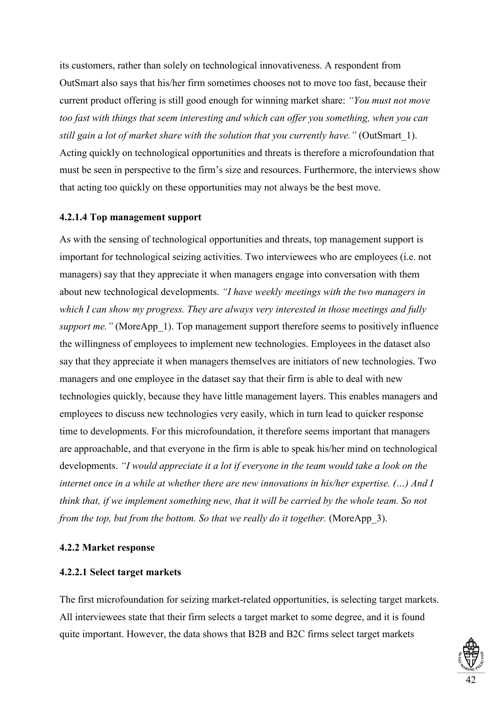its customers, rather than solely on technological innovativeness. A respondent from OutSmart also says that his/her firm sometimes chooses not to move too fast, because their current product offering is still good enough for winning market share: *"You must not move too fast with things that seem interesting and which can offer you something, when you can still gain a lot of market share with the solution that you currently have."* (OutSmart\_1). Acting quickly on technological opportunities and threats is therefore a microfoundation that must be seen in perspective to the firm's size and resources. Furthermore, the interviews show that acting too quickly on these opportunities may not always be the best move.

# **4.2.1.4 Top management support**

As with the sensing of technological opportunities and threats, top management support is important for technological seizing activities. Two interviewees who are employees (i.e. not managers) say that they appreciate it when managers engage into conversation with them about new technological developments. *"I have weekly meetings with the two managers in which I can show my progress. They are always very interested in those meetings and fully support me.*" (MoreApp 1). Top management support therefore seems to positively influence the willingness of employees to implement new technologies. Employees in the dataset also say that they appreciate it when managers themselves are initiators of new technologies. Two managers and one employee in the dataset say that their firm is able to deal with new technologies quickly, because they have little management layers. This enables managers and employees to discuss new technologies very easily, which in turn lead to quicker response time to developments. For this microfoundation, it therefore seems important that managers are approachable, and that everyone in the firm is able to speak his/her mind on technological developments. *"I would appreciate it a lot if everyone in the team would take a look on the internet once in a while at whether there are new innovations in his/her expertise. (…) And I think that, if we implement something new, that it will be carried by the whole team. So not from the top, but from the bottom. So that we really do it together.* (MoreApp 3).

### **4.2.2 Market response**

### **4.2.2.1 Select target markets**

The first microfoundation for seizing market-related opportunities, is selecting target markets. All interviewees state that their firm selects a target market to some degree, and it is found quite important. However, the data shows that B2B and B2C firms select target markets

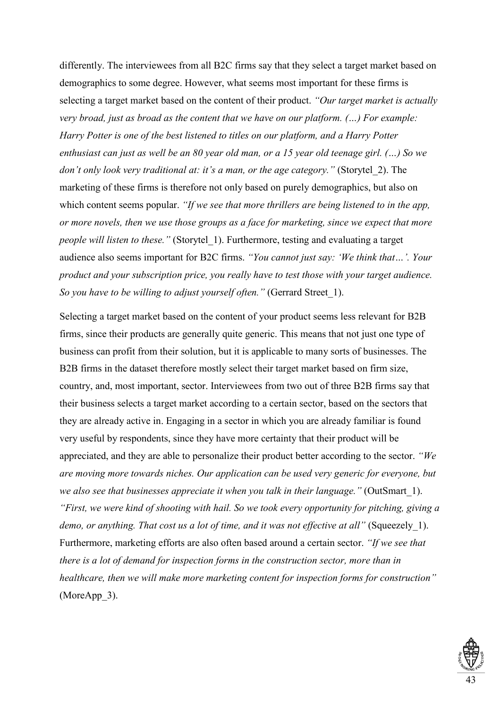differently. The interviewees from all B2C firms say that they select a target market based on demographics to some degree. However, what seems most important for these firms is selecting a target market based on the content of their product. *"Our target market is actually very broad, just as broad as the content that we have on our platform. (…) For example: Harry Potter is one of the best listened to titles on our platform, and a Harry Potter enthusiast can just as well be an 80 year old man, or a 15 year old teenage girl. (…) So we don't only look very traditional at: it's a man, or the age category." (Storytel 2). The* marketing of these firms is therefore not only based on purely demographics, but also on which content seems popular. *"If we see that more thrillers are being listened to in the app, or more novels, then we use those groups as a face for marketing, since we expect that more people will listen to these."* (Storytel\_1). Furthermore, testing and evaluating a target audience also seems important for B2C firms. *"You cannot just say: 'We think that…'. Your product and your subscription price, you really have to test those with your target audience. So you have to be willing to adjust yourself often."* (Gerrard Street\_1).

Selecting a target market based on the content of your product seems less relevant for B2B firms, since their products are generally quite generic. This means that not just one type of business can profit from their solution, but it is applicable to many sorts of businesses. The B2B firms in the dataset therefore mostly select their target market based on firm size, country, and, most important, sector. Interviewees from two out of three B2B firms say that their business selects a target market according to a certain sector, based on the sectors that they are already active in. Engaging in a sector in which you are already familiar is found very useful by respondents, since they have more certainty that their product will be appreciated, and they are able to personalize their product better according to the sector. *"We are moving more towards niches. Our application can be used very generic for everyone, but we also see that businesses appreciate it when you talk in their language."* (OutSmart\_1). *"First, we were kind of shooting with hail. So we took every opportunity for pitching, giving a demo, or anything. That cost us a lot of time, and it was not effective at all"* (Squeezely 1). Furthermore, marketing efforts are also often based around a certain sector. *"If we see that there is a lot of demand for inspection forms in the construction sector, more than in healthcare, then we will make more marketing content for inspection forms for construction"*  (MoreApp 3).

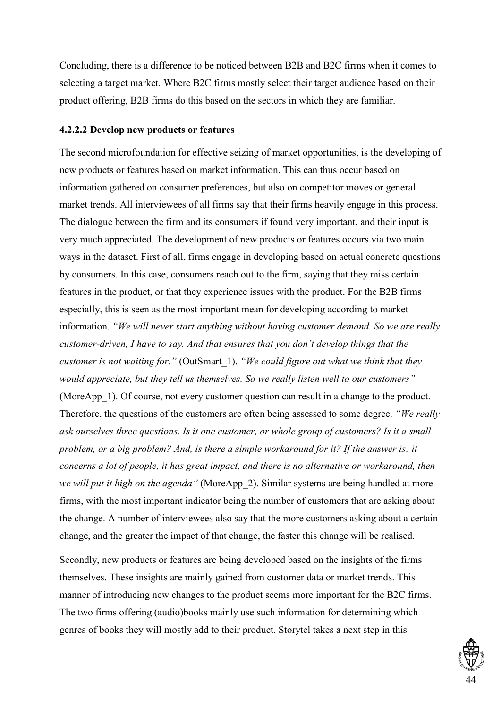Concluding, there is a difference to be noticed between B2B and B2C firms when it comes to selecting a target market. Where B2C firms mostly select their target audience based on their product offering, B2B firms do this based on the sectors in which they are familiar.

# **4.2.2.2 Develop new products or features**

The second microfoundation for effective seizing of market opportunities, is the developing of new products or features based on market information. This can thus occur based on information gathered on consumer preferences, but also on competitor moves or general market trends. All interviewees of all firms say that their firms heavily engage in this process. The dialogue between the firm and its consumers if found very important, and their input is very much appreciated. The development of new products or features occurs via two main ways in the dataset. First of all, firms engage in developing based on actual concrete questions by consumers. In this case, consumers reach out to the firm, saying that they miss certain features in the product, or that they experience issues with the product. For the B2B firms especially, this is seen as the most important mean for developing according to market information. *"We will never start anything without having customer demand. So we are really customer-driven, I have to say. And that ensures that you don't develop things that the customer is not waiting for."* (OutSmart\_1). *"We could figure out what we think that they would appreciate, but they tell us themselves. So we really listen well to our customers"*  (MoreApp\_1). Of course, not every customer question can result in a change to the product. Therefore, the questions of the customers are often being assessed to some degree. *"We really ask ourselves three questions. Is it one customer, or whole group of customers? Is it a small problem, or a big problem? And, is there a simple workaround for it? If the answer is: it concerns a lot of people, it has great impact, and there is no alternative or workaround, then we will put it high on the agenda"* (MoreApp\_2). Similar systems are being handled at more firms, with the most important indicator being the number of customers that are asking about the change. A number of interviewees also say that the more customers asking about a certain change, and the greater the impact of that change, the faster this change will be realised.

Secondly, new products or features are being developed based on the insights of the firms themselves. These insights are mainly gained from customer data or market trends. This manner of introducing new changes to the product seems more important for the B2C firms. The two firms offering (audio)books mainly use such information for determining which genres of books they will mostly add to their product. Storytel takes a next step in this

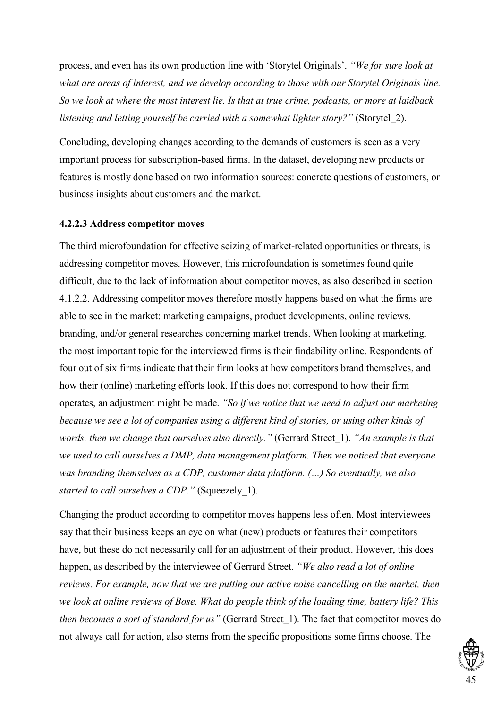process, and even has its own production line with 'Storytel Originals'. *"We for sure look at what are areas of interest, and we develop according to those with our Storytel Originals line. So we look at where the most interest lie. Is that at true crime, podcasts, or more at laidback listening and letting yourself be carried with a somewhat lighter story?"* (Storytel 2).

Concluding, developing changes according to the demands of customers is seen as a very important process for subscription-based firms. In the dataset, developing new products or features is mostly done based on two information sources: concrete questions of customers, or business insights about customers and the market.

#### **4.2.2.3 Address competitor moves**

The third microfoundation for effective seizing of market-related opportunities or threats, is addressing competitor moves. However, this microfoundation is sometimes found quite difficult, due to the lack of information about competitor moves, as also described in section 4.1.2.2. Addressing competitor moves therefore mostly happens based on what the firms are able to see in the market: marketing campaigns, product developments, online reviews, branding, and/or general researches concerning market trends. When looking at marketing, the most important topic for the interviewed firms is their findability online. Respondents of four out of six firms indicate that their firm looks at how competitors brand themselves, and how their (online) marketing efforts look. If this does not correspond to how their firm operates, an adjustment might be made. *"So if we notice that we need to adjust our marketing because we see a lot of companies using a different kind of stories, or using other kinds of words, then we change that ourselves also directly."* (Gerrard Street\_1). *"An example is that we used to call ourselves a DMP, data management platform. Then we noticed that everyone was branding themselves as a CDP, customer data platform. (…) So eventually, we also started to call ourselves a CDP."* (Squeezely\_1).

Changing the product according to competitor moves happens less often. Most interviewees say that their business keeps an eye on what (new) products or features their competitors have, but these do not necessarily call for an adjustment of their product. However, this does happen, as described by the interviewee of Gerrard Street. *"We also read a lot of online reviews. For example, now that we are putting our active noise cancelling on the market, then we look at online reviews of Bose. What do people think of the loading time, battery life? This then becomes a sort of standard for us"* (Gerrard Street\_1). The fact that competitor moves do not always call for action, also stems from the specific propositions some firms choose. The

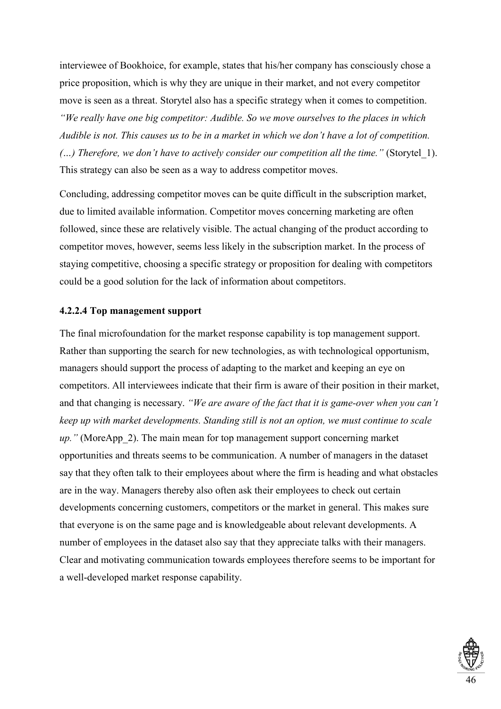interviewee of Bookhoice, for example, states that his/her company has consciously chose a price proposition, which is why they are unique in their market, and not every competitor move is seen as a threat. Storytel also has a specific strategy when it comes to competition. *"We really have one big competitor: Audible. So we move ourselves to the places in which Audible is not. This causes us to be in a market in which we don't have a lot of competition. (...)* Therefore, we don't have to actively consider our competition all the time." (Storytel 1). This strategy can also be seen as a way to address competitor moves.

Concluding, addressing competitor moves can be quite difficult in the subscription market, due to limited available information. Competitor moves concerning marketing are often followed, since these are relatively visible. The actual changing of the product according to competitor moves, however, seems less likely in the subscription market. In the process of staying competitive, choosing a specific strategy or proposition for dealing with competitors could be a good solution for the lack of information about competitors.

# **4.2.2.4 Top management support**

The final microfoundation for the market response capability is top management support. Rather than supporting the search for new technologies, as with technological opportunism, managers should support the process of adapting to the market and keeping an eye on competitors. All interviewees indicate that their firm is aware of their position in their market, and that changing is necessary. *"We are aware of the fact that it is game-over when you can't keep up with market developments. Standing still is not an option, we must continue to scale up.*" (MoreApp 2). The main mean for top management support concerning market opportunities and threats seems to be communication. A number of managers in the dataset say that they often talk to their employees about where the firm is heading and what obstacles are in the way. Managers thereby also often ask their employees to check out certain developments concerning customers, competitors or the market in general. This makes sure that everyone is on the same page and is knowledgeable about relevant developments. A number of employees in the dataset also say that they appreciate talks with their managers. Clear and motivating communication towards employees therefore seems to be important for a well-developed market response capability.

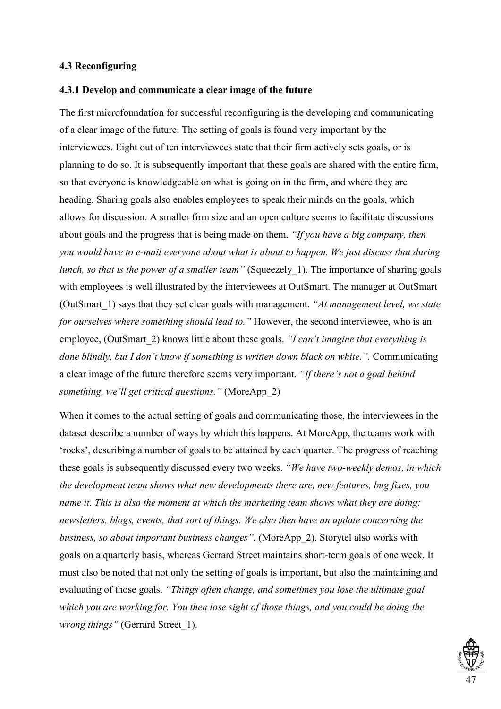### **4.3 Reconfiguring**

#### **4.3.1 Develop and communicate a clear image of the future**

The first microfoundation for successful reconfiguring is the developing and communicating of a clear image of the future. The setting of goals is found very important by the interviewees. Eight out of ten interviewees state that their firm actively sets goals, or is planning to do so. It is subsequently important that these goals are shared with the entire firm, so that everyone is knowledgeable on what is going on in the firm, and where they are heading. Sharing goals also enables employees to speak their minds on the goals, which allows for discussion. A smaller firm size and an open culture seems to facilitate discussions about goals and the progress that is being made on them. *"If you have a big company, then you would have to e-mail everyone about what is about to happen. We just discuss that during lunch, so that is the power of a smaller team"* (Squeezely 1). The importance of sharing goals with employees is well illustrated by the interviewees at OutSmart. The manager at OutSmart (OutSmart\_1) says that they set clear goals with management. *"At management level, we state for ourselves where something should lead to."* However, the second interviewee, who is an employee, (OutSmart\_2) knows little about these goals. *"I can't imagine that everything is done blindly, but I don't know if something is written down black on white.".* Communicating a clear image of the future therefore seems very important. *"If there's not a goal behind something, we'll get critical questions."* (MoreApp\_2)

When it comes to the actual setting of goals and communicating those, the interviewees in the dataset describe a number of ways by which this happens. At MoreApp, the teams work with 'rocks', describing a number of goals to be attained by each quarter. The progress of reaching these goals is subsequently discussed every two weeks. *"We have two-weekly demos, in which the development team shows what new developments there are, new features, bug fixes, you name it. This is also the moment at which the marketing team shows what they are doing: newsletters, blogs, events, that sort of things. We also then have an update concerning the business, so about important business changes".* (MoreApp\_2). Storytel also works with goals on a quarterly basis, whereas Gerrard Street maintains short-term goals of one week. It must also be noted that not only the setting of goals is important, but also the maintaining and evaluating of those goals. *"Things often change, and sometimes you lose the ultimate goal which you are working for. You then lose sight of those things, and you could be doing the wrong things"* (Gerrard Street\_1).

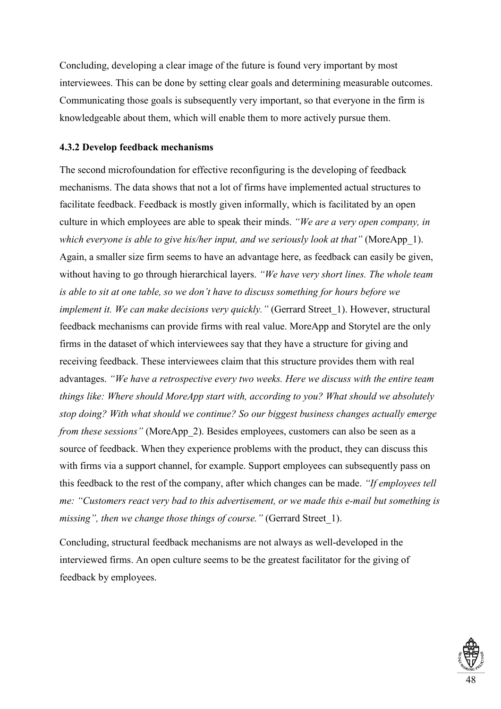Concluding, developing a clear image of the future is found very important by most interviewees. This can be done by setting clear goals and determining measurable outcomes. Communicating those goals is subsequently very important, so that everyone in the firm is knowledgeable about them, which will enable them to more actively pursue them.

# **4.3.2 Develop feedback mechanisms**

The second microfoundation for effective reconfiguring is the developing of feedback mechanisms. The data shows that not a lot of firms have implemented actual structures to facilitate feedback. Feedback is mostly given informally, which is facilitated by an open culture in which employees are able to speak their minds. *"We are a very open company, in which everyone is able to give his/her input, and we seriously look at that"* (MoreApp\_1). Again, a smaller size firm seems to have an advantage here, as feedback can easily be given, without having to go through hierarchical layers. *"We have very short lines. The whole team is able to sit at one table, so we don't have to discuss something for hours before we implement it. We can make decisions very quickly."* (Gerrard Street\_1). However, structural feedback mechanisms can provide firms with real value. MoreApp and Storytel are the only firms in the dataset of which interviewees say that they have a structure for giving and receiving feedback. These interviewees claim that this structure provides them with real advantages. *"We have a retrospective every two weeks. Here we discuss with the entire team things like: Where should MoreApp start with, according to you? What should we absolutely stop doing? With what should we continue? So our biggest business changes actually emerge from these sessions*" (MoreApp 2). Besides employees, customers can also be seen as a source of feedback. When they experience problems with the product, they can discuss this with firms via a support channel, for example. Support employees can subsequently pass on this feedback to the rest of the company, after which changes can be made. *"If employees tell me: "Customers react very bad to this advertisement, or we made this e-mail but something is missing", then we change those things of course."* (Gerrard Street 1).

Concluding, structural feedback mechanisms are not always as well-developed in the interviewed firms. An open culture seems to be the greatest facilitator for the giving of feedback by employees.

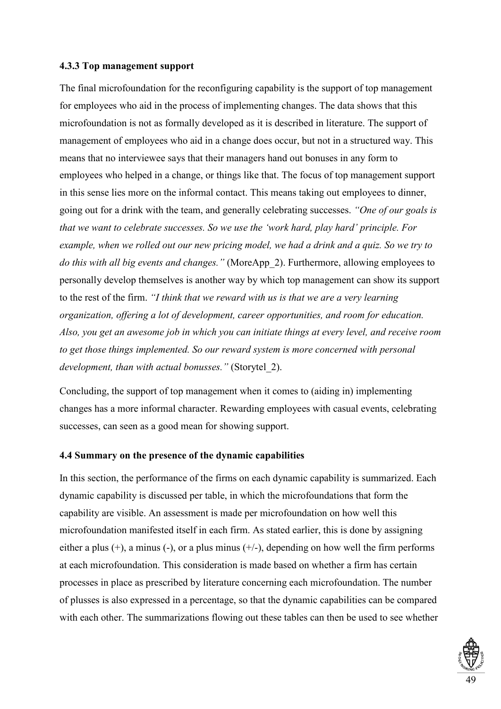#### **4.3.3 Top management support**

The final microfoundation for the reconfiguring capability is the support of top management for employees who aid in the process of implementing changes. The data shows that this microfoundation is not as formally developed as it is described in literature. The support of management of employees who aid in a change does occur, but not in a structured way. This means that no interviewee says that their managers hand out bonuses in any form to employees who helped in a change, or things like that. The focus of top management support in this sense lies more on the informal contact. This means taking out employees to dinner, going out for a drink with the team, and generally celebrating successes. *"One of our goals is that we want to celebrate successes. So we use the 'work hard, play hard' principle. For example, when we rolled out our new pricing model, we had a drink and a quiz. So we try to do this with all big events and changes."* (MoreApp\_2). Furthermore, allowing employees to personally develop themselves is another way by which top management can show its support to the rest of the firm. *"I think that we reward with us is that we are a very learning organization, offering a lot of development, career opportunities, and room for education. Also, you get an awesome job in which you can initiate things at every level, and receive room to get those things implemented. So our reward system is more concerned with personal development, than with actual bonusses."* (Storytel\_2).

Concluding, the support of top management when it comes to (aiding in) implementing changes has a more informal character. Rewarding employees with casual events, celebrating successes, can seen as a good mean for showing support.

#### **4.4 Summary on the presence of the dynamic capabilities**

In this section, the performance of the firms on each dynamic capability is summarized. Each dynamic capability is discussed per table, in which the microfoundations that form the capability are visible. An assessment is made per microfoundation on how well this microfoundation manifested itself in each firm. As stated earlier, this is done by assigning either a plus  $(+)$ , a minus  $(-)$ , or a plus minus  $(+/-)$ , depending on how well the firm performs at each microfoundation. This consideration is made based on whether a firm has certain processes in place as prescribed by literature concerning each microfoundation. The number of plusses is also expressed in a percentage, so that the dynamic capabilities can be compared with each other. The summarizations flowing out these tables can then be used to see whether

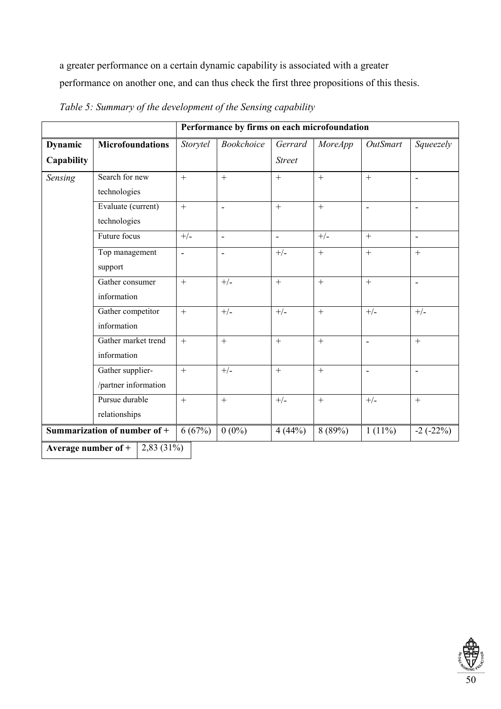a greater performance on a certain dynamic capability is associated with a greater performance on another one, and can thus check the first three propositions of this thesis.

|                                |                                          | Performance by firms on each microfoundation |                   |                          |                |                 |                          |
|--------------------------------|------------------------------------------|----------------------------------------------|-------------------|--------------------------|----------------|-----------------|--------------------------|
| <b>Dynamic</b>                 | <b>Microfoundations</b>                  | Storytel                                     | <b>Bookchoice</b> | Gerrard                  | <b>MoreApp</b> | <b>OutSmart</b> | Squeezely                |
| <b>Capability</b>              |                                          |                                              |                   | <b>Street</b>            |                |                 |                          |
| Sensing                        | Search for new<br>technologies           | $+$                                          | $+$               | $+$                      | $+$            | $+$             | $\overline{\phantom{a}}$ |
|                                | Evaluate (current)<br>technologies       | $+$                                          | $\blacksquare$    | $^{+}$                   | $+$            | $\frac{1}{2}$   | $\blacksquare$           |
|                                | Future focus                             | $+/-$                                        | $\blacksquare$    | $\overline{\phantom{a}}$ | $+/-$          | $+$             | $\overline{\phantom{a}}$ |
|                                | Top management<br>support                | $\overline{\phantom{a}}$                     | $\blacksquare$    | $+/-$                    | $\ddot{}$      | $^{+}$          | $^{+}$                   |
|                                | Gather consumer<br>information           | $+$                                          | $+/-$             | $+$                      | $^{+}$         | $+$             | $\overline{\phantom{a}}$ |
|                                | Gather competitor<br>information         | $+$                                          | $+/-$             | $+/-$                    | $\ddot{}$      | $+/-$           | $+/-$                    |
|                                | Gather market trend<br>information       | $+$                                          | $+$               | $^{+}$                   | $\ddot{}$      | ä,              | $+$                      |
|                                | Gather supplier-<br>/partner information | $+$                                          | $+/-$             | $\boldsymbol{+}$         | $\ddot{}$      | $\blacksquare$  | $\blacksquare$           |
|                                | Pursue durable<br>relationships          | $+$                                          | $+$               | $+/-$                    | $+$            | $+/-$           | $^{+}$                   |
| Summarization of number of $+$ |                                          | 6(67%)                                       | $0(0\%)$          | 4(44%)                   | 8(89%)         | $1(11\%)$       | $-2(-22%)$               |
|                                | Average number of $+$<br>$2,83(31\%)$    |                                              |                   |                          |                |                 |                          |

*Table 5: Summary of the development of the Sensing capability*

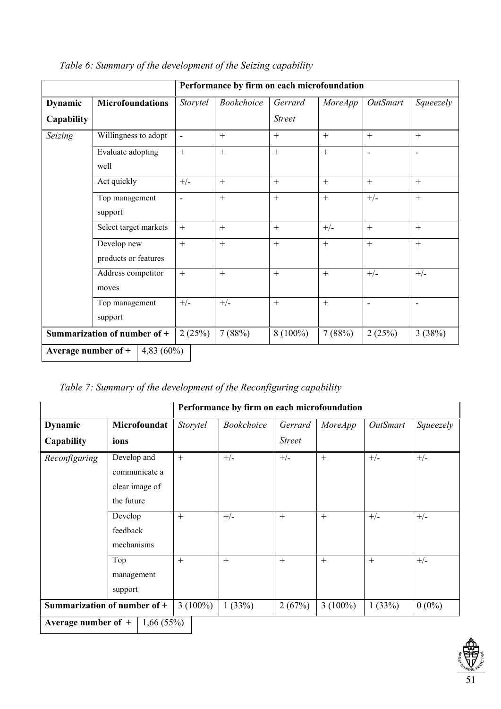|                                        |                         | Performance by firm on each microfoundation |            |               |                |                          |           |
|----------------------------------------|-------------------------|---------------------------------------------|------------|---------------|----------------|--------------------------|-----------|
| <b>Dynamic</b>                         | <b>Microfoundations</b> | Storytel                                    | Bookchoice | Gerrard       | <b>MoreApp</b> | <b>OutSmart</b>          | Squeezely |
| Capability                             |                         |                                             |            | <b>Street</b> |                |                          |           |
| Seizing                                | Willingness to adopt    |                                             | $+$        | $+$           | $+$            | $+$                      | $+$       |
|                                        | Evaluate adopting       | $+$                                         | $+$        | $+$           | $^{+}$         | $\overline{\phantom{a}}$ |           |
|                                        | well                    |                                             |            |               |                |                          |           |
|                                        | Act quickly             | $+/-$                                       | $+$        | $+$           | $^{+}$         | $+$                      | $+$       |
|                                        | Top management          | Ē,                                          | $+$        | $+$           | $+$            | $+/-$                    | $+$       |
|                                        | support                 |                                             |            |               |                |                          |           |
|                                        | Select target markets   | $+$                                         | $+$        | $+$           | $+/-$          | $+$                      | $+$       |
|                                        | Develop new             | $+$                                         | $+$        | $+$           | $^{+}$         | $+$                      | $+$       |
|                                        | products or features    |                                             |            |               |                |                          |           |
|                                        | Address competitor      | $+$                                         | $+$        | $+$           | $+$            | $+/-$                    | $+/-$     |
|                                        | moves                   |                                             |            |               |                |                          |           |
|                                        | Top management          | $+/-$                                       | $+/-$      | $+$           | $^{+}$         | $\overline{\phantom{a}}$ |           |
|                                        | support                 |                                             |            |               |                |                          |           |
| Summarization of number of +<br>2(25%) |                         |                                             | 7(88%)     | $8(100\%)$    | 7(88%)         | 2(25%)                   | 3(38%)    |
| Average number of $+$                  | 4,83 $(60\%)$           |                                             |            |               |                |                          |           |

*Table 6: Summary of the development of the Seizing capability*

*Table 7: Summary of the development of the Reconfiguring capability*

|                                    |                | Performance by firm on each microfoundation |                   |               |                |                 |           |
|------------------------------------|----------------|---------------------------------------------|-------------------|---------------|----------------|-----------------|-----------|
| <b>Dynamic</b>                     | Microfoundat   | Storytel                                    | <b>Bookchoice</b> | Gerrard       | <i>MoreApp</i> | <b>OutSmart</b> | Squeezely |
| Capability                         | ions           |                                             |                   | <i>Street</i> |                |                 |           |
| Reconfiguring                      | Develop and    | $+$                                         | $+/-$             | $+/-$         | $^{+}$         | $+/-$           | $+/-$     |
|                                    | communicate a  |                                             |                   |               |                |                 |           |
|                                    | clear image of |                                             |                   |               |                |                 |           |
|                                    | the future     |                                             |                   |               |                |                 |           |
|                                    | Develop        | $+$                                         | $+/-$             | $+$           | $+$            | $+/-$           | $+/-$     |
|                                    | feedback       |                                             |                   |               |                |                 |           |
|                                    | mechanisms     |                                             |                   |               |                |                 |           |
|                                    | Top            | $+$                                         | $+$               | $+$           | $+$            | $+$             | $+/-$     |
|                                    | management     |                                             |                   |               |                |                 |           |
|                                    | support        |                                             |                   |               |                |                 |           |
| Summarization of number of +       |                | $3(100\%)$                                  | 1(33%)            | 2(67%)        | $3(100\%)$     | 1(33%)          | $0(0\%)$  |
| Average number of $+$<br>1,66(55%) |                |                                             |                   |               |                |                 |           |

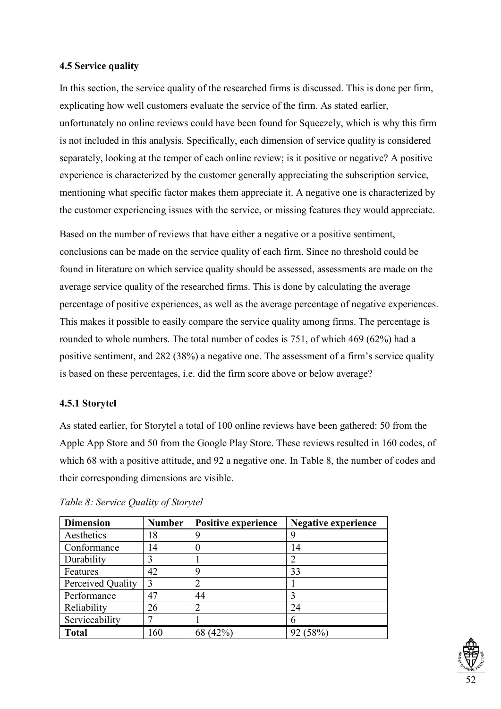# **4.5 Service quality**

In this section, the service quality of the researched firms is discussed. This is done per firm, explicating how well customers evaluate the service of the firm. As stated earlier, unfortunately no online reviews could have been found for Squeezely, which is why this firm is not included in this analysis. Specifically, each dimension of service quality is considered separately, looking at the temper of each online review; is it positive or negative? A positive experience is characterized by the customer generally appreciating the subscription service, mentioning what specific factor makes them appreciate it. A negative one is characterized by the customer experiencing issues with the service, or missing features they would appreciate.

Based on the number of reviews that have either a negative or a positive sentiment, conclusions can be made on the service quality of each firm. Since no threshold could be found in literature on which service quality should be assessed, assessments are made on the average service quality of the researched firms. This is done by calculating the average percentage of positive experiences, as well as the average percentage of negative experiences. This makes it possible to easily compare the service quality among firms. The percentage is rounded to whole numbers. The total number of codes is 751, of which 469 (62%) had a positive sentiment, and 282 (38%) a negative one. The assessment of a firm's service quality is based on these percentages, i.e. did the firm score above or below average?

# **4.5.1 Storytel**

As stated earlier, for Storytel a total of 100 online reviews have been gathered: 50 from the Apple App Store and 50 from the Google Play Store. These reviews resulted in 160 codes, of which 68 with a positive attitude, and 92 a negative one. In Table 8, the number of codes and their corresponding dimensions are visible.

| <b>Dimension</b>  | <b>Number</b> | <b>Positive experience</b> | <b>Negative experience</b> |
|-------------------|---------------|----------------------------|----------------------------|
| Aesthetics        | 18            | 9                          | 9                          |
| Conformance       | 14            |                            | 14                         |
| Durability        | 3             |                            | 2                          |
| Features          | 42            | 9                          | 33                         |
| Perceived Quality |               |                            |                            |
| Performance       | 47            | 44                         |                            |
| Reliability       | 26            |                            | 24                         |
| Serviceability    |               |                            | h                          |
| <b>Total</b>      | 160           | 68 (42%)                   | 92 (58%)                   |

*Table 8: Service Quality of Storytel*

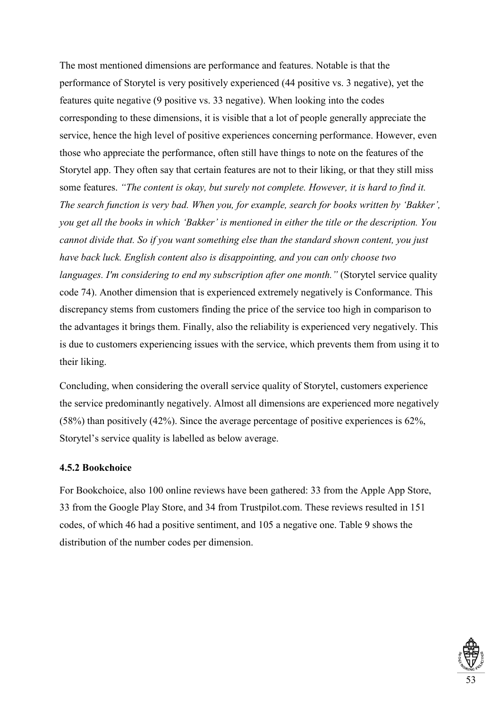The most mentioned dimensions are performance and features. Notable is that the performance of Storytel is very positively experienced (44 positive vs. 3 negative), yet the features quite negative (9 positive vs. 33 negative). When looking into the codes corresponding to these dimensions, it is visible that a lot of people generally appreciate the service, hence the high level of positive experiences concerning performance. However, even those who appreciate the performance, often still have things to note on the features of the Storytel app. They often say that certain features are not to their liking, or that they still miss some features. *"The content is okay, but surely not complete. However, it is hard to find it. The search function is very bad. When you, for example, search for books written by 'Bakker', you get all the books in which 'Bakker' is mentioned in either the title or the description. You cannot divide that. So if you want something else than the standard shown content, you just have back luck. English content also is disappointing, and you can only choose two languages. I'm considering to end my subscription after one month.*" (Storytel service quality code 74). Another dimension that is experienced extremely negatively is Conformance. This discrepancy stems from customers finding the price of the service too high in comparison to the advantages it brings them. Finally, also the reliability is experienced very negatively. This is due to customers experiencing issues with the service, which prevents them from using it to their liking.

Concluding, when considering the overall service quality of Storytel, customers experience the service predominantly negatively. Almost all dimensions are experienced more negatively (58%) than positively (42%). Since the average percentage of positive experiences is 62%, Storytel's service quality is labelled as below average.

# **4.5.2 Bookchoice**

For Bookchoice, also 100 online reviews have been gathered: 33 from the Apple App Store, 33 from the Google Play Store, and 34 from Trustpilot.com. These reviews resulted in 151 codes, of which 46 had a positive sentiment, and 105 a negative one. Table 9 shows the distribution of the number codes per dimension.

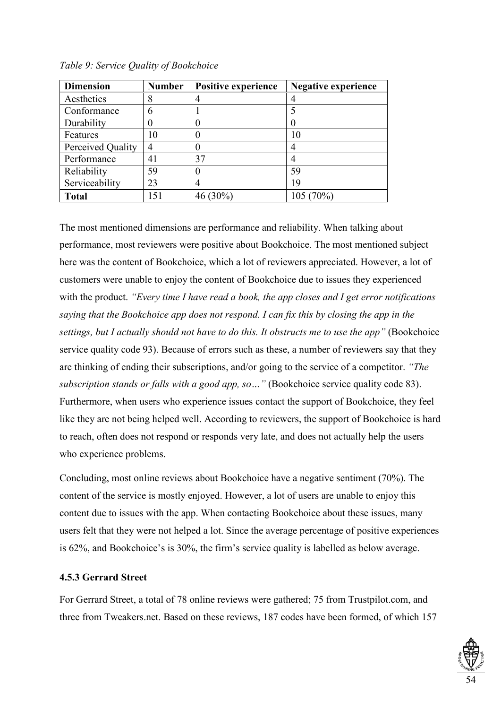| <b>Dimension</b>  | <b>Number</b> | Positive experience | <b>Negative experience</b> |
|-------------------|---------------|---------------------|----------------------------|
| Aesthetics        | 8             |                     |                            |
| Conformance       | 6             |                     |                            |
| Durability        |               |                     |                            |
| Features          | 10            |                     | 10                         |
| Perceived Quality | 4             |                     |                            |
| Performance       | 41            | 37                  |                            |
| Reliability       | 59            |                     | 59                         |
| Serviceability    | 23            |                     | 19                         |
| <b>Total</b>      | 151           | 46 (30%)            | 105 (70%)                  |

*Table 9: Service Quality of Bookchoice*

The most mentioned dimensions are performance and reliability. When talking about performance, most reviewers were positive about Bookchoice. The most mentioned subject here was the content of Bookchoice, which a lot of reviewers appreciated. However, a lot of customers were unable to enjoy the content of Bookchoice due to issues they experienced with the product. *"Every time I have read a book, the app closes and I get error notifications saying that the Bookchoice app does not respond. I can fix this by closing the app in the settings, but I actually should not have to do this. It obstructs me to use the app"* (Bookchoice service quality code 93). Because of errors such as these, a number of reviewers say that they are thinking of ending their subscriptions, and/or going to the service of a competitor. *"The subscription stands or falls with a good app, so...*" (Bookchoice service quality code 83). Furthermore, when users who experience issues contact the support of Bookchoice, they feel like they are not being helped well. According to reviewers, the support of Bookchoice is hard to reach, often does not respond or responds very late, and does not actually help the users who experience problems.

Concluding, most online reviews about Bookchoice have a negative sentiment (70%). The content of the service is mostly enjoyed. However, a lot of users are unable to enjoy this content due to issues with the app. When contacting Bookchoice about these issues, many users felt that they were not helped a lot. Since the average percentage of positive experiences is 62%, and Bookchoice's is 30%, the firm's service quality is labelled as below average.

## **4.5.3 Gerrard Street**

For Gerrard Street, a total of 78 online reviews were gathered; 75 from Trustpilot.com, and three from Tweakers.net. Based on these reviews, 187 codes have been formed, of which 157

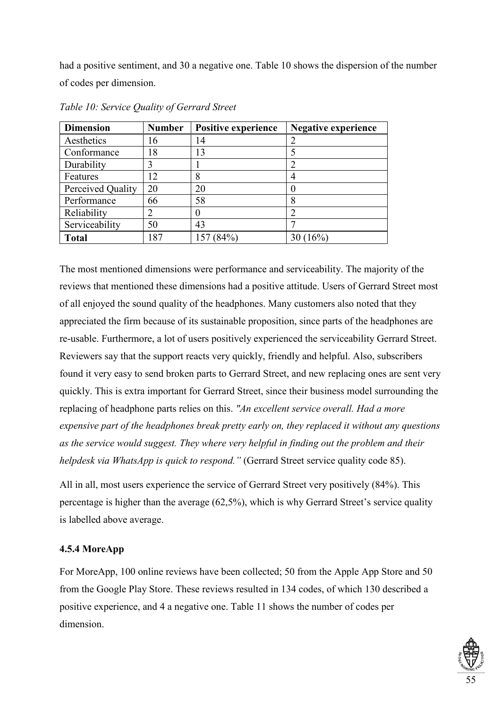had a positive sentiment, and 30 a negative one. Table 10 shows the dispersion of the number of codes per dimension.

| <b>Dimension</b>  | <b>Number</b> | Positive experience | <b>Negative experience</b> |
|-------------------|---------------|---------------------|----------------------------|
| Aesthetics        | 16            | 14                  |                            |
| Conformance<br>18 |               | 13                  |                            |
| Durability        | 3             |                     |                            |
| Features          | 12            | 8                   |                            |
| Perceived Quality | 20            | 20                  |                            |
| Performance       | 66            | 58                  |                            |
| Reliability       |               |                     |                            |
| Serviceability    | 50            | 43                  |                            |
| <b>Total</b>      | 187           | (84%)               | 30(16%)                    |

*Table 10: Service Quality of Gerrard Street*

The most mentioned dimensions were performance and serviceability. The majority of the reviews that mentioned these dimensions had a positive attitude. Users of Gerrard Street most of all enjoyed the sound quality of the headphones. Many customers also noted that they appreciated the firm because of its sustainable proposition, since parts of the headphones are re-usable. Furthermore, a lot of users positively experienced the serviceability Gerrard Street. Reviewers say that the support reacts very quickly, friendly and helpful. Also, subscribers found it very easy to send broken parts to Gerrard Street, and new replacing ones are sent very quickly. This is extra important for Gerrard Street, since their business model surrounding the replacing of headphone parts relies on this. *"An excellent service overall. Had a more expensive part of the headphones break pretty early on, they replaced it without any questions as the service would suggest. They where very helpful in finding out the problem and their helpdesk via WhatsApp is quick to respond.*" (Gerrard Street service quality code 85).

All in all, most users experience the service of Gerrard Street very positively (84%). This percentage is higher than the average (62,5%), which is why Gerrard Street's service quality is labelled above average.

# **4.5.4 MoreApp**

For MoreApp, 100 online reviews have been collected; 50 from the Apple App Store and 50 from the Google Play Store. These reviews resulted in 134 codes, of which 130 described a positive experience, and 4 a negative one. Table 11 shows the number of codes per dimension.

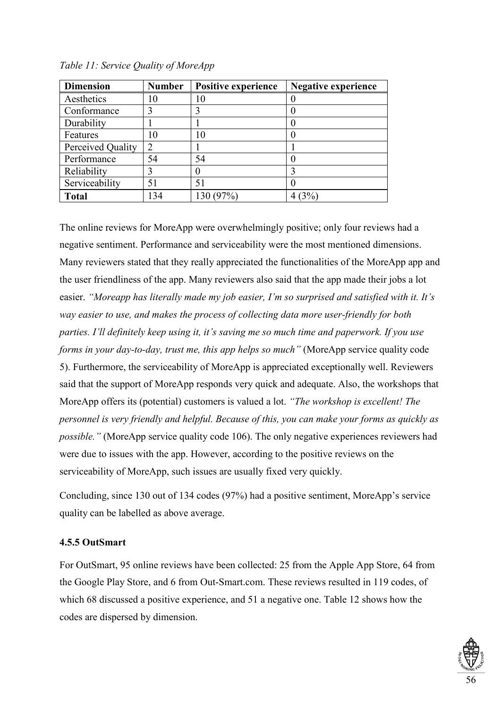| <b>Dimension</b>  | <b>Number</b> | <b>Positive experience</b> | <b>Negative experience</b> |
|-------------------|---------------|----------------------------|----------------------------|
| Aesthetics        |               | 10                         |                            |
| Conformance       | 3             |                            |                            |
| Durability        |               |                            |                            |
| Features          | 10            | 10                         |                            |
| Perceived Quality | $\mathcal{D}$ |                            |                            |
| Performance       | 54            | 54                         |                            |
| Reliability       | 3             |                            |                            |
| Serviceability    | 51            | 51                         |                            |
| <b>Total</b>      | 134           | 130 (97%)                  | (3%                        |

*Table 11: Service Quality of MoreApp*

The online reviews for MoreApp were overwhelmingly positive; only four reviews had a negative sentiment. Performance and serviceability were the most mentioned dimensions. Many reviewers stated that they really appreciated the functionalities of the MoreApp app and the user friendliness of the app. Many reviewers also said that the app made their jobs a lot easier. *"Moreapp has literally made my job easier, I'm so surprised and satisfied with it. It's way easier to use, and makes the process of collecting data more user-friendly for both parties. I'll definitely keep using it, it's saving me so much time and paperwork. If you use forms in your day-to-day, trust me, this app helps so much"* (MoreApp service quality code 5). Furthermore, the serviceability of MoreApp is appreciated exceptionally well. Reviewers said that the support of MoreApp responds very quick and adequate. Also, the workshops that MoreApp offers its (potential) customers is valued a lot. *"The workshop is excellent! The personnel is very friendly and helpful. Because of this, you can make your forms as quickly as possible.*" (MoreApp service quality code 106). The only negative experiences reviewers had were due to issues with the app. However, according to the positive reviews on the serviceability of MoreApp, such issues are usually fixed very quickly.

Concluding, since 130 out of 134 codes (97%) had a positive sentiment, MoreApp's service quality can be labelled as above average.

# **4.5.5 OutSmart**

For OutSmart, 95 online reviews have been collected: 25 from the Apple App Store, 64 from the Google Play Store, and 6 from Out-Smart.com. These reviews resulted in 119 codes, of which 68 discussed a positive experience, and 51 a negative one. Table 12 shows how the codes are dispersed by dimension.

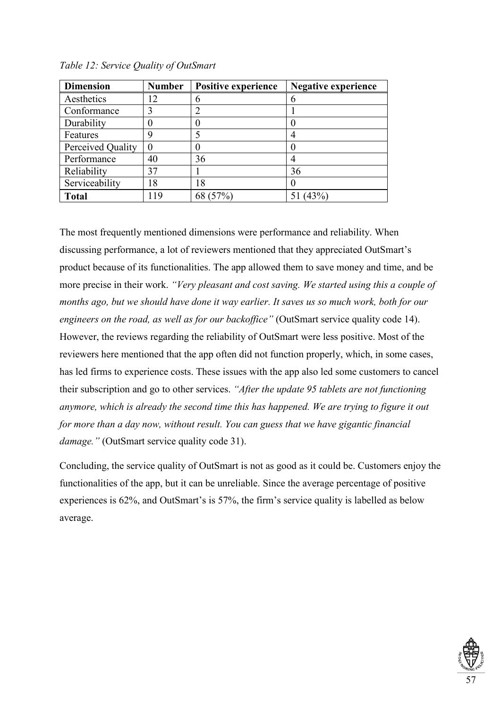| <b>Dimension</b>  | <b>Number</b>  | <b>Positive experience</b>  | <b>Negative experience</b> |
|-------------------|----------------|-----------------------------|----------------------------|
| Aesthetics        | $\overline{2}$ | h                           |                            |
| Conformance       | 3              | $\mathcal{D}_{\mathcal{L}}$ |                            |
| Durability        |                |                             |                            |
| Features          | Q              |                             |                            |
| Perceived Quality |                |                             |                            |
| Performance       | 40             | 36                          |                            |
| Reliability       | 37             |                             | 36                         |
| Serviceability    | 18             | 18                          |                            |
| <b>Total</b>      | -19            | 68 (57%)                    | (43%                       |

*Table 12: Service Quality of OutSmart*

The most frequently mentioned dimensions were performance and reliability. When discussing performance, a lot of reviewers mentioned that they appreciated OutSmart's product because of its functionalities. The app allowed them to save money and time, and be more precise in their work. *"Very pleasant and cost saving. We started using this a couple of months ago, but we should have done it way earlier. It saves us so much work, both for our engineers on the road, as well as for our backoffice*" (OutSmart service quality code 14). However, the reviews regarding the reliability of OutSmart were less positive. Most of the reviewers here mentioned that the app often did not function properly, which, in some cases, has led firms to experience costs. These issues with the app also led some customers to cancel their subscription and go to other services. *"After the update 95 tablets are not functioning anymore, which is already the second time this has happened. We are trying to figure it out for more than a day now, without result. You can guess that we have gigantic financial damage."* (OutSmart service quality code 31).

Concluding, the service quality of OutSmart is not as good as it could be. Customers enjoy the functionalities of the app, but it can be unreliable. Since the average percentage of positive experiences is 62%, and OutSmart's is 57%, the firm's service quality is labelled as below average.

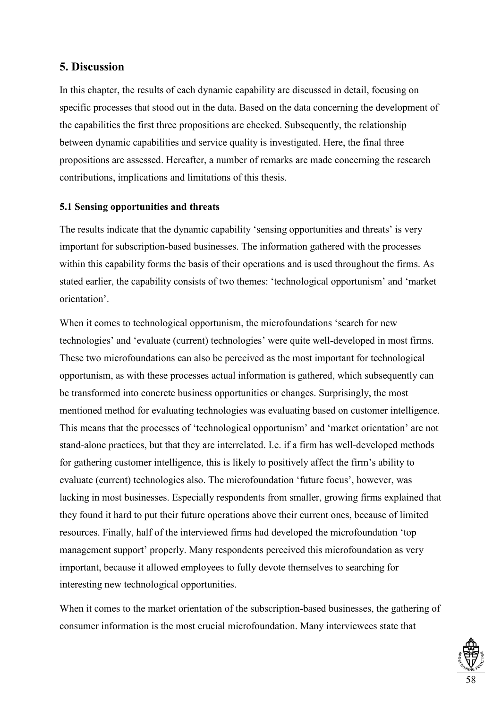# **5. Discussion**

In this chapter, the results of each dynamic capability are discussed in detail, focusing on specific processes that stood out in the data. Based on the data concerning the development of the capabilities the first three propositions are checked. Subsequently, the relationship between dynamic capabilities and service quality is investigated. Here, the final three propositions are assessed. Hereafter, a number of remarks are made concerning the research contributions, implications and limitations of this thesis.

# **5.1 Sensing opportunities and threats**

The results indicate that the dynamic capability 'sensing opportunities and threats' is very important for subscription-based businesses. The information gathered with the processes within this capability forms the basis of their operations and is used throughout the firms. As stated earlier, the capability consists of two themes: 'technological opportunism' and 'market orientation'.

When it comes to technological opportunism, the microfoundations 'search for new technologies' and 'evaluate (current) technologies' were quite well-developed in most firms. These two microfoundations can also be perceived as the most important for technological opportunism, as with these processes actual information is gathered, which subsequently can be transformed into concrete business opportunities or changes. Surprisingly, the most mentioned method for evaluating technologies was evaluating based on customer intelligence. This means that the processes of 'technological opportunism' and 'market orientation' are not stand-alone practices, but that they are interrelated. I.e. if a firm has well-developed methods for gathering customer intelligence, this is likely to positively affect the firm's ability to evaluate (current) technologies also. The microfoundation 'future focus', however, was lacking in most businesses. Especially respondents from smaller, growing firms explained that they found it hard to put their future operations above their current ones, because of limited resources. Finally, half of the interviewed firms had developed the microfoundation 'top management support' properly. Many respondents perceived this microfoundation as very important, because it allowed employees to fully devote themselves to searching for interesting new technological opportunities.

When it comes to the market orientation of the subscription-based businesses, the gathering of consumer information is the most crucial microfoundation. Many interviewees state that

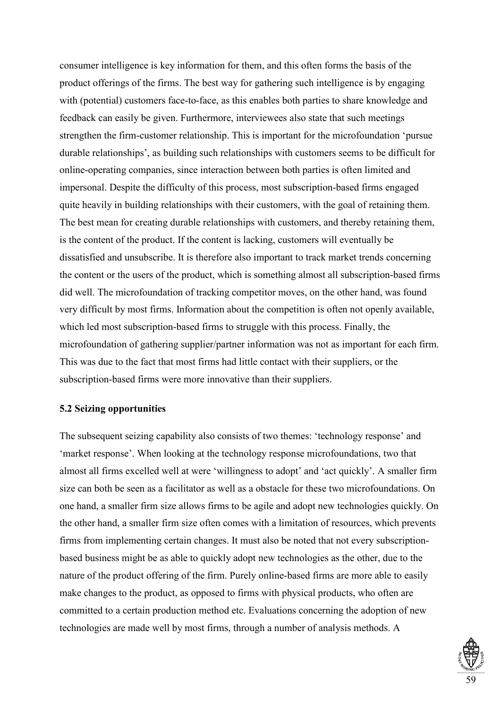consumer intelligence is key information for them, and this often forms the basis of the product offerings of the firms. The best way for gathering such intelligence is by engaging with (potential) customers face-to-face, as this enables both parties to share knowledge and feedback can easily be given. Furthermore, interviewees also state that such meetings strengthen the firm-customer relationship. This is important for the microfoundation 'pursue durable relationships', as building such relationships with customers seems to be difficult for online-operating companies, since interaction between both parties is often limited and impersonal. Despite the difficulty of this process, most subscription-based firms engaged quite heavily in building relationships with their customers, with the goal of retaining them. The best mean for creating durable relationships with customers, and thereby retaining them, is the content of the product. If the content is lacking, customers will eventually be dissatisfied and unsubscribe. It is therefore also important to track market trends concerning the content or the users of the product, which is something almost all subscription-based firms did well. The microfoundation of tracking competitor moves, on the other hand, was found very difficult by most firms. Information about the competition is often not openly available, which led most subscription-based firms to struggle with this process. Finally, the microfoundation of gathering supplier/partner information was not as important for each firm. This was due to the fact that most firms had little contact with their suppliers, or the subscription-based firms were more innovative than their suppliers.

### **5.2 Seizing opportunities**

The subsequent seizing capability also consists of two themes: 'technology response' and 'market response'. When looking at the technology response microfoundations, two that almost all firms excelled well at were 'willingness to adopt' and 'act quickly'. A smaller firm size can both be seen as a facilitator as well as a obstacle for these two microfoundations. On one hand, a smaller firm size allows firms to be agile and adopt new technologies quickly. On the other hand, a smaller firm size often comes with a limitation of resources, which prevents firms from implementing certain changes. It must also be noted that not every subscriptionbased business might be as able to quickly adopt new technologies as the other, due to the nature of the product offering of the firm. Purely online-based firms are more able to easily make changes to the product, as opposed to firms with physical products, who often are committed to a certain production method etc. Evaluations concerning the adoption of new technologies are made well by most firms, through a number of analysis methods. A

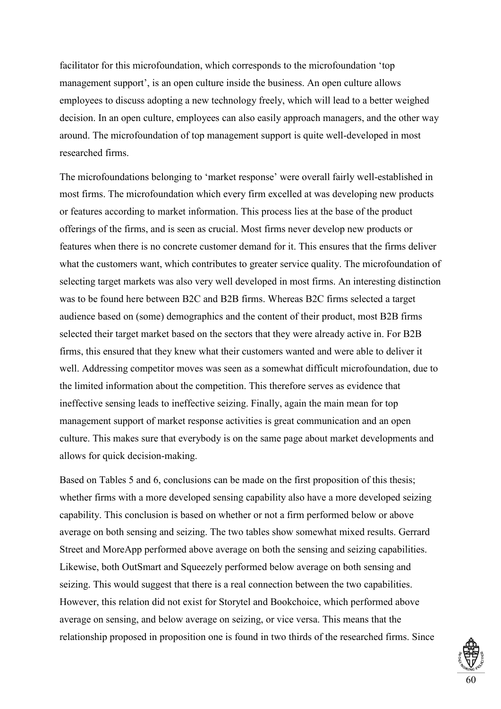facilitator for this microfoundation, which corresponds to the microfoundation 'top management support', is an open culture inside the business. An open culture allows employees to discuss adopting a new technology freely, which will lead to a better weighed decision. In an open culture, employees can also easily approach managers, and the other way around. The microfoundation of top management support is quite well-developed in most researched firms.

The microfoundations belonging to 'market response' were overall fairly well-established in most firms. The microfoundation which every firm excelled at was developing new products or features according to market information. This process lies at the base of the product offerings of the firms, and is seen as crucial. Most firms never develop new products or features when there is no concrete customer demand for it. This ensures that the firms deliver what the customers want, which contributes to greater service quality. The microfoundation of selecting target markets was also very well developed in most firms. An interesting distinction was to be found here between B2C and B2B firms. Whereas B2C firms selected a target audience based on (some) demographics and the content of their product, most B2B firms selected their target market based on the sectors that they were already active in. For B2B firms, this ensured that they knew what their customers wanted and were able to deliver it well. Addressing competitor moves was seen as a somewhat difficult microfoundation, due to the limited information about the competition. This therefore serves as evidence that ineffective sensing leads to ineffective seizing. Finally, again the main mean for top management support of market response activities is great communication and an open culture. This makes sure that everybody is on the same page about market developments and allows for quick decision-making.

Based on Tables 5 and 6, conclusions can be made on the first proposition of this thesis; whether firms with a more developed sensing capability also have a more developed seizing capability. This conclusion is based on whether or not a firm performed below or above average on both sensing and seizing. The two tables show somewhat mixed results. Gerrard Street and MoreApp performed above average on both the sensing and seizing capabilities. Likewise, both OutSmart and Squeezely performed below average on both sensing and seizing. This would suggest that there is a real connection between the two capabilities. However, this relation did not exist for Storytel and Bookchoice, which performed above average on sensing, and below average on seizing, or vice versa. This means that the relationship proposed in proposition one is found in two thirds of the researched firms. Since

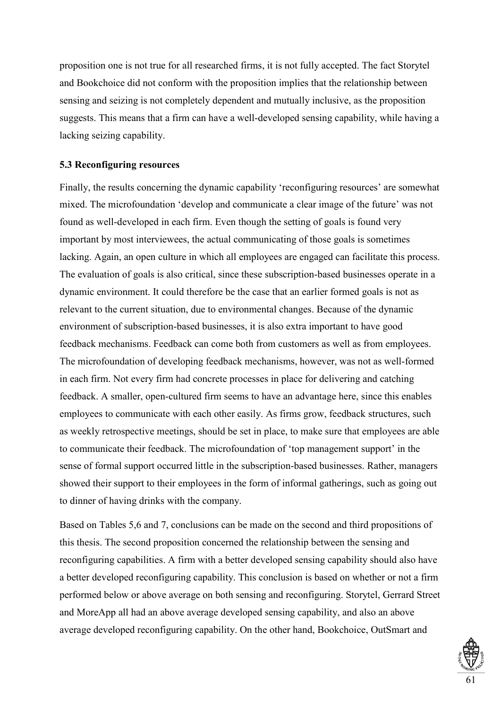proposition one is not true for all researched firms, it is not fully accepted. The fact Storytel and Bookchoice did not conform with the proposition implies that the relationship between sensing and seizing is not completely dependent and mutually inclusive, as the proposition suggests. This means that a firm can have a well-developed sensing capability, while having a lacking seizing capability.

### **5.3 Reconfiguring resources**

Finally, the results concerning the dynamic capability 'reconfiguring resources' are somewhat mixed. The microfoundation 'develop and communicate a clear image of the future' was not found as well-developed in each firm. Even though the setting of goals is found very important by most interviewees, the actual communicating of those goals is sometimes lacking. Again, an open culture in which all employees are engaged can facilitate this process. The evaluation of goals is also critical, since these subscription-based businesses operate in a dynamic environment. It could therefore be the case that an earlier formed goals is not as relevant to the current situation, due to environmental changes. Because of the dynamic environment of subscription-based businesses, it is also extra important to have good feedback mechanisms. Feedback can come both from customers as well as from employees. The microfoundation of developing feedback mechanisms, however, was not as well-formed in each firm. Not every firm had concrete processes in place for delivering and catching feedback. A smaller, open-cultured firm seems to have an advantage here, since this enables employees to communicate with each other easily. As firms grow, feedback structures, such as weekly retrospective meetings, should be set in place, to make sure that employees are able to communicate their feedback. The microfoundation of 'top management support' in the sense of formal support occurred little in the subscription-based businesses. Rather, managers showed their support to their employees in the form of informal gatherings, such as going out to dinner of having drinks with the company.

Based on Tables 5,6 and 7, conclusions can be made on the second and third propositions of this thesis. The second proposition concerned the relationship between the sensing and reconfiguring capabilities. A firm with a better developed sensing capability should also have a better developed reconfiguring capability. This conclusion is based on whether or not a firm performed below or above average on both sensing and reconfiguring. Storytel, Gerrard Street and MoreApp all had an above average developed sensing capability, and also an above average developed reconfiguring capability. On the other hand, Bookchoice, OutSmart and

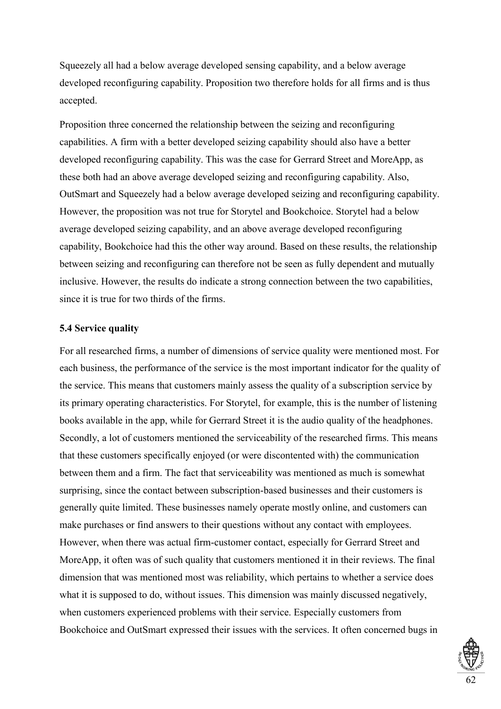Squeezely all had a below average developed sensing capability, and a below average developed reconfiguring capability. Proposition two therefore holds for all firms and is thus accepted.

Proposition three concerned the relationship between the seizing and reconfiguring capabilities. A firm with a better developed seizing capability should also have a better developed reconfiguring capability. This was the case for Gerrard Street and MoreApp, as these both had an above average developed seizing and reconfiguring capability. Also, OutSmart and Squeezely had a below average developed seizing and reconfiguring capability. However, the proposition was not true for Storytel and Bookchoice. Storytel had a below average developed seizing capability, and an above average developed reconfiguring capability, Bookchoice had this the other way around. Based on these results, the relationship between seizing and reconfiguring can therefore not be seen as fully dependent and mutually inclusive. However, the results do indicate a strong connection between the two capabilities, since it is true for two thirds of the firms.

# **5.4 Service quality**

For all researched firms, a number of dimensions of service quality were mentioned most. For each business, the performance of the service is the most important indicator for the quality of the service. This means that customers mainly assess the quality of a subscription service by its primary operating characteristics. For Storytel, for example, this is the number of listening books available in the app, while for Gerrard Street it is the audio quality of the headphones. Secondly, a lot of customers mentioned the serviceability of the researched firms. This means that these customers specifically enjoyed (or were discontented with) the communication between them and a firm. The fact that serviceability was mentioned as much is somewhat surprising, since the contact between subscription-based businesses and their customers is generally quite limited. These businesses namely operate mostly online, and customers can make purchases or find answers to their questions without any contact with employees. However, when there was actual firm-customer contact, especially for Gerrard Street and MoreApp, it often was of such quality that customers mentioned it in their reviews. The final dimension that was mentioned most was reliability, which pertains to whether a service does what it is supposed to do, without issues. This dimension was mainly discussed negatively, when customers experienced problems with their service. Especially customers from Bookchoice and OutSmart expressed their issues with the services. It often concerned bugs in

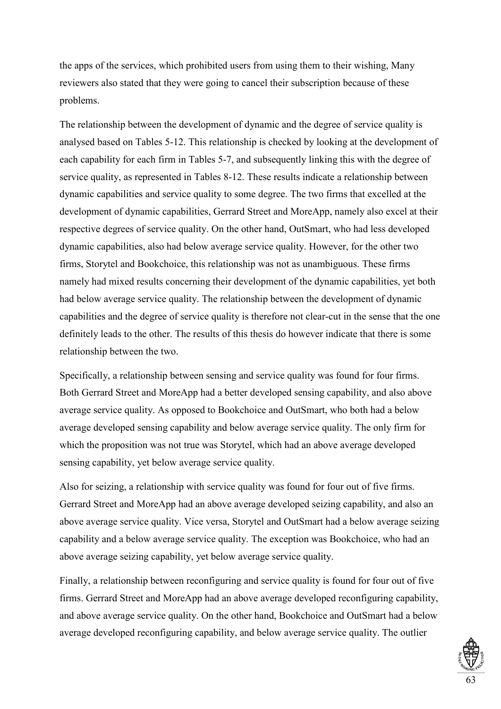the apps of the services, which prohibited users from using them to their wishing, Many reviewers also stated that they were going to cancel their subscription because of these problems.

The relationship between the development of dynamic and the degree of service quality is analysed based on Tables 5-12. This relationship is checked by looking at the development of each capability for each firm in Tables 5-7, and subsequently linking this with the degree of service quality, as represented in Tables 8-12. These results indicate a relationship between dynamic capabilities and service quality to some degree. The two firms that excelled at the development of dynamic capabilities, Gerrard Street and MoreApp, namely also excel at their respective degrees of service quality. On the other hand, OutSmart, who had less developed dynamic capabilities, also had below average service quality. However, for the other two firms, Storytel and Bookchoice, this relationship was not as unambiguous. These firms namely had mixed results concerning their development of the dynamic capabilities, yet both had below average service quality. The relationship between the development of dynamic capabilities and the degree of service quality is therefore not clear-cut in the sense that the one definitely leads to the other. The results of this thesis do however indicate that there is some relationship between the two.

Specifically, a relationship between sensing and service quality was found for four firms. Both Gerrard Street and MoreApp had a better developed sensing capability, and also above average service quality. As opposed to Bookchoice and OutSmart, who both had a below average developed sensing capability and below average service quality. The only firm for which the proposition was not true was Storytel, which had an above average developed sensing capability, yet below average service quality.

Also for seizing, a relationship with service quality was found for four out of five firms. Gerrard Street and MoreApp had an above average developed seizing capability, and also an above average service quality. Vice versa, Storytel and OutSmart had a below average seizing capability and a below average service quality. The exception was Bookchoice, who had an above average seizing capability, yet below average service quality.

Finally, a relationship between reconfiguring and service quality is found for four out of five firms. Gerrard Street and MoreApp had an above average developed reconfiguring capability, and above average service quality. On the other hand, Bookchoice and OutSmart had a below average developed reconfiguring capability, and below average service quality. The outlier

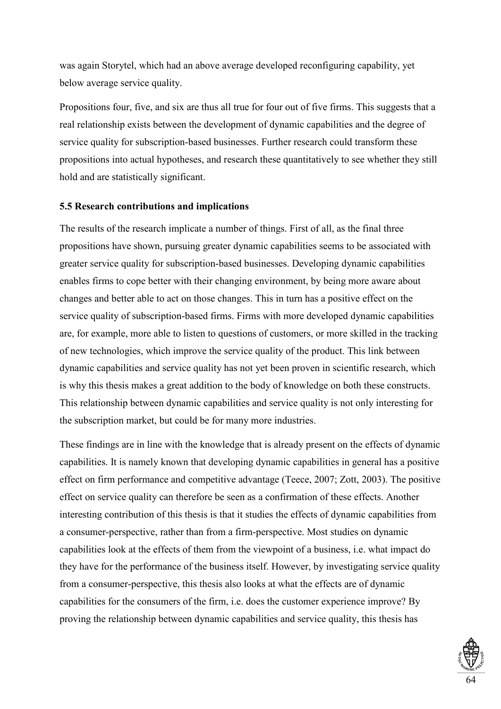was again Storytel, which had an above average developed reconfiguring capability, yet below average service quality.

Propositions four, five, and six are thus all true for four out of five firms. This suggests that a real relationship exists between the development of dynamic capabilities and the degree of service quality for subscription-based businesses. Further research could transform these propositions into actual hypotheses, and research these quantitatively to see whether they still hold and are statistically significant.

# **5.5 Research contributions and implications**

The results of the research implicate a number of things. First of all, as the final three propositions have shown, pursuing greater dynamic capabilities seems to be associated with greater service quality for subscription-based businesses. Developing dynamic capabilities enables firms to cope better with their changing environment, by being more aware about changes and better able to act on those changes. This in turn has a positive effect on the service quality of subscription-based firms. Firms with more developed dynamic capabilities are, for example, more able to listen to questions of customers, or more skilled in the tracking of new technologies, which improve the service quality of the product. This link between dynamic capabilities and service quality has not yet been proven in scientific research, which is why this thesis makes a great addition to the body of knowledge on both these constructs. This relationship between dynamic capabilities and service quality is not only interesting for the subscription market, but could be for many more industries.

These findings are in line with the knowledge that is already present on the effects of dynamic capabilities. It is namely known that developing dynamic capabilities in general has a positive effect on firm performance and competitive advantage (Teece, 2007; Zott, 2003). The positive effect on service quality can therefore be seen as a confirmation of these effects. Another interesting contribution of this thesis is that it studies the effects of dynamic capabilities from a consumer-perspective, rather than from a firm-perspective. Most studies on dynamic capabilities look at the effects of them from the viewpoint of a business, i.e. what impact do they have for the performance of the business itself. However, by investigating service quality from a consumer-perspective, this thesis also looks at what the effects are of dynamic capabilities for the consumers of the firm, i.e. does the customer experience improve? By proving the relationship between dynamic capabilities and service quality, this thesis has

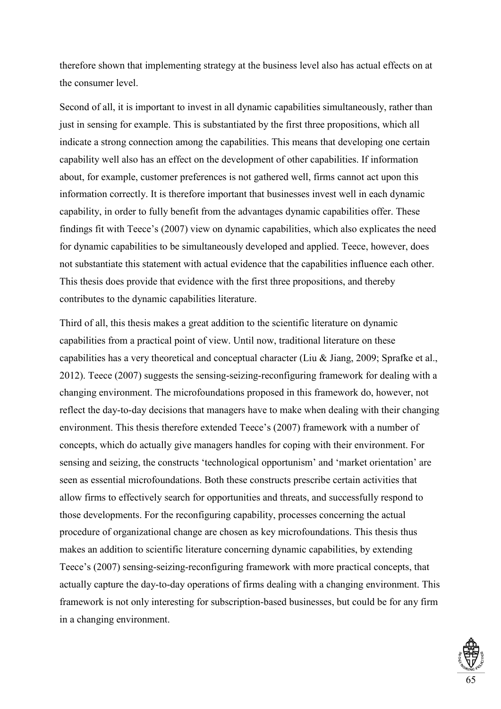therefore shown that implementing strategy at the business level also has actual effects on at the consumer level.

Second of all, it is important to invest in all dynamic capabilities simultaneously, rather than just in sensing for example. This is substantiated by the first three propositions, which all indicate a strong connection among the capabilities. This means that developing one certain capability well also has an effect on the development of other capabilities. If information about, for example, customer preferences is not gathered well, firms cannot act upon this information correctly. It is therefore important that businesses invest well in each dynamic capability, in order to fully benefit from the advantages dynamic capabilities offer. These findings fit with Teece's (2007) view on dynamic capabilities, which also explicates the need for dynamic capabilities to be simultaneously developed and applied. Teece, however, does not substantiate this statement with actual evidence that the capabilities influence each other. This thesis does provide that evidence with the first three propositions, and thereby contributes to the dynamic capabilities literature.

Third of all, this thesis makes a great addition to the scientific literature on dynamic capabilities from a practical point of view. Until now, traditional literature on these capabilities has a very theoretical and conceptual character (Liu & Jiang, 2009; Sprafke et al., 2012). Teece (2007) suggests the sensing-seizing-reconfiguring framework for dealing with a changing environment. The microfoundations proposed in this framework do, however, not reflect the day-to-day decisions that managers have to make when dealing with their changing environment. This thesis therefore extended Teece's (2007) framework with a number of concepts, which do actually give managers handles for coping with their environment. For sensing and seizing, the constructs 'technological opportunism' and 'market orientation' are seen as essential microfoundations. Both these constructs prescribe certain activities that allow firms to effectively search for opportunities and threats, and successfully respond to those developments. For the reconfiguring capability, processes concerning the actual procedure of organizational change are chosen as key microfoundations. This thesis thus makes an addition to scientific literature concerning dynamic capabilities, by extending Teece's (2007) sensing-seizing-reconfiguring framework with more practical concepts, that actually capture the day-to-day operations of firms dealing with a changing environment. This framework is not only interesting for subscription-based businesses, but could be for any firm in a changing environment.

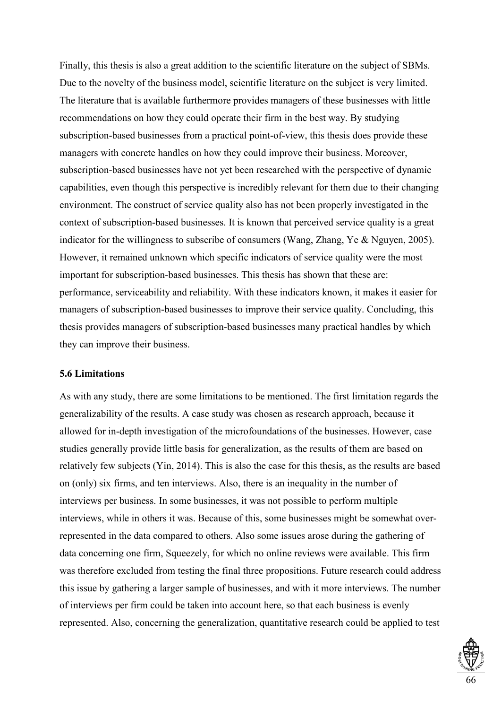Finally, this thesis is also a great addition to the scientific literature on the subject of SBMs. Due to the novelty of the business model, scientific literature on the subject is very limited. The literature that is available furthermore provides managers of these businesses with little recommendations on how they could operate their firm in the best way. By studying subscription-based businesses from a practical point-of-view, this thesis does provide these managers with concrete handles on how they could improve their business. Moreover, subscription-based businesses have not yet been researched with the perspective of dynamic capabilities, even though this perspective is incredibly relevant for them due to their changing environment. The construct of service quality also has not been properly investigated in the context of subscription-based businesses. It is known that perceived service quality is a great indicator for the willingness to subscribe of consumers (Wang, Zhang, Ye & Nguyen, 2005). However, it remained unknown which specific indicators of service quality were the most important for subscription-based businesses. This thesis has shown that these are: performance, serviceability and reliability. With these indicators known, it makes it easier for managers of subscription-based businesses to improve their service quality. Concluding, this thesis provides managers of subscription-based businesses many practical handles by which they can improve their business.

### **5.6 Limitations**

As with any study, there are some limitations to be mentioned. The first limitation regards the generalizability of the results. A case study was chosen as research approach, because it allowed for in-depth investigation of the microfoundations of the businesses. However, case studies generally provide little basis for generalization, as the results of them are based on relatively few subjects (Yin, 2014). This is also the case for this thesis, as the results are based on (only) six firms, and ten interviews. Also, there is an inequality in the number of interviews per business. In some businesses, it was not possible to perform multiple interviews, while in others it was. Because of this, some businesses might be somewhat overrepresented in the data compared to others. Also some issues arose during the gathering of data concerning one firm, Squeezely, for which no online reviews were available. This firm was therefore excluded from testing the final three propositions. Future research could address this issue by gathering a larger sample of businesses, and with it more interviews. The number of interviews per firm could be taken into account here, so that each business is evenly represented. Also, concerning the generalization, quantitative research could be applied to test

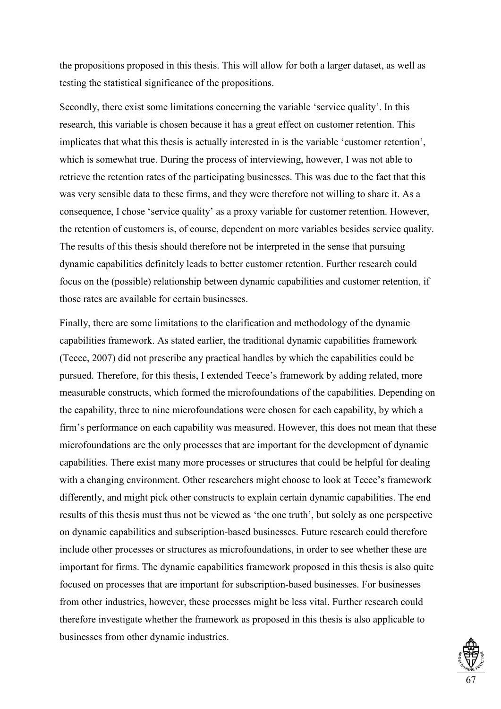the propositions proposed in this thesis. This will allow for both a larger dataset, as well as testing the statistical significance of the propositions.

Secondly, there exist some limitations concerning the variable 'service quality'. In this research, this variable is chosen because it has a great effect on customer retention. This implicates that what this thesis is actually interested in is the variable 'customer retention', which is somewhat true. During the process of interviewing, however, I was not able to retrieve the retention rates of the participating businesses. This was due to the fact that this was very sensible data to these firms, and they were therefore not willing to share it. As a consequence, I chose 'service quality' as a proxy variable for customer retention. However, the retention of customers is, of course, dependent on more variables besides service quality. The results of this thesis should therefore not be interpreted in the sense that pursuing dynamic capabilities definitely leads to better customer retention. Further research could focus on the (possible) relationship between dynamic capabilities and customer retention, if those rates are available for certain businesses.

Finally, there are some limitations to the clarification and methodology of the dynamic capabilities framework. As stated earlier, the traditional dynamic capabilities framework (Teece, 2007) did not prescribe any practical handles by which the capabilities could be pursued. Therefore, for this thesis, I extended Teece's framework by adding related, more measurable constructs, which formed the microfoundations of the capabilities. Depending on the capability, three to nine microfoundations were chosen for each capability, by which a firm's performance on each capability was measured. However, this does not mean that these microfoundations are the only processes that are important for the development of dynamic capabilities. There exist many more processes or structures that could be helpful for dealing with a changing environment. Other researchers might choose to look at Teece's framework differently, and might pick other constructs to explain certain dynamic capabilities. The end results of this thesis must thus not be viewed as 'the one truth', but solely as one perspective on dynamic capabilities and subscription-based businesses. Future research could therefore include other processes or structures as microfoundations, in order to see whether these are important for firms. The dynamic capabilities framework proposed in this thesis is also quite focused on processes that are important for subscription-based businesses. For businesses from other industries, however, these processes might be less vital. Further research could therefore investigate whether the framework as proposed in this thesis is also applicable to businesses from other dynamic industries.

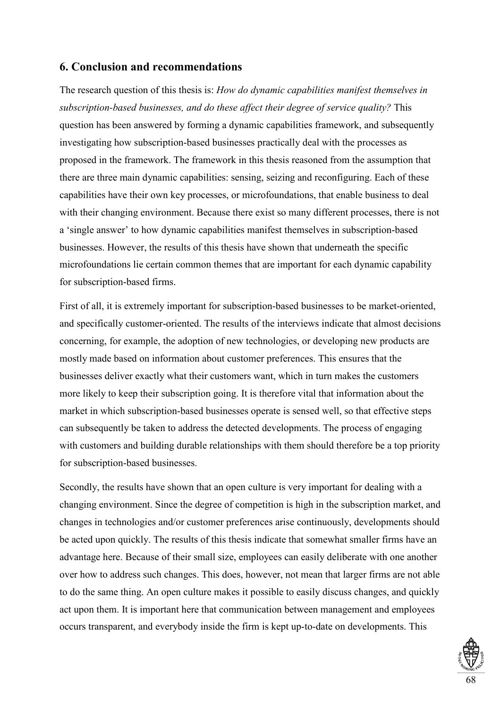## **6. Conclusion and recommendations**

The research question of this thesis is: *How do dynamic capabilities manifest themselves in subscription-based businesses, and do these affect their degree of service quality?* This question has been answered by forming a dynamic capabilities framework, and subsequently investigating how subscription-based businesses practically deal with the processes as proposed in the framework. The framework in this thesis reasoned from the assumption that there are three main dynamic capabilities: sensing, seizing and reconfiguring. Each of these capabilities have their own key processes, or microfoundations, that enable business to deal with their changing environment. Because there exist so many different processes, there is not a 'single answer' to how dynamic capabilities manifest themselves in subscription-based businesses. However, the results of this thesis have shown that underneath the specific microfoundations lie certain common themes that are important for each dynamic capability for subscription-based firms.

First of all, it is extremely important for subscription-based businesses to be market-oriented, and specifically customer-oriented. The results of the interviews indicate that almost decisions concerning, for example, the adoption of new technologies, or developing new products are mostly made based on information about customer preferences. This ensures that the businesses deliver exactly what their customers want, which in turn makes the customers more likely to keep their subscription going. It is therefore vital that information about the market in which subscription-based businesses operate is sensed well, so that effective steps can subsequently be taken to address the detected developments. The process of engaging with customers and building durable relationships with them should therefore be a top priority for subscription-based businesses.

Secondly, the results have shown that an open culture is very important for dealing with a changing environment. Since the degree of competition is high in the subscription market, and changes in technologies and/or customer preferences arise continuously, developments should be acted upon quickly. The results of this thesis indicate that somewhat smaller firms have an advantage here. Because of their small size, employees can easily deliberate with one another over how to address such changes. This does, however, not mean that larger firms are not able to do the same thing. An open culture makes it possible to easily discuss changes, and quickly act upon them. It is important here that communication between management and employees occurs transparent, and everybody inside the firm is kept up-to-date on developments. This

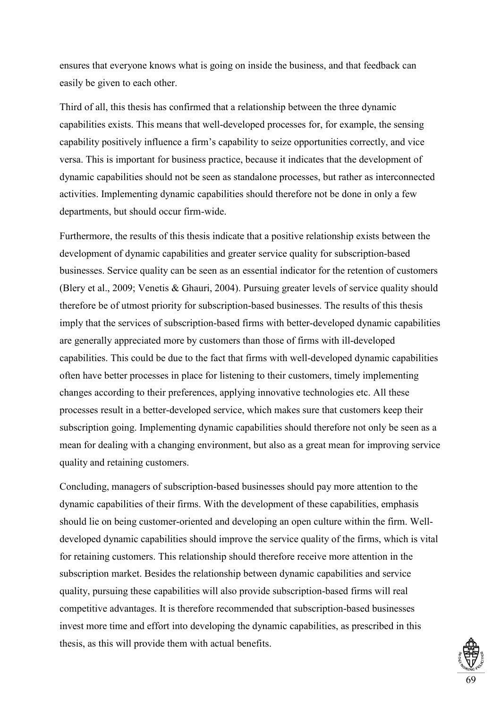ensures that everyone knows what is going on inside the business, and that feedback can easily be given to each other.

Third of all, this thesis has confirmed that a relationship between the three dynamic capabilities exists. This means that well-developed processes for, for example, the sensing capability positively influence a firm's capability to seize opportunities correctly, and vice versa. This is important for business practice, because it indicates that the development of dynamic capabilities should not be seen as standalone processes, but rather as interconnected activities. Implementing dynamic capabilities should therefore not be done in only a few departments, but should occur firm-wide.

Furthermore, the results of this thesis indicate that a positive relationship exists between the development of dynamic capabilities and greater service quality for subscription-based businesses. Service quality can be seen as an essential indicator for the retention of customers (Blery et al., 2009; Venetis & Ghauri, 2004). Pursuing greater levels of service quality should therefore be of utmost priority for subscription-based businesses. The results of this thesis imply that the services of subscription-based firms with better-developed dynamic capabilities are generally appreciated more by customers than those of firms with ill-developed capabilities. This could be due to the fact that firms with well-developed dynamic capabilities often have better processes in place for listening to their customers, timely implementing changes according to their preferences, applying innovative technologies etc. All these processes result in a better-developed service, which makes sure that customers keep their subscription going. Implementing dynamic capabilities should therefore not only be seen as a mean for dealing with a changing environment, but also as a great mean for improving service quality and retaining customers.

Concluding, managers of subscription-based businesses should pay more attention to the dynamic capabilities of their firms. With the development of these capabilities, emphasis should lie on being customer-oriented and developing an open culture within the firm. Welldeveloped dynamic capabilities should improve the service quality of the firms, which is vital for retaining customers. This relationship should therefore receive more attention in the subscription market. Besides the relationship between dynamic capabilities and service quality, pursuing these capabilities will also provide subscription-based firms will real competitive advantages. It is therefore recommended that subscription-based businesses invest more time and effort into developing the dynamic capabilities, as prescribed in this thesis, as this will provide them with actual benefits.

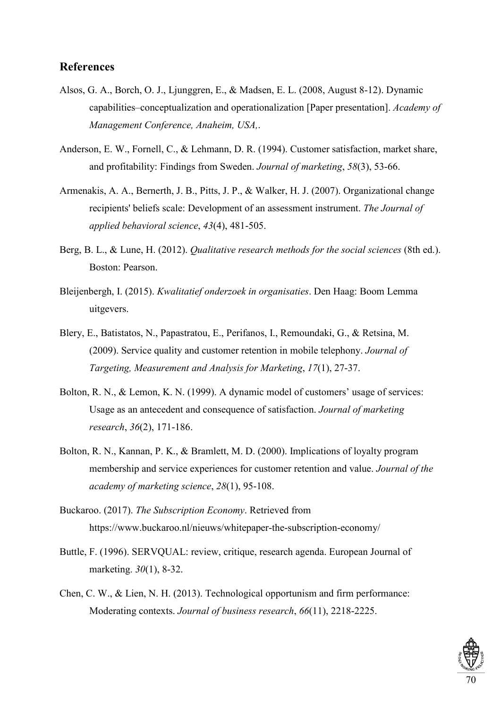## **References**

- Alsos, G. A., Borch, O. J., Ljunggren, E., & Madsen, E. L. (2008, August 8-12). Dynamic capabilities–conceptualization and operationalization [Paper presentation]. *Academy of Management Conference, Anaheim, USA,*.
- Anderson, E. W., Fornell, C., & Lehmann, D. R. (1994). Customer satisfaction, market share, and profitability: Findings from Sweden. *Journal of marketing*, *58*(3), 53-66.
- Armenakis, A. A., Bernerth, J. B., Pitts, J. P., & Walker, H. J. (2007). Organizational change recipients' beliefs scale: Development of an assessment instrument. *The Journal of applied behavioral science*, *43*(4), 481-505.
- Berg, B. L., & Lune, H. (2012). *Qualitative research methods for the social sciences* (8th ed.). Boston: Pearson.
- Bleijenbergh, I. (2015). *Kwalitatief onderzoek in organisaties*. Den Haag: Boom Lemma uitgevers.
- Blery, E., Batistatos, N., Papastratou, E., Perifanos, I., Remoundaki, G., & Retsina, M. (2009). Service quality and customer retention in mobile telephony. *Journal of Targeting, Measurement and Analysis for Marketing*, *17*(1), 27-37.
- Bolton, R. N., & Lemon, K. N. (1999). A dynamic model of customers' usage of services: Usage as an antecedent and consequence of satisfaction. *Journal of marketing research*, *36*(2), 171-186.
- Bolton, R. N., Kannan, P. K., & Bramlett, M. D. (2000). Implications of loyalty program membership and service experiences for customer retention and value. *Journal of the academy of marketing science*, *28*(1), 95-108.
- Buckaroo. (2017). *The Subscription Economy*. Retrieved from https://www.buckaroo.nl/nieuws/whitepaper-the-subscription-economy/
- Buttle, F. (1996). SERVQUAL: review, critique, research agenda. European Journal of marketing. *30*(1), 8-32.
- Chen, C. W., & Lien, N. H. (2013). Technological opportunism and firm performance: Moderating contexts. *Journal of business research*, *66*(11), 2218-2225.

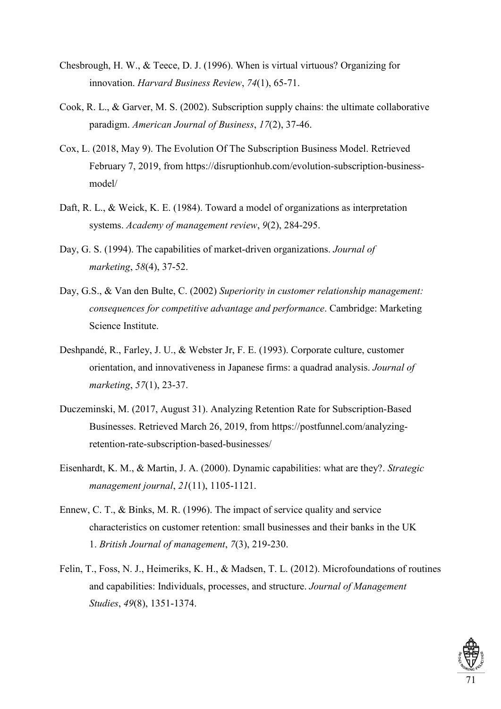- Chesbrough, H. W., & Teece, D. J. (1996). When is virtual virtuous? Organizing for innovation. *Harvard Business Review*, *74*(1), 65-71.
- Cook, R. L., & Garver, M. S. (2002). Subscription supply chains: the ultimate collaborative paradigm. *American Journal of Business*, *17*(2), 37-46.
- Cox, L. (2018, May 9). The Evolution Of The Subscription Business Model. Retrieved February 7, 2019, from https://disruptionhub.com/evolution-subscription-businessmodel/
- Daft, R. L., & Weick, K. E. (1984). Toward a model of organizations as interpretation systems. *Academy of management review*, *9*(2), 284-295.
- Day, G. S. (1994). The capabilities of market-driven organizations. *Journal of marketing*, *58*(4), 37-52.
- Day, G.S., & Van den Bulte, C. (2002) *Superiority in customer relationship management: consequences for competitive advantage and performance*. Cambridge: Marketing Science Institute.
- Deshpandé, R., Farley, J. U., & Webster Jr, F. E. (1993). Corporate culture, customer orientation, and innovativeness in Japanese firms: a quadrad analysis. *Journal of marketing*, *57*(1), 23-37.
- Duczeminski, M. (2017, August 31). Analyzing Retention Rate for Subscription-Based Businesses. Retrieved March 26, 2019, from https://postfunnel.com/analyzingretention-rate-subscription-based-businesses/
- Eisenhardt, K. M., & Martin, J. A. (2000). Dynamic capabilities: what are they?. *Strategic management journal*, *21*(11), 1105-1121.
- Ennew, C. T., & Binks, M. R. (1996). The impact of service quality and service characteristics on customer retention: small businesses and their banks in the UK 1. *British Journal of management*, *7*(3), 219-230.
- Felin, T., Foss, N. J., Heimeriks, K. H., & Madsen, T. L. (2012). Microfoundations of routines and capabilities: Individuals, processes, and structure. *Journal of Management Studies*, *49*(8), 1351-1374.

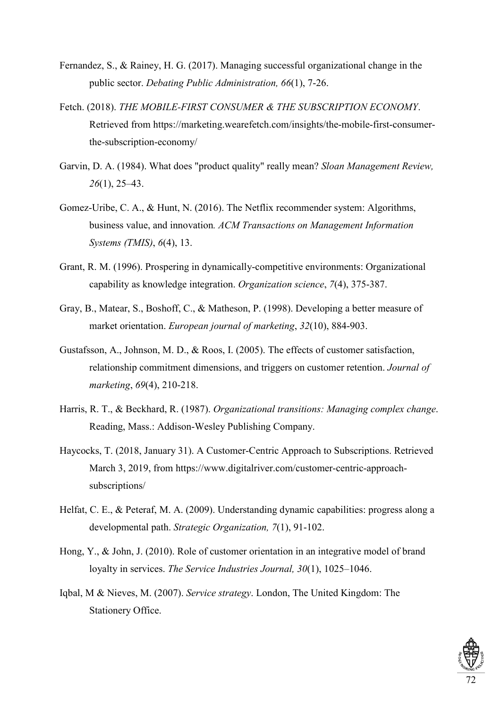- Fernandez, S., & Rainey, H. G. (2017). Managing successful organizational change in the public sector. *Debating Public Administration, 66*(1), 7-26.
- Fetch. (2018). *THE MOBILE-FIRST CONSUMER & THE SUBSCRIPTION ECONOMY*. Retrieved from https://marketing.wearefetch.com/insights/the-mobile-first-consumerthe-subscription-economy/
- Garvin, D. A. (1984). What does "product quality" really mean? *Sloan Management Review, 26*(1), 25–43.
- Gomez-Uribe, C. A., & Hunt, N. (2016). The Netflix recommender system: Algorithms, business value, and innovation*. ACM Transactions on Management Information Systems (TMIS)*, *6*(4), 13.
- Grant, R. M. (1996). Prospering in dynamically-competitive environments: Organizational capability as knowledge integration. *Organization science*, *7*(4), 375-387.
- Gray, B., Matear, S., Boshoff, C., & Matheson, P. (1998). Developing a better measure of market orientation. *European journal of marketing*, *32*(10), 884-903.
- Gustafsson, A., Johnson, M. D., & Roos, I. (2005). The effects of customer satisfaction, relationship commitment dimensions, and triggers on customer retention. *Journal of marketing*, *69*(4), 210-218.
- Harris, R. T., & Beckhard, R. (1987). *Organizational transitions: Managing complex change*. Reading, Mass.: Addison-Wesley Publishing Company.
- Haycocks, T. (2018, January 31). A Customer-Centric Approach to Subscriptions. Retrieved March 3, 2019, from https://www.digitalriver.com/customer-centric-approachsubscriptions/
- Helfat, C. E., & Peteraf, M. A. (2009). Understanding dynamic capabilities: progress along a developmental path. *Strategic Organization, 7*(1), 91-102.
- Hong, Y., & John, J. (2010). Role of customer orientation in an integrative model of brand loyalty in services. *The Service Industries Journal, 30*(1), 1025–1046.
- Iqbal, M & Nieves, M. (2007). *Service strategy*. London, The United Kingdom: The Stationery Office.

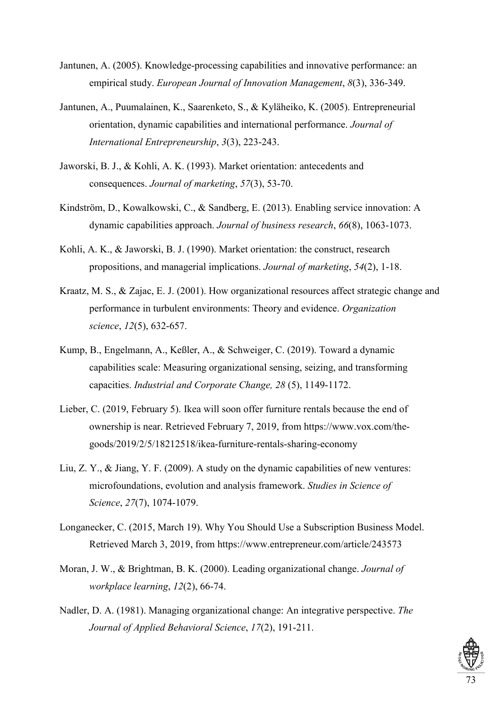- Jantunen, A. (2005). Knowledge-processing capabilities and innovative performance: an empirical study. *European Journal of Innovation Management*, *8*(3), 336-349.
- Jantunen, A., Puumalainen, K., Saarenketo, S., & Kyläheiko, K. (2005). Entrepreneurial orientation, dynamic capabilities and international performance. *Journal of International Entrepreneurship*, *3*(3), 223-243.
- Jaworski, B. J., & Kohli, A. K. (1993). Market orientation: antecedents and consequences. *Journal of marketing*, *57*(3), 53-70.
- Kindström, D., Kowalkowski, C., & Sandberg, E. (2013). Enabling service innovation: A dynamic capabilities approach. *Journal of business research*, *66*(8), 1063-1073.
- Kohli, A. K., & Jaworski, B. J. (1990). Market orientation: the construct, research propositions, and managerial implications. *Journal of marketing*, *54*(2), 1-18.
- Kraatz, M. S., & Zajac, E. J. (2001). How organizational resources affect strategic change and performance in turbulent environments: Theory and evidence. *Organization science*, *12*(5), 632-657.
- Kump, B., Engelmann, A., Keßler, A., & Schweiger, C. (2019). Toward a dynamic capabilities scale: Measuring organizational sensing, seizing, and transforming capacities. *Industrial and Corporate Change, 28* (5), 1149-1172.
- Lieber, C. (2019, February 5). Ikea will soon offer furniture rentals because the end of ownership is near. Retrieved February 7, 2019, from https://www.vox.com/thegoods/2019/2/5/18212518/ikea-furniture-rentals-sharing-economy
- Liu, Z. Y., & Jiang, Y. F. (2009). A study on the dynamic capabilities of new ventures: microfoundations, evolution and analysis framework. *Studies in Science of Science*, *27*(7), 1074-1079.
- Longanecker, C. (2015, March 19). Why You Should Use a Subscription Business Model. Retrieved March 3, 2019, from https://www.entrepreneur.com/article/243573
- Moran, J. W., & Brightman, B. K. (2000). Leading organizational change. *Journal of workplace learning*, *12*(2), 66-74.
- Nadler, D. A. (1981). Managing organizational change: An integrative perspective. *The Journal of Applied Behavioral Science*, *17*(2), 191-211.

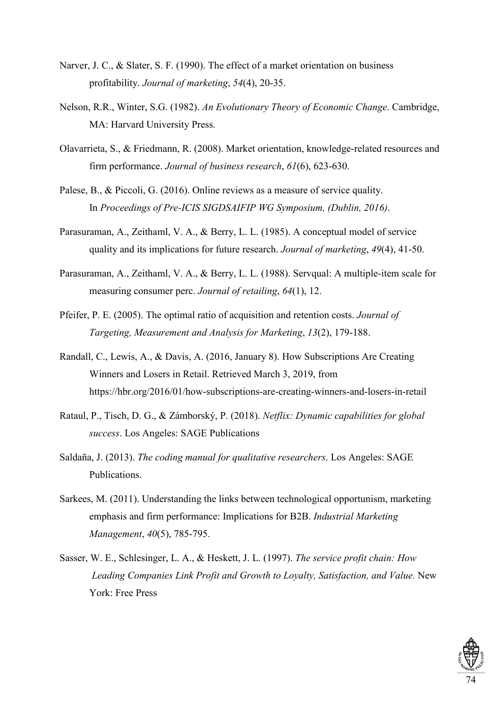- Narver, J. C., & Slater, S. F. (1990). The effect of a market orientation on business profitability. *Journal of marketing*, *54*(4), 20-35.
- Nelson, R.R., Winter, S.G. (1982). *An Evolutionary Theory of Economic Change*. Cambridge, MA: Harvard University Press.
- Olavarrieta, S., & Friedmann, R. (2008). Market orientation, knowledge-related resources and firm performance. *Journal of business research*, *61*(6), 623-630.
- Palese, B., & Piccoli, G. (2016). Online reviews as a measure of service quality. In *Proceedings of Pre-ICIS SIGDSAIFIP WG Symposium, (Dublin, 2016)*.
- Parasuraman, A., Zeithaml, V. A., & Berry, L. L. (1985). A conceptual model of service quality and its implications for future research. *Journal of marketing*, *49*(4), 41-50.
- Parasuraman, A., Zeithaml, V. A., & Berry, L. L. (1988). Servqual: A multiple-item scale for measuring consumer perc. *Journal of retailing*, *64*(1), 12.
- Pfeifer, P. E. (2005). The optimal ratio of acquisition and retention costs. *Journal of Targeting, Measurement and Analysis for Marketing*, *13*(2), 179-188.
- Randall, C., Lewis, A., & Davis, A. (2016, January 8). How Subscriptions Are Creating Winners and Losers in Retail. Retrieved March 3, 2019, from https://hbr.org/2016/01/how-subscriptions-are-creating-winners-and-losers-in-retail
- Rataul, P., Tisch, D. G., & Zámborský, P. (2018). *Netflix: Dynamic capabilities for global success*. Los Angeles: SAGE Publications
- Saldaña, J. (2013). *The coding manual for qualitative researchers*. Los Angeles: SAGE Publications.
- Sarkees, M. (2011). Understanding the links between technological opportunism, marketing emphasis and firm performance: Implications for B2B. *Industrial Marketing Management*, *40*(5), 785-795.
- Sasser, W. E., Schlesinger, L. A., & Heskett, J. L. (1997). *The service profit chain: How Leading Companies Link Profit and Growth to Loyalty, Satisfaction, and Value.* New York: Free Press

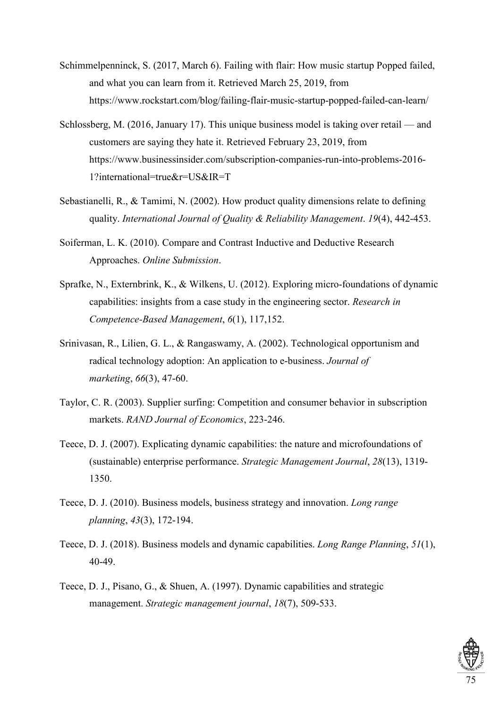- Schimmelpenninck, S. (2017, March 6). Failing with flair: How music startup Popped failed, and what you can learn from it. Retrieved March 25, 2019, from https://www.rockstart.com/blog/failing-flair-music-startup-popped-failed-can-learn/
- Schlossberg, M. (2016, January 17). This unique business model is taking over retail and customers are saying they hate it. Retrieved February 23, 2019, from https://www.businessinsider.com/subscription-companies-run-into-problems-2016- 1?international=true&r=US&IR=T
- Sebastianelli, R., & Tamimi, N. (2002). How product quality dimensions relate to defining quality. *International Journal of Quality & Reliability Management*. *19*(4), 442-453.
- Soiferman, L. K. (2010). Compare and Contrast Inductive and Deductive Research Approaches. *Online Submission*.
- Sprafke, N., Externbrink, K., & Wilkens, U. (2012). Exploring micro-foundations of dynamic capabilities: insights from a case study in the engineering sector. *Research in Competence-Based Management*, *6*(1), 117,152.
- Srinivasan, R., Lilien, G. L., & Rangaswamy, A. (2002). Technological opportunism and radical technology adoption: An application to e-business. *Journal of marketing*, *66*(3), 47-60.
- Taylor, C. R. (2003). Supplier surfing: Competition and consumer behavior in subscription markets. *RAND Journal of Economics*, 223-246.
- Teece, D. J. (2007). Explicating dynamic capabilities: the nature and microfoundations of (sustainable) enterprise performance. *Strategic Management Journal*, *28*(13), 1319- 1350.
- Teece, D. J. (2010). Business models, business strategy and innovation. *Long range planning*, *43*(3), 172-194.
- Teece, D. J. (2018). Business models and dynamic capabilities. *Long Range Planning*, *51*(1), 40-49.
- Teece, D. J., Pisano, G., & Shuen, A. (1997). Dynamic capabilities and strategic management. *Strategic management journal*, *18*(7), 509-533.

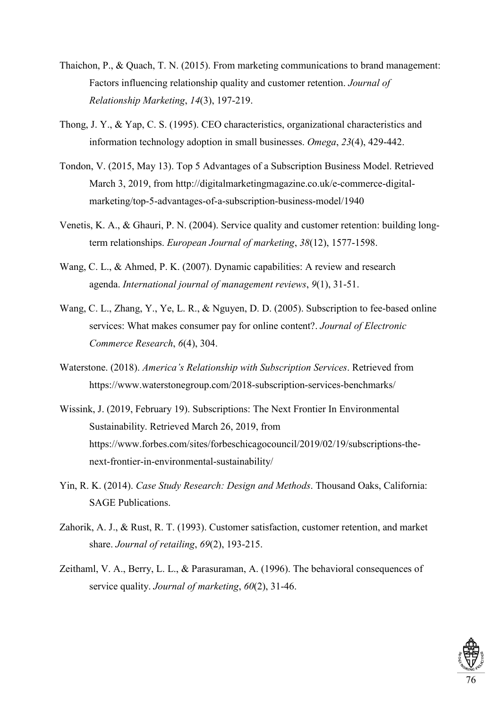- Thaichon, P., & Quach, T. N. (2015). From marketing communications to brand management: Factors influencing relationship quality and customer retention. *Journal of Relationship Marketing*, *14*(3), 197-219.
- Thong, J. Y., & Yap, C. S. (1995). CEO characteristics, organizational characteristics and information technology adoption in small businesses. *Omega*, *23*(4), 429-442.
- Tondon, V. (2015, May 13). Top 5 Advantages of a Subscription Business Model. Retrieved March 3, 2019, from http://digitalmarketingmagazine.co.uk/e-commerce-digitalmarketing/top-5-advantages-of-a-subscription-business-model/1940
- Venetis, K. A., & Ghauri, P. N. (2004). Service quality and customer retention: building long‐ term relationships. *European Journal of marketing*, *38*(12), 1577-1598.
- Wang, C. L., & Ahmed, P. K. (2007). Dynamic capabilities: A review and research agenda. *International journal of management reviews*, *9*(1), 31-51.
- Wang, C. L., Zhang, Y., Ye, L. R., & Nguyen, D. D. (2005). Subscription to fee-based online services: What makes consumer pay for online content?. *Journal of Electronic Commerce Research*, *6*(4), 304.
- Waterstone. (2018). *America's Relationship with Subscription Services*. Retrieved from https://www.waterstonegroup.com/2018-subscription-services-benchmarks/
- Wissink, J. (2019, February 19). Subscriptions: The Next Frontier In Environmental Sustainability. Retrieved March 26, 2019, from https://www.forbes.com/sites/forbeschicagocouncil/2019/02/19/subscriptions-thenext-frontier-in-environmental-sustainability/
- Yin, R. K. (2014). *Case Study Research: Design and Methods*. Thousand Oaks, California: SAGE Publications.
- Zahorik, A. J., & Rust, R. T. (1993). Customer satisfaction, customer retention, and market share. *Journal of retailing*, *69*(2), 193-215.
- Zeithaml, V. A., Berry, L. L., & Parasuraman, A. (1996). The behavioral consequences of service quality. *Journal of marketing*, *60*(2), 31-46.